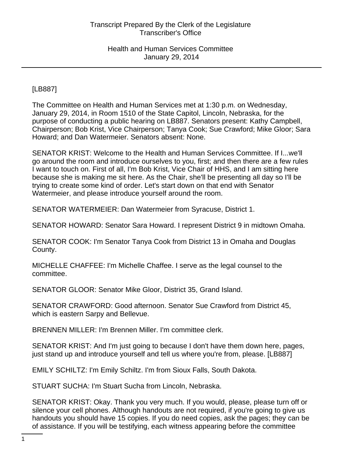[LB887]

The Committee on Health and Human Services met at 1:30 p.m. on Wednesday, January 29, 2014, in Room 1510 of the State Capitol, Lincoln, Nebraska, for the purpose of conducting a public hearing on LB887. Senators present: Kathy Campbell, Chairperson; Bob Krist, Vice Chairperson; Tanya Cook; Sue Crawford; Mike Gloor; Sara Howard; and Dan Watermeier. Senators absent: None.

SENATOR KRIST: Welcome to the Health and Human Services Committee. If I...we'll go around the room and introduce ourselves to you, first; and then there are a few rules I want to touch on. First of all, I'm Bob Krist, Vice Chair of HHS, and I am sitting here because she is making me sit here. As the Chair, she'll be presenting all day so I'll be trying to create some kind of order. Let's start down on that end with Senator Watermeier, and please introduce yourself around the room.

SENATOR WATERMEIER: Dan Watermeier from Syracuse, District 1.

SENATOR HOWARD: Senator Sara Howard. I represent District 9 in midtown Omaha.

SENATOR COOK: I'm Senator Tanya Cook from District 13 in Omaha and Douglas County.

MICHELLE CHAFFEE: I'm Michelle Chaffee. I serve as the legal counsel to the committee.

SENATOR GLOOR: Senator Mike Gloor, District 35, Grand Island.

SENATOR CRAWFORD: Good afternoon. Senator Sue Crawford from District 45, which is eastern Sarpy and Bellevue.

BRENNEN MILLER: I'm Brennen Miller. I'm committee clerk.

SENATOR KRIST: And I'm just going to because I don't have them down here, pages, just stand up and introduce yourself and tell us where you're from, please. [LB887]

EMILY SCHILTZ: I'm Emily Schiltz. I'm from Sioux Falls, South Dakota.

STUART SUCHA: I'm Stuart Sucha from Lincoln, Nebraska.

SENATOR KRIST: Okay. Thank you very much. If you would, please, please turn off or silence your cell phones. Although handouts are not required, if you're going to give us handouts you should have 15 copies. If you do need copies, ask the pages; they can be of assistance. If you will be testifying, each witness appearing before the committee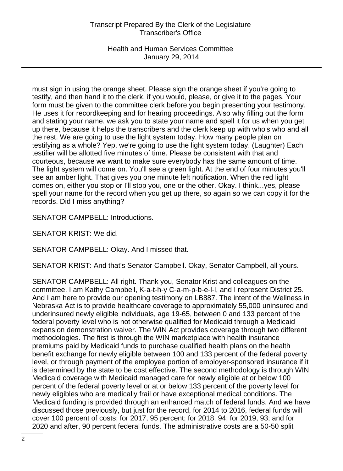Health and Human Services Committee January 29, 2014

must sign in using the orange sheet. Please sign the orange sheet if you're going to testify, and then hand it to the clerk, if you would, please, or give it to the pages. Your form must be given to the committee clerk before you begin presenting your testimony. He uses it for recordkeeping and for hearing proceedings. Also why filling out the form and stating your name, we ask you to state your name and spell it for us when you get up there, because it helps the transcribers and the clerk keep up with who's who and all the rest. We are going to use the light system today. How many people plan on testifying as a whole? Yep, we're going to use the light system today. (Laughter) Each testifier will be allotted five minutes of time. Please be consistent with that and courteous, because we want to make sure everybody has the same amount of time. The light system will come on. You'll see a green light. At the end of four minutes you'll see an amber light. That gives you one minute left notification. When the red light comes on, either you stop or I'll stop you, one or the other. Okay. I think...yes, please spell your name for the record when you get up there, so again so we can copy it for the records. Did I miss anything?

SENATOR CAMPBELL: Introductions.

SENATOR KRIST: We did.

SENATOR CAMPBELL: Okay. And I missed that.

SENATOR KRIST: And that's Senator Campbell. Okay, Senator Campbell, all yours.

SENATOR CAMPBELL: All right. Thank you, Senator Krist and colleagues on the committee. I am Kathy Campbell, K-a-t-h-y C-a-m-p-b-e-l-l, and I represent District 25. And I am here to provide our opening testimony on LB887. The intent of the Wellness in Nebraska Act is to provide healthcare coverage to approximately 55,000 uninsured and underinsured newly eligible individuals, age 19-65, between 0 and 133 percent of the federal poverty level who is not otherwise qualified for Medicaid through a Medicaid expansion demonstration waiver. The WIN Act provides coverage through two different methodologies. The first is through the WIN marketplace with health insurance premiums paid by Medicaid funds to purchase qualified health plans on the health benefit exchange for newly eligible between 100 and 133 percent of the federal poverty level, or through payment of the employee portion of employer-sponsored insurance if it is determined by the state to be cost effective. The second methodology is through WIN Medicaid coverage with Medicaid managed care for newly eligible at or below 100 percent of the federal poverty level or at or below 133 percent of the poverty level for newly eligibles who are medically frail or have exceptional medical conditions. The Medicaid funding is provided through an enhanced match of federal funds. And we have discussed those previously, but just for the record, for 2014 to 2016, federal funds will cover 100 percent of costs; for 2017, 95 percent; for 2018, 94; for 2019, 93; and for 2020 and after, 90 percent federal funds. The administrative costs are a 50-50 split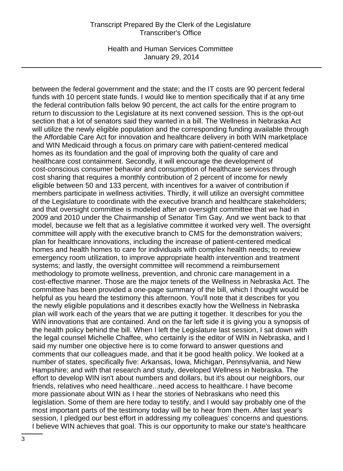Health and Human Services Committee January 29, 2014

between the federal government and the state; and the IT costs are 90 percent federal funds with 10 percent state funds. I would like to mention specifically that if at any time the federal contribution falls below 90 percent, the act calls for the entire program to return to discussion to the Legislature at its next convened session. This is the opt-out section that a lot of senators said they wanted in a bill. The Wellness in Nebraska Act will utilize the newly eligible population and the corresponding funding available through the Affordable Care Act for innovation and healthcare delivery in both WIN marketplace and WIN Medicaid through a focus on primary care with patient-centered medical homes as its foundation and the goal of improving both the quality of care and healthcare cost containment. Secondly, it will encourage the development of cost-conscious consumer behavior and consumption of healthcare services through cost sharing that requires a monthly contribution of 2 percent of income for newly eligible between 50 and 133 percent, with incentives for a waiver of contribution if members participate in wellness activities. Thirdly, it will utilize an oversight committee of the Legislature to coordinate with the executive branch and healthcare stakeholders; and that oversight committee is modeled after an oversight committee that we had in 2009 and 2010 under the Chairmanship of Senator Tim Gay. And we went back to that model, because we felt that as a legislative committee it worked very well. The oversight committee will apply with the executive branch to CMS for the demonstration waivers; plan for healthcare innovations, including the increase of patient-centered medical homes and health homes to care for individuals with complex health needs; to review emergency room utilization, to improve appropriate health intervention and treatment systems; and lastly, the oversight committee will recommend a reimbursement methodology to promote wellness, prevention, and chronic care management in a cost-effective manner. Those are the major tenets of the Wellness in Nebraska Act. The committee has been provided a one-page summary of the bill, which I thought would be helpful as you heard the testimony this afternoon. You'll note that it describes for you the newly eligible populations and it describes exactly how the Wellness in Nebraska plan will work each of the years that we are putting it together. It describes for you the WIN innovations that are contained. And on the far left side it is giving you a synopsis of the health policy behind the bill. When I left the Legislature last session, I sat down with the legal counsel Michelle Chaffee, who certainly is the editor of WIN in Nebraska, and I said my number one objective here is to come forward to answer questions and comments that our colleagues made, and that it be good health policy. We looked at a number of states, specifically five: Arkansas, Iowa, Michigan, Pennsylvania, and New Hampshire; and with that research and study, developed Wellness in Nebraska. The effort to develop WIN isn't about numbers and dollars, but it's about our neighbors, our friends, relatives who need healthcare...need access to healthcare. I have become more passionate about WIN as I hear the stories of Nebraskans who need this legislation. Some of them are here today to testify, and I would say probably one of the most important parts of the testimony today will be to hear from them. After last year's session, I pledged our best effort in addressing my colleagues' concerns and questions. I believe WIN achieves that goal. This is our opportunity to make our state's healthcare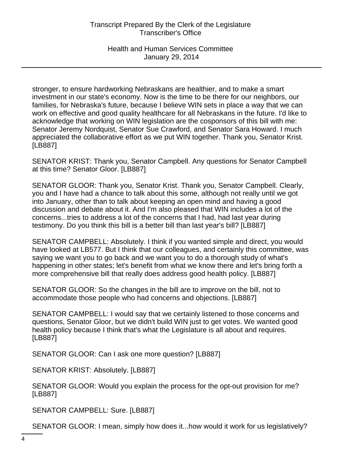stronger, to ensure hardworking Nebraskans are healthier, and to make a smart investment in our state's economy. Now is the time to be there for our neighbors, our families, for Nebraska's future, because I believe WIN sets in place a way that we can work on effective and good quality healthcare for all Nebraskans in the future. I'd like to acknowledge that working on WIN legislation are the cosponsors of this bill with me: Senator Jeremy Nordquist, Senator Sue Crawford, and Senator Sara Howard. I much appreciated the collaborative effort as we put WIN together. Thank you, Senator Krist. [LB887]

SENATOR KRIST: Thank you, Senator Campbell. Any questions for Senator Campbell at this time? Senator Gloor. [LB887]

SENATOR GLOOR: Thank you, Senator Krist. Thank you, Senator Campbell. Clearly, you and I have had a chance to talk about this some, although not really until we got into January, other than to talk about keeping an open mind and having a good discussion and debate about it. And I'm also pleased that WIN includes a lot of the concerns...tries to address a lot of the concerns that I had, had last year during testimony. Do you think this bill is a better bill than last year's bill? [LB887]

SENATOR CAMPBELL: Absolutely. I think if you wanted simple and direct, you would have looked at LB577. But I think that our colleagues, and certainly this committee, was saying we want you to go back and we want you to do a thorough study of what's happening in other states; let's benefit from what we know there and let's bring forth a more comprehensive bill that really does address good health policy. [LB887]

SENATOR GLOOR: So the changes in the bill are to improve on the bill, not to accommodate those people who had concerns and objections. [LB887]

SENATOR CAMPBELL: I would say that we certainly listened to those concerns and questions, Senator Gloor, but we didn't build WIN just to get votes. We wanted good health policy because I think that's what the Legislature is all about and requires. [LB887]

SENATOR GLOOR: Can I ask one more question? [LB887]

SENATOR KRIST: Absolutely. [LB887]

SENATOR GLOOR: Would you explain the process for the opt-out provision for me? [LB887]

SENATOR CAMPBELL: Sure. [LB887]

SENATOR GLOOR: I mean, simply how does it...how would it work for us legislatively?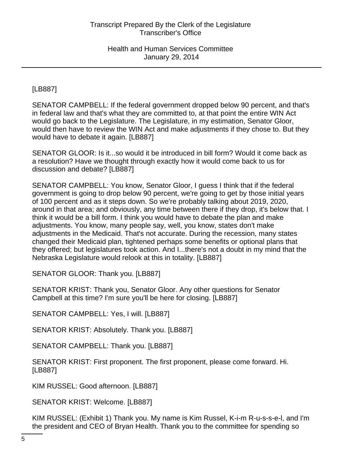[LB887]

SENATOR CAMPBELL: If the federal government dropped below 90 percent, and that's in federal law and that's what they are committed to, at that point the entire WIN Act would go back to the Legislature. The Legislature, in my estimation, Senator Gloor, would then have to review the WIN Act and make adjustments if they chose to. But they would have to debate it again. [LB887]

SENATOR GLOOR: Is it...so would it be introduced in bill form? Would it come back as a resolution? Have we thought through exactly how it would come back to us for discussion and debate? [LB887]

SENATOR CAMPBELL: You know, Senator Gloor, I guess I think that if the federal government is going to drop below 90 percent, we're going to get by those initial years of 100 percent and as it steps down. So we're probably talking about 2019, 2020, around in that area; and obviously, any time between there if they drop, it's below that. I think it would be a bill form. I think you would have to debate the plan and make adjustments. You know, many people say, well, you know, states don't make adjustments in the Medicaid. That's not accurate. During the recession, many states changed their Medicaid plan, tightened perhaps some benefits or optional plans that they offered; but legislatures took action. And I...there's not a doubt in my mind that the Nebraska Legislature would relook at this in totality. [LB887]

SENATOR GLOOR: Thank you. [LB887]

SENATOR KRIST: Thank you, Senator Gloor. Any other questions for Senator Campbell at this time? I'm sure you'll be here for closing. [LB887]

SENATOR CAMPBELL: Yes, I will. [LB887]

SENATOR KRIST: Absolutely. Thank you. [LB887]

SENATOR CAMPBELL: Thank you. [LB887]

SENATOR KRIST: First proponent. The first proponent, please come forward. Hi. [LB887]

KIM RUSSEL: Good afternoon. [LB887]

SENATOR KRIST: Welcome. [LB887]

KIM RUSSEL: (Exhibit 1) Thank you. My name is Kim Russel, K-i-m R-u-s-s-e-l, and I'm the president and CEO of Bryan Health. Thank you to the committee for spending so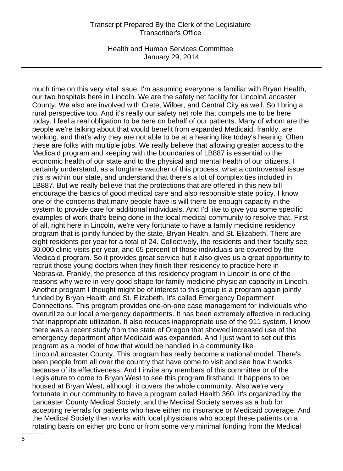Health and Human Services Committee January 29, 2014

much time on this very vital issue. I'm assuming everyone is familiar with Bryan Health, our two hospitals here in Lincoln. We are the safety net facility for Lincoln/Lancaster County. We also are involved with Crete, Wilber, and Central City as well. So I bring a rural perspective too. And it's really our safety net role that compels me to be here today. I feel a real obligation to be here on behalf of our patients. Many of whom are the people we're talking about that would benefit from expanded Medicaid, frankly, are working, and that's why they are not able to be at a hearing like today's hearing. Often these are folks with multiple jobs. We really believe that allowing greater access to the Medicaid program and keeping with the boundaries of LB887 is essential to the economic health of our state and to the physical and mental health of our citizens. I certainly understand, as a longtime watcher of this process, what a controversial issue this is within our state, and understand that there's a lot of complexities included in LB887. But we really believe that the protections that are offered in this new bill encourage the basics of good medical care and also responsible state policy. I know one of the concerns that many people have is will there be enough capacity in the system to provide care for additional individuals. And I'd like to give you some specific examples of work that's being done in the local medical community to resolve that. First of all, right here in Lincoln, we're very fortunate to have a family medicine residency program that is jointly funded by the state, Bryan Health, and St. Elizabeth. There are eight residents per year for a total of 24. Collectively, the residents and their faculty see 30,000 clinic visits per year, and 65 percent of those individuals are covered by the Medicaid program. So it provides great service but it also gives us a great opportunity to recruit those young doctors when they finish their residency to practice here in Nebraska. Frankly, the presence of this residency program in Lincoln is one of the reasons why we're in very good shape for family medicine physician capacity in Lincoln. Another program I thought might be of interest to this group is a program again jointly funded by Bryan Health and St. Elizabeth. It's called Emergency Department Connections. This program provides one-on-one case management for individuals who overutilize our local emergency departments. It has been extremely effective in reducing that inappropriate utilization. It also reduces inappropriate use of the 911 system. I know there was a recent study from the state of Oregon that showed increased use of the emergency department after Medicaid was expanded. And I just want to set out this program as a model of how that would be handled in a community like Lincoln/Lancaster County. This program has really become a national model. There's been people from all over the country that have come to visit and see how it works because of its effectiveness. And I invite any members of this committee or of the Legislature to come to Bryan West to see this program firsthand. It happens to be housed at Bryan West, although it covers the whole community. Also we're very fortunate in our community to have a program called Health 360. It's organized by the Lancaster County Medical Society; and the Medical Society serves as a hub for accepting referrals for patients who have either no insurance or Medicaid coverage. And the Medical Society then works with local physicians who accept these patients on a rotating basis on either pro bono or from some very minimal funding from the Medical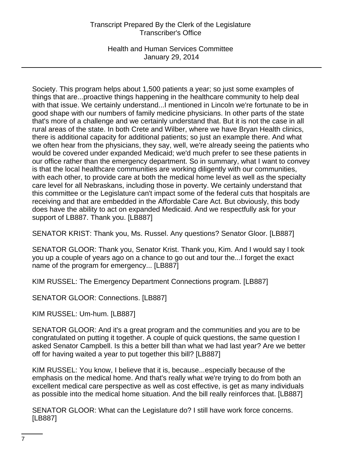Health and Human Services Committee January 29, 2014

Society. This program helps about 1,500 patients a year; so just some examples of things that are...proactive things happening in the healthcare community to help deal with that issue. We certainly understand...I mentioned in Lincoln we're fortunate to be in good shape with our numbers of family medicine physicians. In other parts of the state that's more of a challenge and we certainly understand that. But it is not the case in all rural areas of the state. In both Crete and Wilber, where we have Bryan Health clinics, there is additional capacity for additional patients; so just an example there. And what we often hear from the physicians, they say, well, we're already seeing the patients who would be covered under expanded Medicaid; we'd much prefer to see these patients in our office rather than the emergency department. So in summary, what I want to convey is that the local healthcare communities are working diligently with our communities, with each other, to provide care at both the medical home level as well as the specialty care level for all Nebraskans, including those in poverty. We certainly understand that this committee or the Legislature can't impact some of the federal cuts that hospitals are receiving and that are embedded in the Affordable Care Act. But obviously, this body does have the ability to act on expanded Medicaid. And we respectfully ask for your support of LB887. Thank you. [LB887]

SENATOR KRIST: Thank you, Ms. Russel. Any questions? Senator Gloor. [LB887]

SENATOR GLOOR: Thank you, Senator Krist. Thank you, Kim. And I would say I took you up a couple of years ago on a chance to go out and tour the...I forget the exact name of the program for emergency... [LB887]

KIM RUSSEL: The Emergency Department Connections program. [LB887]

SENATOR GLOOR: Connections. [LB887]

KIM RUSSEL: Um-hum. [LB887]

SENATOR GLOOR: And it's a great program and the communities and you are to be congratulated on putting it together. A couple of quick questions, the same question I asked Senator Campbell. Is this a better bill than what we had last year? Are we better off for having waited a year to put together this bill? [LB887]

KIM RUSSEL: You know, I believe that it is, because...especially because of the emphasis on the medical home. And that's really what we're trying to do from both an excellent medical care perspective as well as cost effective, is get as many individuals as possible into the medical home situation. And the bill really reinforces that. [LB887]

SENATOR GLOOR: What can the Legislature do? I still have work force concerns. [LB887]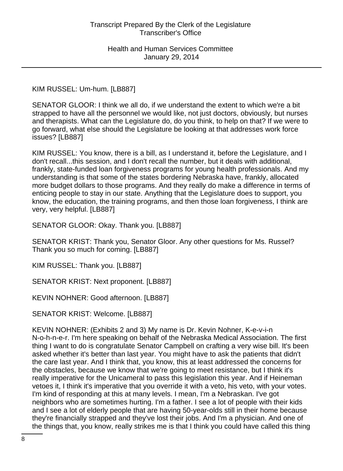KIM RUSSEL: Um-hum. [LB887]

SENATOR GLOOR: I think we all do, if we understand the extent to which we're a bit strapped to have all the personnel we would like, not just doctors, obviously, but nurses and therapists. What can the Legislature do, do you think, to help on that? If we were to go forward, what else should the Legislature be looking at that addresses work force issues? [LB887]

KIM RUSSEL: You know, there is a bill, as I understand it, before the Legislature, and I don't recall...this session, and I don't recall the number, but it deals with additional, frankly, state-funded loan forgiveness programs for young health professionals. And my understanding is that some of the states bordering Nebraska have, frankly, allocated more budget dollars to those programs. And they really do make a difference in terms of enticing people to stay in our state. Anything that the Legislature does to support, you know, the education, the training programs, and then those loan forgiveness, I think are very, very helpful. [LB887]

SENATOR GLOOR: Okay. Thank you. [LB887]

SENATOR KRIST: Thank you, Senator Gloor. Any other questions for Ms. Russel? Thank you so much for coming. [LB887]

KIM RUSSEL: Thank you. [LB887]

SENATOR KRIST: Next proponent. [LB887]

KEVIN NOHNER: Good afternoon. [LB887]

SENATOR KRIST: Welcome. [LB887]

KEVIN NOHNER: (Exhibits 2 and 3) My name is Dr. Kevin Nohner, K-e-v-i-n N-o-h-n-e-r. I'm here speaking on behalf of the Nebraska Medical Association. The first thing I want to do is congratulate Senator Campbell on crafting a very wise bill. It's been asked whether it's better than last year. You might have to ask the patients that didn't the care last year. And I think that, you know, this at least addressed the concerns for the obstacles, because we know that we're going to meet resistance, but I think it's really imperative for the Unicameral to pass this legislation this year. And if Heineman vetoes it, I think it's imperative that you override it with a veto, his veto, with your votes. I'm kind of responding at this at many levels. I mean, I'm a Nebraskan. I've got neighbors who are sometimes hurting. I'm a father. I see a lot of people with their kids and I see a lot of elderly people that are having 50-year-olds still in their home because they're financially strapped and they've lost their jobs. And I'm a physician. And one of the things that, you know, really strikes me is that I think you could have called this thing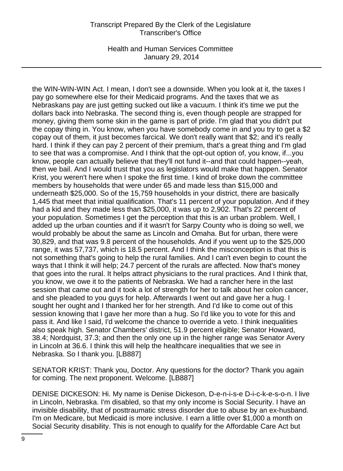Health and Human Services Committee January 29, 2014

the WIN-WIN-WIN Act. I mean, I don't see a downside. When you look at it, the taxes I pay go somewhere else for their Medicaid programs. And the taxes that we as Nebraskans pay are just getting sucked out like a vacuum. I think it's time we put the dollars back into Nebraska. The second thing is, even though people are strapped for money, giving them some skin in the game is part of pride. I'm glad that you didn't put the copay thing in. You know, when you have somebody come in and you try to get a \$2 copay out of them, it just becomes farcical. We don't really want that \$2; and it's really hard. I think if they can pay 2 percent of their premium, that's a great thing and I'm glad to see that was a compromise. And I think that the opt-out option of, you know, if...you know, people can actually believe that they'll not fund it--and that could happen--yeah, then we bail. And I would trust that you as legislators would make that happen. Senator Krist, you weren't here when I spoke the first time. I kind of broke down the committee members by households that were under 65 and made less than \$15,000 and underneath \$25,000. So of the 15,759 households in your district, there are basically 1,445 that meet that initial qualification. That's 11 percent of your population. And if they had a kid and they made less than \$25,000, it was up to 2,902. That's 22 percent of your population. Sometimes I get the perception that this is an urban problem. Well, I added up the urban counties and if it wasn't for Sarpy County who is doing so well, we would probably be about the same as Lincoln and Omaha. But for urban, there were 30,829, and that was 9.8 percent of the households. And if you went up to the \$25,000 range, it was 57,737, which is 18.5 percent. And I think the misconception is that this is not something that's going to help the rural families. And I can't even begin to count the ways that I think it will help; 24.7 percent of the rurals are affected. Now that's money that goes into the rural. It helps attract physicians to the rural practices. And I think that, you know, we owe it to the patients of Nebraska. We had a rancher here in the last session that came out and it took a lot of strength for her to talk about her colon cancer, and she pleaded to you guys for help. Afterwards I went out and gave her a hug. I sought her ought and I thanked her for her strength. And I'd like to come out of this session knowing that I gave her more than a hug. So I'd like you to vote for this and pass it. And like I said, I'd welcome the chance to override a veto. I think inequalities also speak high. Senator Chambers' district, 51.9 percent eligible; Senator Howard, 38.4; Nordquist, 37.3; and then the only one up in the higher range was Senator Avery in Lincoln at 36.6. I think this will help the healthcare inequalities that we see in Nebraska. So I thank you. [LB887]

SENATOR KRIST: Thank you, Doctor. Any questions for the doctor? Thank you again for coming. The next proponent. Welcome. [LB887]

DENISE DICKESON: Hi. My name is Denise Dickeson, D-e-n-i-s-e D-i-c-k-e-s-o-n. I live in Lincoln, Nebraska. I'm disabled, so that my only income is Social Security. I have an invisible disability, that of posttraumatic stress disorder due to abuse by an ex-husband. I'm on Medicare, but Medicaid is more inclusive. I earn a little over \$1,000 a month on Social Security disability. This is not enough to qualify for the Affordable Care Act but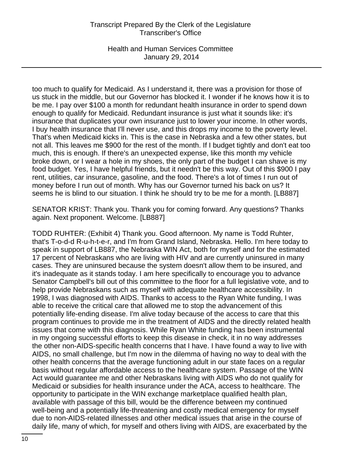Health and Human Services Committee January 29, 2014

too much to qualify for Medicaid. As I understand it, there was a provision for those of us stuck in the middle, but our Governor has blocked it. I wonder if he knows how it is to be me. I pay over \$100 a month for redundant health insurance in order to spend down enough to qualify for Medicaid. Redundant insurance is just what it sounds like: it's insurance that duplicates your own insurance just to lower your income. In other words, I buy health insurance that I'll never use, and this drops my income to the poverty level. That's when Medicaid kicks in. This is the case in Nebraska and a few other states, but not all. This leaves me \$900 for the rest of the month. If I budget tightly and don't eat too much, this is enough. If there's an unexpected expense, like this month my vehicle broke down, or I wear a hole in my shoes, the only part of the budget I can shave is my food budget. Yes, I have helpful friends, but it needn't be this way. Out of this \$900 I pay rent, utilities, car insurance, gasoline, and the food. There's a lot of times I run out of money before I run out of month. Why has our Governor turned his back on us? It seems he is blind to our situation. I think he should try to be me for a month. [LB887]

SENATOR KRIST: Thank you. Thank you for coming forward. Any questions? Thanks again. Next proponent. Welcome. [LB887]

TODD RUHTER: (Exhibit 4) Thank you. Good afternoon. My name is Todd Ruhter, that's T-o-d-d R-u-h-t-e-r, and I'm from Grand Island, Nebraska. Hello. I'm here today to speak in support of LB887, the Nebraska WIN Act, both for myself and for the estimated 17 percent of Nebraskans who are living with HIV and are currently uninsured in many cases. They are uninsured because the system doesn't allow them to be insured, and it's inadequate as it stands today. I am here specifically to encourage you to advance Senator Campbell's bill out of this committee to the floor for a full legislative vote, and to help provide Nebraskans such as myself with adequate healthcare accessibility. In 1998, I was diagnosed with AIDS. Thanks to access to the Ryan White funding, I was able to receive the critical care that allowed me to stop the advancement of this potentially life-ending disease. I'm alive today because of the access to care that this program continues to provide me in the treatment of AIDS and the directly related health issues that come with this diagnosis. While Ryan White funding has been instrumental in my ongoing successful efforts to keep this disease in check, it in no way addresses the other non-AIDS-specific health concerns that I have. I have found a way to live with AIDS, no small challenge, but I'm now in the dilemma of having no way to deal with the other health concerns that the average functioning adult in our state faces on a regular basis without regular affordable access to the healthcare system. Passage of the WIN Act would guarantee me and other Nebraskans living with AIDS who do not qualify for Medicaid or subsidies for health insurance under the ACA, access to healthcare. The opportunity to participate in the WIN exchange marketplace qualified health plan, available with passage of this bill, would be the difference between my continued well-being and a potentially life-threatening and costly medical emergency for myself due to non-AIDS-related illnesses and other medical issues that arise in the course of daily life, many of which, for myself and others living with AIDS, are exacerbated by the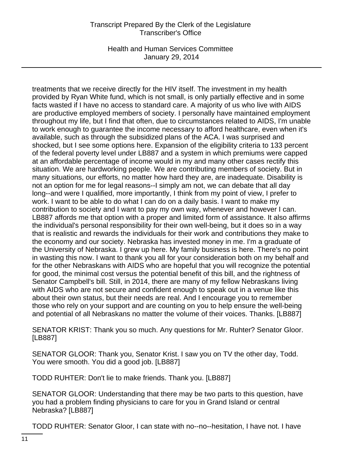Health and Human Services Committee January 29, 2014

treatments that we receive directly for the HIV itself. The investment in my health provided by Ryan White fund, which is not small, is only partially effective and in some facts wasted if I have no access to standard care. A majority of us who live with AIDS are productive employed members of society. I personally have maintained employment throughout my life, but I find that often, due to circumstances related to AIDS, I'm unable to work enough to guarantee the income necessary to afford healthcare, even when it's available, such as through the subsidized plans of the ACA. I was surprised and shocked, but I see some options here. Expansion of the eligibility criteria to 133 percent of the federal poverty level under LB887 and a system in which premiums were capped at an affordable percentage of income would in my and many other cases rectify this situation. We are hardworking people. We are contributing members of society. But in many situations, our efforts, no matter how hard they are, are inadequate. Disability is not an option for me for legal reasons--I simply am not, we can debate that all day long--and were I qualified, more importantly, I think from my point of view, I prefer to work. I want to be able to do what I can do on a daily basis. I want to make my contribution to society and I want to pay my own way, whenever and however I can. LB887 affords me that option with a proper and limited form of assistance. It also affirms the individual's personal responsibility for their own well-being, but it does so in a way that is realistic and rewards the individuals for their work and contributions they make to the economy and our society. Nebraska has invested money in me. I'm a graduate of the University of Nebraska. I grew up here. My family business is here. There's no point in wasting this now. I want to thank you all for your consideration both on my behalf and for the other Nebraskans with AIDS who are hopeful that you will recognize the potential for good, the minimal cost versus the potential benefit of this bill, and the rightness of Senator Campbell's bill. Still, in 2014, there are many of my fellow Nebraskans living with AIDS who are not secure and confident enough to speak out in a venue like this about their own status, but their needs are real. And I encourage you to remember those who rely on your support and are counting on you to help ensure the well-being and potential of all Nebraskans no matter the volume of their voices. Thanks. [LB887]

SENATOR KRIST: Thank you so much. Any questions for Mr. Ruhter? Senator Gloor. [LB887]

SENATOR GLOOR: Thank you, Senator Krist. I saw you on TV the other day, Todd. You were smooth. You did a good job. [LB887]

TODD RUHTER: Don't lie to make friends. Thank you. [LB887]

SENATOR GLOOR: Understanding that there may be two parts to this question, have you had a problem finding physicians to care for you in Grand Island or central Nebraska? [LB887]

TODD RUHTER: Senator Gloor, I can state with no--no--hesitation, I have not. I have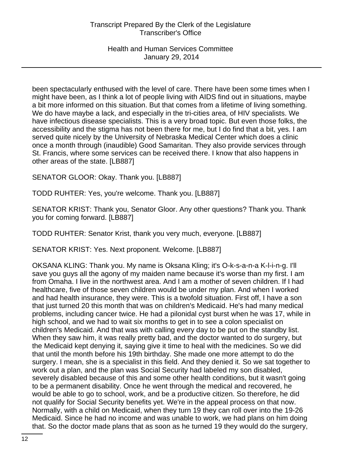been spectacularly enthused with the level of care. There have been some times when I might have been, as I think a lot of people living with AIDS find out in situations, maybe a bit more informed on this situation. But that comes from a lifetime of living something. We do have maybe a lack, and especially in the tri-cities area, of HIV specialists. We have infectious disease specialists. This is a very broad topic. But even those folks, the accessibility and the stigma has not been there for me, but I do find that a bit, yes. I am served quite nicely by the University of Nebraska Medical Center which does a clinic once a month through (inaudible) Good Samaritan. They also provide services through St. Francis, where some services can be received there. I know that also happens in other areas of the state. [LB887]

SENATOR GLOOR: Okay. Thank you. [LB887]

TODD RUHTER: Yes, you're welcome. Thank you. [LB887]

SENATOR KRIST: Thank you, Senator Gloor. Any other questions? Thank you. Thank you for coming forward. [LB887]

TODD RUHTER: Senator Krist, thank you very much, everyone. [LB887]

SENATOR KRIST: Yes. Next proponent. Welcome. [LB887]

OKSANA KLING: Thank you. My name is Oksana Kling; it's O-k-s-a-n-a K-l-i-n-g. I'll save you guys all the agony of my maiden name because it's worse than my first. I am from Omaha. I live in the northwest area. And I am a mother of seven children. If I had healthcare, five of those seven children would be under my plan. And when I worked and had health insurance, they were. This is a twofold situation. First off, I have a son that just turned 20 this month that was on children's Medicaid. He's had many medical problems, including cancer twice. He had a pilonidal cyst burst when he was 17, while in high school, and we had to wait six months to get in to see a colon specialist on children's Medicaid. And that was with calling every day to be put on the standby list. When they saw him, it was really pretty bad, and the doctor wanted to do surgery, but the Medicaid kept denying it, saying give it time to heal with the medicines. So we did that until the month before his 19th birthday. She made one more attempt to do the surgery. I mean, she is a specialist in this field. And they denied it. So we sat together to work out a plan, and the plan was Social Security had labeled my son disabled, severely disabled because of this and some other health conditions, but it wasn't going to be a permanent disability. Once he went through the medical and recovered, he would be able to go to school, work, and be a productive citizen. So therefore, he did not qualify for Social Security benefits yet. We're in the appeal process on that now. Normally, with a child on Medicaid, when they turn 19 they can roll over into the 19-26 Medicaid. Since he had no income and was unable to work, we had plans on him doing that. So the doctor made plans that as soon as he turned 19 they would do the surgery,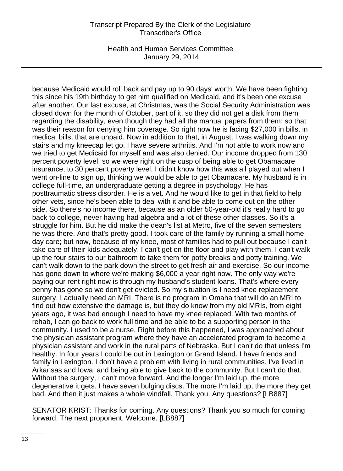Health and Human Services Committee January 29, 2014

because Medicaid would roll back and pay up to 90 days' worth. We have been fighting this since his 19th birthday to get him qualified on Medicaid, and it's been one excuse after another. Our last excuse, at Christmas, was the Social Security Administration was closed down for the month of October, part of it, so they did not get a disk from them regarding the disability, even though they had all the manual papers from them; so that was their reason for denying him coverage. So right now he is facing \$27,000 in bills, in medical bills, that are unpaid. Now in addition to that, in August, I was walking down my stairs and my kneecap let go. I have severe arthritis. And I'm not able to work now and we tried to get Medicaid for myself and was also denied. Our income dropped from 130 percent poverty level, so we were right on the cusp of being able to get Obamacare insurance, to 30 percent poverty level. I didn't know how this was all played out when I went on-line to sign up, thinking we would be able to get Obamacare. My husband is in college full-time, an undergraduate getting a degree in psychology. He has posttraumatic stress disorder. He is a vet. And he would like to get in that field to help other vets, since he's been able to deal with it and be able to come out on the other side. So there's no income there, because as an older 50-year-old it's really hard to go back to college, never having had algebra and a lot of these other classes. So it's a struggle for him. But he did make the dean's list at Metro, five of the seven semesters he was there. And that's pretty good. I took care of the family by running a small home day care; but now, because of my knee, most of families had to pull out because I can't take care of their kids adequately. I can't get on the floor and play with them. I can't walk up the four stairs to our bathroom to take them for potty breaks and potty training. We can't walk down to the park down the street to get fresh air and exercise. So our income has gone down to where we're making \$6,000 a year right now. The only way we're paying our rent right now is through my husband's student loans. That's where every penny has gone so we don't get evicted. So my situation is I need knee replacement surgery. I actually need an MRI. There is no program in Omaha that will do an MRI to find out how extensive the damage is, but they do know from my old MRIs, from eight years ago, it was bad enough I need to have my knee replaced. With two months of rehab, I can go back to work full time and be able to be a supporting person in the community. I used to be a nurse. Right before this happened, I was approached about the physician assistant program where they have an accelerated program to become a physician assistant and work in the rural parts of Nebraska. But I can't do that unless I'm healthy. In four years I could be out in Lexington or Grand Island. I have friends and family in Lexington. I don't have a problem with living in rural communities. I've lived in Arkansas and Iowa, and being able to give back to the community. But I can't do that. Without the surgery, I can't move forward. And the longer I'm laid up, the more degenerative it gets. I have seven bulging discs. The more I'm laid up, the more they get bad. And then it just makes a whole windfall. Thank you. Any questions? [LB887]

SENATOR KRIST: Thanks for coming. Any questions? Thank you so much for coming forward. The next proponent. Welcome. [LB887]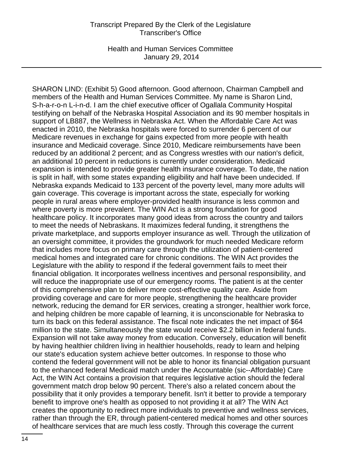Health and Human Services Committee January 29, 2014

SHARON LIND: (Exhibit 5) Good afternoon. Good afternoon, Chairman Campbell and members of the Health and Human Services Committee. My name is Sharon Lind, S-h-a-r-o-n L-i-n-d. I am the chief executive officer of Ogallala Community Hospital testifying on behalf of the Nebraska Hospital Association and its 90 member hospitals in support of LB887, the Wellness in Nebraska Act. When the Affordable Care Act was enacted in 2010, the Nebraska hospitals were forced to surrender 6 percent of our Medicare revenues in exchange for gains expected from more people with health insurance and Medicaid coverage. Since 2010, Medicare reimbursements have been reduced by an additional 2 percent; and as Congress wrestles with our nation's deficit, an additional 10 percent in reductions is currently under consideration. Medicaid expansion is intended to provide greater health insurance coverage. To date, the nation is split in half, with some states expanding eligibility and half have been undecided. If Nebraska expands Medicaid to 133 percent of the poverty level, many more adults will gain coverage. This coverage is important across the state, especially for working people in rural areas where employer-provided health insurance is less common and where poverty is more prevalent. The WIN Act is a strong foundation for good healthcare policy. It incorporates many good ideas from across the country and tailors to meet the needs of Nebraskans. It maximizes federal funding, it strengthens the private marketplace, and supports employer insurance as well. Through the utilization of an oversight committee, it provides the groundwork for much needed Medicare reform that includes more focus on primary care through the utilization of patient-centered medical homes and integrated care for chronic conditions. The WIN Act provides the Legislature with the ability to respond if the federal government fails to meet their financial obligation. It incorporates wellness incentives and personal responsibility, and will reduce the inappropriate use of our emergency rooms. The patient is at the center of this comprehensive plan to deliver more cost-effective quality care. Aside from providing coverage and care for more people, strengthening the healthcare provider network, reducing the demand for ER services, creating a stronger, healthier work force, and helping children be more capable of learning, it is unconscionable for Nebraska to turn its back on this federal assistance. The fiscal note indicates the net impact of \$64 million to the state. Simultaneously the state would receive \$2.2 billion in federal funds. Expansion will not take away money from education. Conversely, education will benefit by having healthier children living in healthier households, ready to learn and helping our state's education system achieve better outcomes. In response to those who contend the federal government will not be able to honor its financial obligation pursuant to the enhanced federal Medicaid match under the Accountable (sic--Affordable) Care Act, the WIN Act contains a provision that requires legislative action should the federal government match drop below 90 percent. There's also a related concern about the possibility that it only provides a temporary benefit. Isn't it better to provide a temporary benefit to improve one's health as opposed to not providing it at all? The WIN Act creates the opportunity to redirect more individuals to preventive and wellness services, rather than through the ER, through patient-centered medical homes and other sources of healthcare services that are much less costly. Through this coverage the current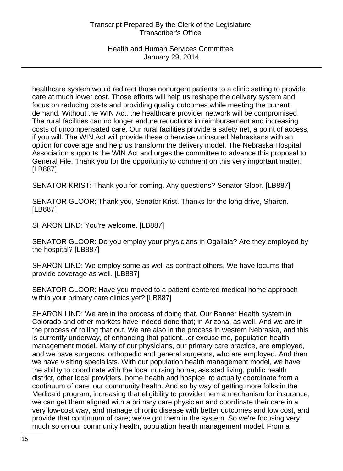Health and Human Services Committee January 29, 2014

healthcare system would redirect those nonurgent patients to a clinic setting to provide care at much lower cost. Those efforts will help us reshape the delivery system and focus on reducing costs and providing quality outcomes while meeting the current demand. Without the WIN Act, the healthcare provider network will be compromised. The rural facilities can no longer endure reductions in reimbursement and increasing costs of uncompensated care. Our rural facilities provide a safety net, a point of access, if you will. The WIN Act will provide these otherwise uninsured Nebraskans with an option for coverage and help us transform the delivery model. The Nebraska Hospital Association supports the WIN Act and urges the committee to advance this proposal to General File. Thank you for the opportunity to comment on this very important matter. [LB887]

SENATOR KRIST: Thank you for coming. Any questions? Senator Gloor. [LB887]

SENATOR GLOOR: Thank you, Senator Krist. Thanks for the long drive, Sharon. [LB887]

SHARON LIND: You're welcome. [LB887]

SENATOR GLOOR: Do you employ your physicians in Ogallala? Are they employed by the hospital? [LB887]

SHARON LIND: We employ some as well as contract others. We have locums that provide coverage as well. [LB887]

SENATOR GLOOR: Have you moved to a patient-centered medical home approach within your primary care clinics yet? [LB887]

SHARON LIND: We are in the process of doing that. Our Banner Health system in Colorado and other markets have indeed done that; in Arizona, as well. And we are in the process of rolling that out. We are also in the process in western Nebraska, and this is currently underway, of enhancing that patient...or excuse me, population health management model. Many of our physicians, our primary care practice, are employed, and we have surgeons, orthopedic and general surgeons, who are employed. And then we have visiting specialists. With our population health management model, we have the ability to coordinate with the local nursing home, assisted living, public health district, other local providers, home health and hospice, to actually coordinate from a continuum of care, our community health. And so by way of getting more folks in the Medicaid program, increasing that eligibility to provide them a mechanism for insurance, we can get them aligned with a primary care physician and coordinate their care in a very low-cost way, and manage chronic disease with better outcomes and low cost, and provide that continuum of care; we've got them in the system. So we're focusing very much so on our community health, population health management model. From a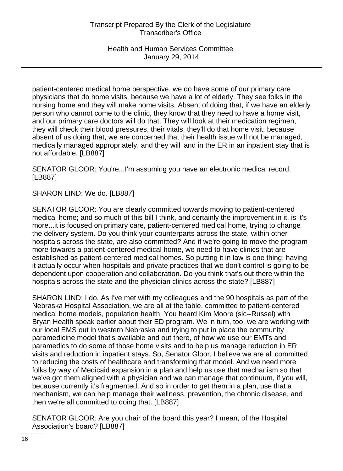patient-centered medical home perspective, we do have some of our primary care physicians that do home visits, because we have a lot of elderly. They see folks in the nursing home and they will make home visits. Absent of doing that, if we have an elderly person who cannot come to the clinic, they know that they need to have a home visit, and our primary care doctors will do that. They will look at their medication regimen, they will check their blood pressures, their vitals, they'll do that home visit; because absent of us doing that, we are concerned that their health issue will not be managed, medically managed appropriately, and they will land in the ER in an inpatient stay that is not affordable. [LB887]

SENATOR GLOOR: You're...I'm assuming you have an electronic medical record. [LB887]

SHARON LIND: We do. [LB887]

SENATOR GLOOR: You are clearly committed towards moving to patient-centered medical home; and so much of this bill I think, and certainly the improvement in it, is it's more...it is focused on primary care, patient-centered medical home, trying to change the delivery system. Do you think your counterparts across the state, within other hospitals across the state, are also committed? And if we're going to move the program more towards a patient-centered medical home, we need to have clinics that are established as patient-centered medical homes. So putting it in law is one thing; having it actually occur when hospitals and private practices that we don't control is going to be dependent upon cooperation and collaboration. Do you think that's out there within the hospitals across the state and the physician clinics across the state? [LB887]

SHARON LIND: I do. As I've met with my colleagues and the 90 hospitals as part of the Nebraska Hospital Association, we are all at the table, committed to patient-centered medical home models, population health. You heard Kim Moore (sic--Russel) with Bryan Health speak earlier about their ED program. We in turn, too, we are working with our local EMS out in western Nebraska and trying to put in place the community paramedicine model that's available and out there, of how we use our EMTs and paramedics to do some of those home visits and to help us manage reduction in ER visits and reduction in inpatient stays. So, Senator Gloor, I believe we are all committed to reducing the costs of healthcare and transforming that model. And we need more folks by way of Medicaid expansion in a plan and help us use that mechanism so that we've got them aligned with a physician and we can manage that continuum, if you will, because currently it's fragmented. And so in order to get them in a plan, use that a mechanism, we can help manage their wellness, prevention, the chronic disease, and then we're all committed to doing that. [LB887]

SENATOR GLOOR: Are you chair of the board this year? I mean, of the Hospital Association's board? [LB887]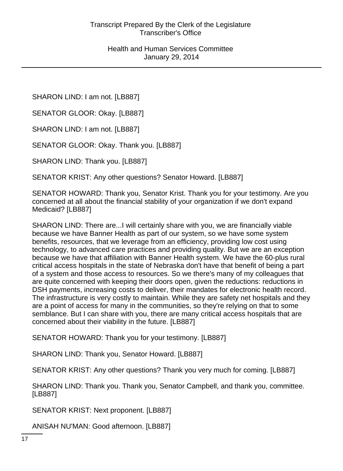SHARON LIND: I am not. [LB887]

SENATOR GLOOR: Okay. [LB887]

SHARON LIND: I am not. [LB887]

SENATOR GLOOR: Okay. Thank you. [LB887]

SHARON LIND: Thank you. [LB887]

SENATOR KRIST: Any other questions? Senator Howard. [LB887]

SENATOR HOWARD: Thank you, Senator Krist. Thank you for your testimony. Are you concerned at all about the financial stability of your organization if we don't expand Medicaid? [LB887]

SHARON LIND: There are...I will certainly share with you, we are financially viable because we have Banner Health as part of our system, so we have some system benefits, resources, that we leverage from an efficiency, providing low cost using technology, to advanced care practices and providing quality. But we are an exception because we have that affiliation with Banner Health system. We have the 60-plus rural critical access hospitals in the state of Nebraska don't have that benefit of being a part of a system and those access to resources. So we there's many of my colleagues that are quite concerned with keeping their doors open, given the reductions: reductions in DSH payments, increasing costs to deliver, their mandates for electronic health record. The infrastructure is very costly to maintain. While they are safety net hospitals and they are a point of access for many in the communities, so they're relying on that to some semblance. But I can share with you, there are many critical access hospitals that are concerned about their viability in the future. [LB887]

SENATOR HOWARD: Thank you for your testimony. [LB887]

SHARON LIND: Thank you, Senator Howard. [LB887]

SENATOR KRIST: Any other questions? Thank you very much for coming. [LB887]

SHARON LIND: Thank you. Thank you, Senator Campbell, and thank you, committee. [LB887]

SENATOR KRIST: Next proponent. [LB887]

ANISAH NU'MAN: Good afternoon. [LB887]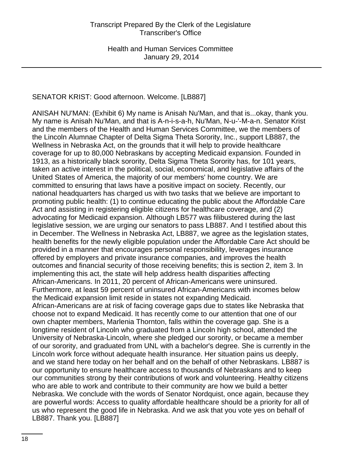# SENATOR KRIST: Good afternoon. Welcome. [LB887]

ANISAH NU'MAN: (Exhibit 6) My name is Anisah Nu'Man, and that is...okay, thank you. My name is Anisah Nu'Man, and that is A-n-i-s-a-h, Nu'Man, N-u-'-M-a-n. Senator Krist and the members of the Health and Human Services Committee, we the members of the Lincoln Alumnae Chapter of Delta Sigma Theta Sorority, Inc., support LB887, the Wellness in Nebraska Act, on the grounds that it will help to provide healthcare coverage for up to 80,000 Nebraskans by accepting Medicaid expansion. Founded in 1913, as a historically black sorority, Delta Sigma Theta Sorority has, for 101 years, taken an active interest in the political, social, economical, and legislative affairs of the United States of America, the majority of our members' home country. We are committed to ensuring that laws have a positive impact on society. Recently, our national headquarters has charged us with two tasks that we believe are important to promoting public health: (1) to continue educating the public about the Affordable Care Act and assisting in registering eligible citizens for healthcare coverage, and (2) advocating for Medicaid expansion. Although LB577 was filibustered during the last legislative session, we are urging our senators to pass LB887. And I testified about this in December. The Wellness in Nebraska Act, LB887, we agree as the legislation states, health benefits for the newly eligible population under the Affordable Care Act should be provided in a manner that encourages personal responsibility, leverages insurance offered by employers and private insurance companies, and improves the health outcomes and financial security of those receiving benefits; this is section 2, item 3. In implementing this act, the state will help address health disparities affecting African-Americans. In 2011, 20 percent of African-Americans were uninsured. Furthermore, at least 59 percent of uninsured African-Americans with incomes below the Medicaid expansion limit reside in states not expanding Medicaid. African-Americans are at risk of facing coverage gaps due to states like Nebraska that choose not to expand Medicaid. It has recently come to our attention that one of our own chapter members, Marlenia Thornton, falls within the coverage gap. She is a longtime resident of Lincoln who graduated from a Lincoln high school, attended the University of Nebraska-Lincoln, where she pledged our sorority, or became a member of our sorority, and graduated from UNL with a bachelor's degree. She is currently in the Lincoln work force without adequate health insurance. Her situation pains us deeply, and we stand here today on her behalf and on the behalf of other Nebraskans. LB887 is our opportunity to ensure healthcare access to thousands of Nebraskans and to keep our communities strong by their contributions of work and volunteering. Healthy citizens who are able to work and contribute to their community are how we build a better Nebraska. We conclude with the words of Senator Nordquist, once again, because they are powerful words: Access to quality affordable healthcare should be a priority for all of us who represent the good life in Nebraska. And we ask that you vote yes on behalf of LB887. Thank you. [LB887]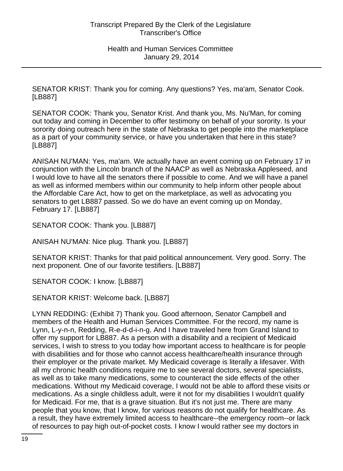SENATOR KRIST: Thank you for coming. Any questions? Yes, ma'am, Senator Cook. [LB887]

SENATOR COOK: Thank you, Senator Krist. And thank you, Ms. Nu'Man, for coming out today and coming in December to offer testimony on behalf of your sorority. Is your sorority doing outreach here in the state of Nebraska to get people into the marketplace as a part of your community service, or have you undertaken that here in this state? [LB887]

ANISAH NU'MAN: Yes, ma'am. We actually have an event coming up on February 17 in conjunction with the Lincoln branch of the NAACP as well as Nebraska Appleseed, and I would love to have all the senators there if possible to come. And we will have a panel as well as informed members within our community to help inform other people about the Affordable Care Act, how to get on the marketplace, as well as advocating you senators to get LB887 passed. So we do have an event coming up on Monday, February 17. [LB887]

SENATOR COOK: Thank you. [LB887]

ANISAH NU'MAN: Nice plug. Thank you. [LB887]

SENATOR KRIST: Thanks for that paid political announcement. Very good. Sorry. The next proponent. One of our favorite testifiers. [LB887]

SENATOR COOK: I know. [LB887]

SENATOR KRIST: Welcome back. [LB887]

LYNN REDDING: (Exhibit 7) Thank you. Good afternoon, Senator Campbell and members of the Health and Human Services Committee. For the record, my name is Lynn, L-y-n-n, Redding, R-e-d-d-i-n-g. And I have traveled here from Grand Island to offer my support for LB887. As a person with a disability and a recipient of Medicaid services, I wish to stress to you today how important access to healthcare is for people with disabilities and for those who cannot access healthcare/health insurance through their employer or the private market. My Medicaid coverage is literally a lifesaver. With all my chronic health conditions require me to see several doctors, several specialists, as well as to take many medications, some to counteract the side effects of the other medications. Without my Medicaid coverage, I would not be able to afford these visits or medications. As a single childless adult, were it not for my disabilities I wouldn't qualify for Medicaid. For me, that is a grave situation. But it's not just me. There are many people that you know, that I know, for various reasons do not qualify for healthcare. As a result, they have extremely limited access to healthcare--the emergency room--or lack of resources to pay high out-of-pocket costs. I know I would rather see my doctors in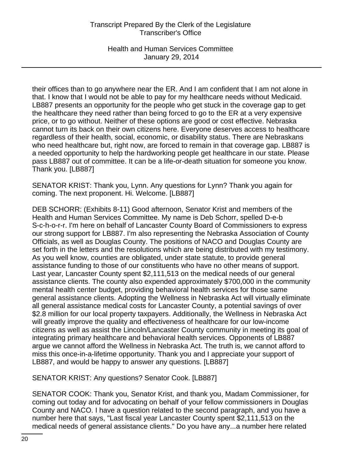Health and Human Services Committee January 29, 2014

their offices than to go anywhere near the ER. And I am confident that I am not alone in that. I know that I would not be able to pay for my healthcare needs without Medicaid. LB887 presents an opportunity for the people who get stuck in the coverage gap to get the healthcare they need rather than being forced to go to the ER at a very expensive price, or to go without. Neither of these options are good or cost effective. Nebraska cannot turn its back on their own citizens here. Everyone deserves access to healthcare regardless of their health, social, economic, or disability status. There are Nebraskans who need healthcare but, right now, are forced to remain in that coverage gap. LB887 is a needed opportunity to help the hardworking people get healthcare in our state. Please pass LB887 out of committee. It can be a life-or-death situation for someone you know. Thank you. [LB887]

SENATOR KRIST: Thank you, Lynn. Any questions for Lynn? Thank you again for coming. The next proponent. Hi. Welcome. [LB887]

DEB SCHORR: (Exhibits 8-11) Good afternoon, Senator Krist and members of the Health and Human Services Committee. My name is Deb Schorr, spelled D-e-b S-c-h-o-r-r. I'm here on behalf of Lancaster County Board of Commissioners to express our strong support for LB887. I'm also representing the Nebraska Association of County Officials, as well as Douglas County. The positions of NACO and Douglas County are set forth in the letters and the resolutions which are being distributed with my testimony. As you well know, counties are obligated, under state statute, to provide general assistance funding to those of our constituents who have no other means of support. Last year, Lancaster County spent \$2,111,513 on the medical needs of our general assistance clients. The county also expended approximately \$700,000 in the community mental health center budget, providing behavioral health services for those same general assistance clients. Adopting the Wellness in Nebraska Act will virtually eliminate all general assistance medical costs for Lancaster County, a potential savings of over \$2.8 million for our local property taxpayers. Additionally, the Wellness in Nebraska Act will greatly improve the quality and effectiveness of healthcare for our low-income citizens as well as assist the Lincoln/Lancaster County community in meeting its goal of integrating primary healthcare and behavioral health services. Opponents of LB887 argue we cannot afford the Wellness in Nebraska Act. The truth is, we cannot afford to miss this once-in-a-lifetime opportunity. Thank you and I appreciate your support of LB887, and would be happy to answer any questions. [LB887]

SENATOR KRIST: Any questions? Senator Cook. [LB887]

SENATOR COOK: Thank you, Senator Krist, and thank you, Madam Commissioner, for coming out today and for advocating on behalf of your fellow commissioners in Douglas County and NACO. I have a question related to the second paragraph, and you have a number here that says, "Last fiscal year Lancaster County spent \$2,111,513 on the medical needs of general assistance clients." Do you have any...a number here related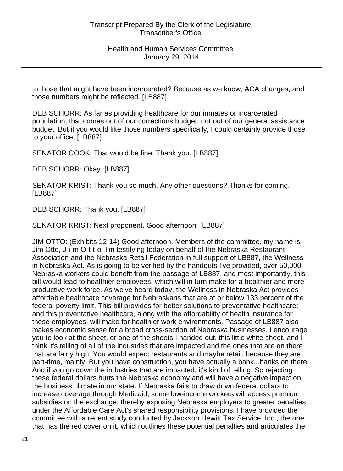to those that might have been incarcerated? Because as we know, ACA changes, and those numbers might be reflected. [LB887]

DEB SCHORR: As far as providing healthcare for our inmates or incarcerated population, that comes out of our corrections budget, not out of our general assistance budget. But if you would like those numbers specifically, I could certainly provide those to your office. [LB887]

SENATOR COOK: That would be fine. Thank you. [LB887]

DEB SCHORR: Okay. [LB887]

SENATOR KRIST: Thank you so much. Any other questions? Thanks for coming. [LB887]

DEB SCHORR: Thank you. [LB887]

SENATOR KRIST: Next proponent. Good afternoon. [LB887]

JIM OTTO: (Exhibits 12-14) Good afternoon. Members of the committee, my name is Jim Otto, J-i-m O-t-t-o. I'm testifying today on behalf of the Nebraska Restaurant Association and the Nebraska Retail Federation in full support of LB887, the Wellness in Nebraska Act. As is going to be verified by the handouts I've provided, over 50,000 Nebraska workers could benefit from the passage of LB887, and most importantly, this bill would lead to healthier employees, which will in turn make for a healthier and more productive work force. As we've heard today, the Wellness in Nebraska Act provides affordable healthcare coverage for Nebraskans that are at or below 133 percent of the federal poverty limit. This bill provides for better solutions to preventative healthcare; and this preventative healthcare, along with the affordability of health insurance for these employees, will make for healthier work environments. Passage of LB887 also makes economic sense for a broad cross-section of Nebraska businesses. I encourage you to look at the sheet, or one of the sheets I handed out, this little white sheet, and I think it's telling of all of the industries that are impacted and the ones that are on there that are fairly high. You would expect restaurants and maybe retail, because they are part-time, mainly. But you have construction, you have actually a bank...banks on there. And if you go down the industries that are impacted, it's kind of telling. So rejecting these federal dollars hurts the Nebraska economy and will have a negative impact on the business climate in our state. If Nebraska fails to draw down federal dollars to increase coverage through Medicaid, some low-income workers will access premium subsidies on the exchange, thereby exposing Nebraska employers to greater penalties under the Affordable Care Act's shared responsibility provisions. I have provided the committee with a recent study conducted by Jackson Hewitt Tax Service, Inc., the one that has the red cover on it, which outlines these potential penalties and articulates the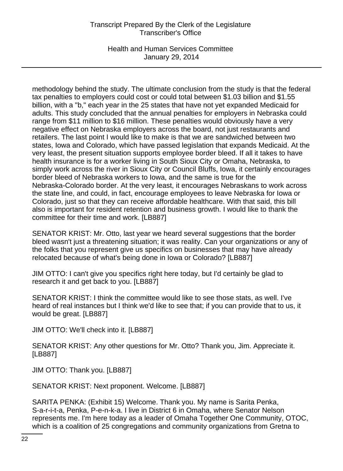Health and Human Services Committee January 29, 2014

methodology behind the study. The ultimate conclusion from the study is that the federal tax penalties to employers could cost or could total between \$1.03 billion and \$1.55 billion, with a "b," each year in the 25 states that have not yet expanded Medicaid for adults. This study concluded that the annual penalties for employers in Nebraska could range from \$11 million to \$16 million. These penalties would obviously have a very negative effect on Nebraska employers across the board, not just restaurants and retailers. The last point I would like to make is that we are sandwiched between two states, Iowa and Colorado, which have passed legislation that expands Medicaid. At the very least, the present situation supports employee border bleed. If all it takes to have health insurance is for a worker living in South Sioux City or Omaha, Nebraska, to simply work across the river in Sioux City or Council Bluffs, Iowa, it certainly encourages border bleed of Nebraska workers to Iowa, and the same is true for the Nebraska-Colorado border. At the very least, it encourages Nebraskans to work across the state line, and could, in fact, encourage employees to leave Nebraska for Iowa or Colorado, just so that they can receive affordable healthcare. With that said, this bill also is important for resident retention and business growth. I would like to thank the committee for their time and work. [LB887]

SENATOR KRIST: Mr. Otto, last year we heard several suggestions that the border bleed wasn't just a threatening situation; it was reality. Can your organizations or any of the folks that you represent give us specifics on businesses that may have already relocated because of what's being done in Iowa or Colorado? [LB887]

JIM OTTO: I can't give you specifics right here today, but I'd certainly be glad to research it and get back to you. [LB887]

SENATOR KRIST: I think the committee would like to see those stats, as well. I've heard of real instances but I think we'd like to see that; if you can provide that to us, it would be great. [LB887]

JIM OTTO: We'll check into it. [LB887]

SENATOR KRIST: Any other questions for Mr. Otto? Thank you, Jim. Appreciate it. [LB887]

JIM OTTO: Thank you. [LB887]

SENATOR KRIST: Next proponent. Welcome. [LB887]

SARITA PENKA: (Exhibit 15) Welcome. Thank you. My name is Sarita Penka, S-a-r-i-t-a, Penka, P-e-n-k-a. I live in District 6 in Omaha, where Senator Nelson represents me. I'm here today as a leader of Omaha Together One Community, OTOC, which is a coalition of 25 congregations and community organizations from Gretna to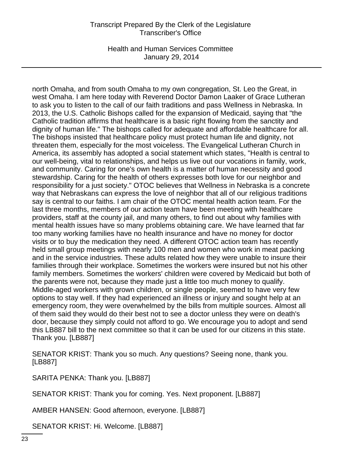Health and Human Services Committee January 29, 2014

north Omaha, and from south Omaha to my own congregation, St. Leo the Great, in west Omaha. I am here today with Reverend Doctor Damon Laaker of Grace Lutheran to ask you to listen to the call of our faith traditions and pass Wellness in Nebraska. In 2013, the U.S. Catholic Bishops called for the expansion of Medicaid, saying that "the Catholic tradition affirms that healthcare is a basic right flowing from the sanctity and dignity of human life." The bishops called for adequate and affordable healthcare for all. The bishops insisted that healthcare policy must protect human life and dignity, not threaten them, especially for the most voiceless. The Evangelical Lutheran Church in America, its assembly has adopted a social statement which states, "Health is central to our well-being, vital to relationships, and helps us live out our vocations in family, work, and community. Caring for one's own health is a matter of human necessity and good stewardship. Caring for the health of others expresses both love for our neighbor and responsibility for a just society." OTOC believes that Wellness in Nebraska is a concrete way that Nebraskans can express the love of neighbor that all of our religious traditions say is central to our faiths. I am chair of the OTOC mental health action team. For the last three months, members of our action team have been meeting with healthcare providers, staff at the county jail, and many others, to find out about why families with mental health issues have so many problems obtaining care. We have learned that far too many working families have no health insurance and have no money for doctor visits or to buy the medication they need. A different OTOC action team has recently held small group meetings with nearly 100 men and women who work in meat packing and in the service industries. These adults related how they were unable to insure their families through their workplace. Sometimes the workers were insured but not his other family members. Sometimes the workers' children were covered by Medicaid but both of the parents were not, because they made just a little too much money to qualify. Middle-aged workers with grown children, or single people, seemed to have very few options to stay well. If they had experienced an illness or injury and sought help at an emergency room, they were overwhelmed by the bills from multiple sources. Almost all of them said they would do their best not to see a doctor unless they were on death's door, because they simply could not afford to go. We encourage you to adopt and send this LB887 bill to the next committee so that it can be used for our citizens in this state. Thank you. [LB887]

SENATOR KRIST: Thank you so much. Any questions? Seeing none, thank you. [LB887]

SARITA PENKA: Thank you. [LB887]

SENATOR KRIST: Thank you for coming. Yes. Next proponent. [LB887]

AMBER HANSEN: Good afternoon, everyone. [LB887]

SENATOR KRIST: Hi. Welcome. [LB887]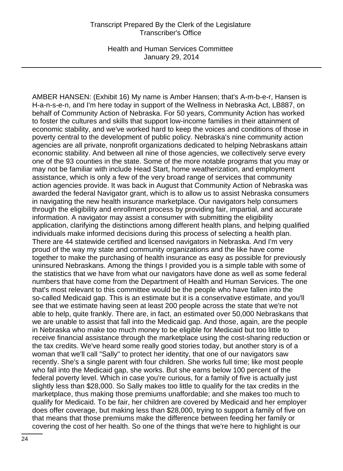Health and Human Services Committee January 29, 2014

AMBER HANSEN: (Exhibit 16) My name is Amber Hansen; that's A-m-b-e-r, Hansen is H-a-n-s-e-n, and I'm here today in support of the Wellness in Nebraska Act, LB887, on behalf of Community Action of Nebraska. For 50 years, Community Action has worked to foster the cultures and skills that support low-income families in their attainment of economic stability, and we've worked hard to keep the voices and conditions of those in poverty central to the development of public policy. Nebraska's nine community action agencies are all private, nonprofit organizations dedicated to helping Nebraskans attain economic stability. And between all nine of those agencies, we collectively serve every one of the 93 counties in the state. Some of the more notable programs that you may or may not be familiar with include Head Start, home weatherization, and employment assistance, which is only a few of the very broad range of services that community action agencies provide. It was back in August that Community Action of Nebraska was awarded the federal Navigator grant, which is to allow us to assist Nebraska consumers in navigating the new health insurance marketplace. Our navigators help consumers through the eligibility and enrollment process by providing fair, impartial, and accurate information. A navigator may assist a consumer with submitting the eligibility application, clarifying the distinctions among different health plans, and helping qualified individuals make informed decisions during this process of selecting a health plan. There are 44 statewide certified and licensed navigators in Nebraska. And I'm very proud of the way my state and community organizations and the like have come together to make the purchasing of health insurance as easy as possible for previously uninsured Nebraskans. Among the things I provided you is a simple table with some of the statistics that we have from what our navigators have done as well as some federal numbers that have come from the Department of Health and Human Services. The one that's most relevant to this committee would be the people who have fallen into the so-called Medicaid gap. This is an estimate but it is a conservative estimate, and you'll see that we estimate having seen at least 200 people across the state that we're not able to help, quite frankly. There are, in fact, an estimated over 50,000 Nebraskans that we are unable to assist that fall into the Medicaid gap. And those, again, are the people in Nebraska who make too much money to be eligible for Medicaid but too little to receive financial assistance through the marketplace using the cost-sharing reduction or the tax credits. We've heard some really good stories today, but another story is of a woman that we'll call "Sally" to protect her identity, that one of our navigators saw recently. She's a single parent with four children. She works full time; like most people who fall into the Medicaid gap, she works. But she earns below 100 percent of the federal poverty level. Which in case you're curious, for a family of five is actually just slightly less than \$28,000. So Sally makes too little to qualify for the tax credits in the marketplace, thus making those premiums unaffordable; and she makes too much to qualify for Medicaid. To be fair, her children are covered by Medicaid and her employer does offer coverage, but making less than \$28,000, trying to support a family of five on that means that those premiums make the difference between feeding her family or covering the cost of her health. So one of the things that we're here to highlight is our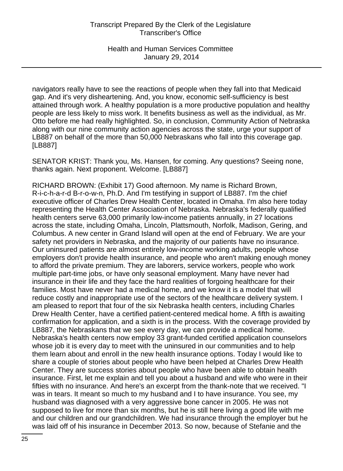navigators really have to see the reactions of people when they fall into that Medicaid gap. And it's very disheartening. And, you know, economic self-sufficiency is best attained through work. A healthy population is a more productive population and healthy people are less likely to miss work. It benefits business as well as the individual, as Mr. Otto before me had really highlighted. So, in conclusion, Community Action of Nebraska along with our nine community action agencies across the state, urge your support of LB887 on behalf of the more than 50,000 Nebraskans who fall into this coverage gap. [LB887]

SENATOR KRIST: Thank you, Ms. Hansen, for coming. Any questions? Seeing none, thanks again. Next proponent. Welcome. [LB887]

RICHARD BROWN: (Exhibit 17) Good afternoon. My name is Richard Brown, R-i-c-h-a-r-d B-r-o-w-n, Ph.D. And I'm testifying in support of LB887. I'm the chief executive officer of Charles Drew Health Center, located in Omaha. I'm also here today representing the Health Center Association of Nebraska. Nebraska's federally qualified health centers serve 63,000 primarily low-income patients annually, in 27 locations across the state, including Omaha, Lincoln, Plattsmouth, Norfolk, Madison, Gering, and Columbus. A new center in Grand Island will open at the end of February. We are your safety net providers in Nebraska, and the majority of our patients have no insurance. Our uninsured patients are almost entirely low-income working adults, people whose employers don't provide health insurance, and people who aren't making enough money to afford the private premium. They are laborers, service workers, people who work multiple part-time jobs, or have only seasonal employment. Many have never had insurance in their life and they face the hard realities of forgoing healthcare for their families. Most have never had a medical home, and we know it is a model that will reduce costly and inappropriate use of the sectors of the healthcare delivery system. I am pleased to report that four of the six Nebraska health centers, including Charles Drew Health Center, have a certified patient-centered medical home. A fifth is awaiting confirmation for application, and a sixth is in the process. With the coverage provided by LB887, the Nebraskans that we see every day, we can provide a medical home. Nebraska's health centers now employ 33 grant-funded certified application counselors whose job it is every day to meet with the uninsured in our communities and to help them learn about and enroll in the new health insurance options. Today I would like to share a couple of stories about people who have been helped at Charles Drew Health Center. They are success stories about people who have been able to obtain health insurance. First, let me explain and tell you about a husband and wife who were in their fifties with no insurance. And here's an excerpt from the thank-note that we received. "I was in tears. It meant so much to my husband and I to have insurance. You see, my husband was diagnosed with a very aggressive bone cancer in 2005. He was not supposed to live for more than six months, but he is still here living a good life with me and our children and our grandchildren. We had insurance through the employer but he was laid off of his insurance in December 2013. So now, because of Stefanie and the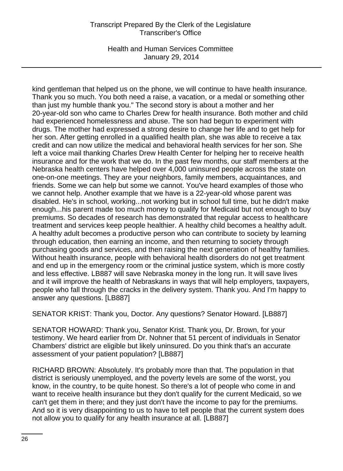Health and Human Services Committee January 29, 2014

kind gentleman that helped us on the phone, we will continue to have health insurance. Thank you so much. You both need a raise, a vacation, or a medal or something other than just my humble thank you." The second story is about a mother and her 20-year-old son who came to Charles Drew for health insurance. Both mother and child had experienced homelessness and abuse. The son had begun to experiment with drugs. The mother had expressed a strong desire to change her life and to get help for her son. After getting enrolled in a qualified health plan, she was able to receive a tax credit and can now utilize the medical and behavioral health services for her son. She left a voice mail thanking Charles Drew Health Center for helping her to receive health insurance and for the work that we do. In the past few months, our staff members at the Nebraska health centers have helped over 4,000 uninsured people across the state on one-on-one meetings. They are your neighbors, family members, acquaintances, and friends. Some we can help but some we cannot. You've heard examples of those who we cannot help. Another example that we have is a 22-year-old whose parent was disabled. He's in school, working...not working but in school full time, but he didn't make enough...his parent made too much money to qualify for Medicaid but not enough to buy premiums. So decades of research has demonstrated that regular access to healthcare treatment and services keep people healthier. A healthy child becomes a healthy adult. A healthy adult becomes a productive person who can contribute to society by learning through education, then earning an income, and then returning to society through purchasing goods and services, and then raising the next generation of healthy families. Without health insurance, people with behavioral health disorders do not get treatment and end up in the emergency room or the criminal justice system, which is more costly and less effective. LB887 will save Nebraska money in the long run. It will save lives and it will improve the health of Nebraskans in ways that will help employers, taxpayers, people who fall through the cracks in the delivery system. Thank you. And I'm happy to answer any questions. [LB887]

SENATOR KRIST: Thank you, Doctor. Any questions? Senator Howard. [LB887]

SENATOR HOWARD: Thank you, Senator Krist. Thank you, Dr. Brown, for your testimony. We heard earlier from Dr. Nohner that 51 percent of individuals in Senator Chambers' district are eligible but likely uninsured. Do you think that's an accurate assessment of your patient population? [LB887]

RICHARD BROWN: Absolutely. It's probably more than that. The population in that district is seriously unemployed, and the poverty levels are some of the worst, you know, in the country, to be quite honest. So there's a lot of people who come in and want to receive health insurance but they don't qualify for the current Medicaid, so we can't get them in there; and they just don't have the income to pay for the premiums. And so it is very disappointing to us to have to tell people that the current system does not allow you to qualify for any health insurance at all. [LB887]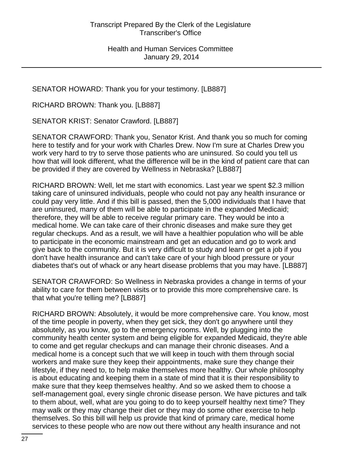SENATOR HOWARD: Thank you for your testimony. [LB887]

RICHARD BROWN: Thank you. [LB887]

SENATOR KRIST: Senator Crawford. [LB887]

SENATOR CRAWFORD: Thank you, Senator Krist. And thank you so much for coming here to testify and for your work with Charles Drew. Now I'm sure at Charles Drew you work very hard to try to serve those patients who are uninsured. So could you tell us how that will look different, what the difference will be in the kind of patient care that can be provided if they are covered by Wellness in Nebraska? [LB887]

RICHARD BROWN: Well, let me start with economics. Last year we spent \$2.3 million taking care of uninsured individuals, people who could not pay any health insurance or could pay very little. And if this bill is passed, then the 5,000 individuals that I have that are uninsured, many of them will be able to participate in the expanded Medicaid; therefore, they will be able to receive regular primary care. They would be into a medical home. We can take care of their chronic diseases and make sure they get regular checkups. And as a result, we will have a healthier population who will be able to participate in the economic mainstream and get an education and go to work and give back to the community. But it is very difficult to study and learn or get a job if you don't have health insurance and can't take care of your high blood pressure or your diabetes that's out of whack or any heart disease problems that you may have. [LB887]

SENATOR CRAWFORD: So Wellness in Nebraska provides a change in terms of your ability to care for them between visits or to provide this more comprehensive care. Is that what you're telling me? [LB887]

RICHARD BROWN: Absolutely, it would be more comprehensive care. You know, most of the time people in poverty, when they get sick, they don't go anywhere until they absolutely, as you know, go to the emergency rooms. Well, by plugging into the community health center system and being eligible for expanded Medicaid, they're able to come and get regular checkups and can manage their chronic diseases. And a medical home is a concept such that we will keep in touch with them through social workers and make sure they keep their appointments, make sure they change their lifestyle, if they need to, to help make themselves more healthy. Our whole philosophy is about educating and keeping them in a state of mind that it is their responsibility to make sure that they keep themselves healthy. And so we asked them to choose a self-management goal, every single chronic disease person. We have pictures and talk to them about, well, what are you going to do to keep yourself healthy next time? They may walk or they may change their diet or they may do some other exercise to help themselves. So this bill will help us provide that kind of primary care, medical home services to these people who are now out there without any health insurance and not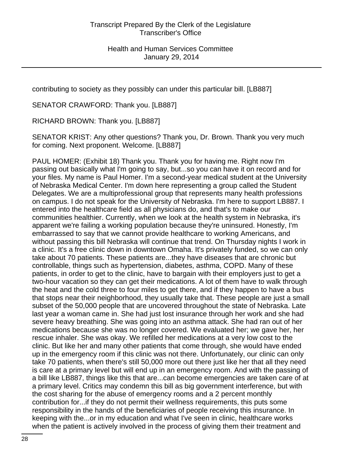contributing to society as they possibly can under this particular bill. [LB887]

SENATOR CRAWFORD: Thank you. [LB887]

RICHARD BROWN: Thank you. [LB887]

SENATOR KRIST: Any other questions? Thank you, Dr. Brown. Thank you very much for coming. Next proponent. Welcome. [LB887]

PAUL HOMER: (Exhibit 18) Thank you. Thank you for having me. Right now I'm passing out basically what I'm going to say, but...so you can have it on record and for your files. My name is Paul Homer. I'm a second-year medical student at the University of Nebraska Medical Center. I'm down here representing a group called the Student Delegates. We are a multiprofessional group that represents many health professions on campus. I do not speak for the University of Nebraska. I'm here to support LB887. I entered into the healthcare field as all physicians do, and that's to make our communities healthier. Currently, when we look at the health system in Nebraska, it's apparent we're failing a working population because they're uninsured. Honestly, I'm embarrassed to say that we cannot provide healthcare to working Americans, and without passing this bill Nebraska will continue that trend. On Thursday nights I work in a clinic. It's a free clinic down in downtown Omaha. It's privately funded, so we can only take about 70 patients. These patients are...they have diseases that are chronic but controllable, things such as hypertension, diabetes, asthma, COPD. Many of these patients, in order to get to the clinic, have to bargain with their employers just to get a two-hour vacation so they can get their medications. A lot of them have to walk through the heat and the cold three to four miles to get there, and if they happen to have a bus that stops near their neighborhood, they usually take that. These people are just a small subset of the 50,000 people that are uncovered throughout the state of Nebraska. Late last year a woman came in. She had just lost insurance through her work and she had severe heavy breathing. She was going into an asthma attack. She had ran out of her medications because she was no longer covered. We evaluated her; we gave her, her rescue inhaler. She was okay. We refilled her medications at a very low cost to the clinic. But like her and many other patients that come through, she would have ended up in the emergency room if this clinic was not there. Unfortunately, our clinic can only take 70 patients, when there's still 50,000 more out there just like her that all they need is care at a primary level but will end up in an emergency room. And with the passing of a bill like LB887, things like this that are...can become emergencies are taken care of at a primary level. Critics may condemn this bill as big government interference, but with the cost sharing for the abuse of emergency rooms and a 2 percent monthly contribution for...if they do not permit their wellness requirements, this puts some responsibility in the hands of the beneficiaries of people receiving this insurance. In keeping with the...or in my education and what I've seen in clinic, healthcare works when the patient is actively involved in the process of giving them their treatment and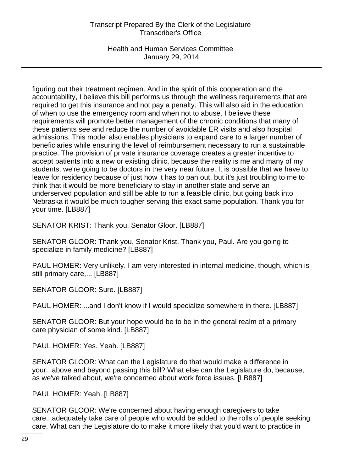Health and Human Services Committee January 29, 2014

figuring out their treatment regimen. And in the spirit of this cooperation and the accountability, I believe this bill performs us through the wellness requirements that are required to get this insurance and not pay a penalty. This will also aid in the education of when to use the emergency room and when not to abuse. I believe these requirements will promote better management of the chronic conditions that many of these patients see and reduce the number of avoidable ER visits and also hospital admissions. This model also enables physicians to expand care to a larger number of beneficiaries while ensuring the level of reimbursement necessary to run a sustainable practice. The provision of private insurance coverage creates a greater incentive to accept patients into a new or existing clinic, because the reality is me and many of my students, we're going to be doctors in the very near future. It is possible that we have to leave for residency because of just how it has to pan out, but it's just troubling to me to think that it would be more beneficiary to stay in another state and serve an underserved population and still be able to run a feasible clinic, but going back into Nebraska it would be much tougher serving this exact same population. Thank you for your time. [LB887]

SENATOR KRIST: Thank you. Senator Gloor. [LB887]

SENATOR GLOOR: Thank you, Senator Krist. Thank you, Paul. Are you going to specialize in family medicine? [LB887]

PAUL HOMER: Very unlikely. I am very interested in internal medicine, though, which is still primary care,... [LB887]

SENATOR GLOOR: Sure. [LB887]

PAUL HOMER: ...and I don't know if I would specialize somewhere in there. [LB887]

SENATOR GLOOR: But your hope would be to be in the general realm of a primary care physician of some kind. [LB887]

PAUL HOMER: Yes. Yeah. [LB887]

SENATOR GLOOR: What can the Legislature do that would make a difference in your...above and beyond passing this bill? What else can the Legislature do, because, as we've talked about, we're concerned about work force issues. [LB887]

PAUL HOMER: Yeah. [LB887]

SENATOR GLOOR: We're concerned about having enough caregivers to take care...adequately take care of people who would be added to the rolls of people seeking care. What can the Legislature do to make it more likely that you'd want to practice in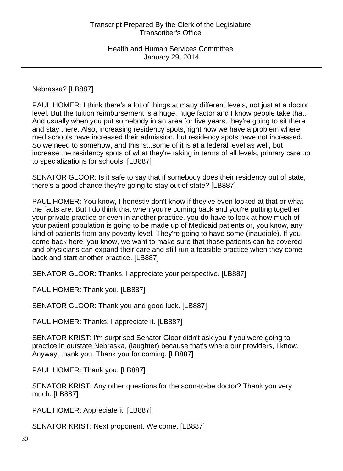Nebraska? [LB887]

PAUL HOMER: I think there's a lot of things at many different levels, not just at a doctor level. But the tuition reimbursement is a huge, huge factor and I know people take that. And usually when you put somebody in an area for five years, they're going to sit there and stay there. Also, increasing residency spots, right now we have a problem where med schools have increased their admission, but residency spots have not increased. So we need to somehow, and this is...some of it is at a federal level as well, but increase the residency spots of what they're taking in terms of all levels, primary care up to specializations for schools. [LB887]

SENATOR GLOOR: Is it safe to say that if somebody does their residency out of state, there's a good chance they're going to stay out of state? [LB887]

PAUL HOMER: You know, I honestly don't know if they've even looked at that or what the facts are. But I do think that when you're coming back and you're putting together your private practice or even in another practice, you do have to look at how much of your patient population is going to be made up of Medicaid patients or, you know, any kind of patients from any poverty level. They're going to have some (inaudible). If you come back here, you know, we want to make sure that those patients can be covered and physicians can expand their care and still run a feasible practice when they come back and start another practice. [LB887]

SENATOR GLOOR: Thanks. I appreciate your perspective. [LB887]

PAUL HOMER: Thank you. [LB887]

SENATOR GLOOR: Thank you and good luck. [LB887]

PAUL HOMER: Thanks. I appreciate it. [LB887]

SENATOR KRIST: I'm surprised Senator Gloor didn't ask you if you were going to practice in outstate Nebraska, (laughter) because that's where our providers, I know. Anyway, thank you. Thank you for coming. [LB887]

PAUL HOMER: Thank you. [LB887]

SENATOR KRIST: Any other questions for the soon-to-be doctor? Thank you very much. [LB887]

PAUL HOMER: Appreciate it. [LB887]

SENATOR KRIST: Next proponent. Welcome. [LB887]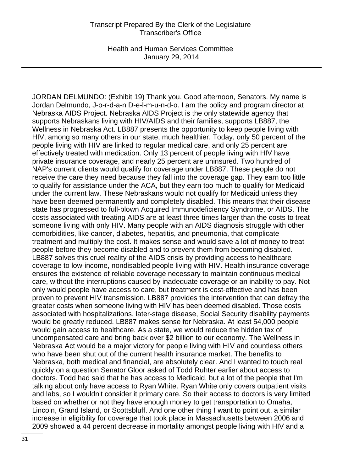Health and Human Services Committee January 29, 2014

JORDAN DELMUNDO: (Exhibit 19) Thank you. Good afternoon, Senators. My name is Jordan Delmundo, J-o-r-d-a-n D-e-l-m-u-n-d-o. I am the policy and program director at Nebraska AIDS Project. Nebraska AIDS Project is the only statewide agency that supports Nebraskans living with HIV/AIDS and their families, supports LB887, the Wellness in Nebraska Act. LB887 presents the opportunity to keep people living with HIV, among so many others in our state, much healthier. Today, only 50 percent of the people living with HIV are linked to regular medical care, and only 25 percent are effectively treated with medication. Only 13 percent of people living with HIV have private insurance coverage, and nearly 25 percent are uninsured. Two hundred of NAP's current clients would qualify for coverage under LB887. These people do not receive the care they need because they fall into the coverage gap. They earn too little to qualify for assistance under the ACA, but they earn too much to qualify for Medicaid under the current law. These Nebraskans would not qualify for Medicaid unless they have been deemed permanently and completely disabled. This means that their disease state has progressed to full-blown Acquired Immunodeficiency Syndrome, or AIDS. The costs associated with treating AIDS are at least three times larger than the costs to treat someone living with only HIV. Many people with an AIDS diagnosis struggle with other comorbidities, like cancer, diabetes, hepatitis, and pneumonia, that complicate treatment and multiply the cost. It makes sense and would save a lot of money to treat people before they become disabled and to prevent them from becoming disabled. LB887 solves this cruel reality of the AIDS crisis by providing access to healthcare coverage to low-income, nondisabled people living with HIV. Health insurance coverage ensures the existence of reliable coverage necessary to maintain continuous medical care, without the interruptions caused by inadequate coverage or an inability to pay. Not only would people have access to care, but treatment is cost-effective and has been proven to prevent HIV transmission. LB887 provides the intervention that can defray the greater costs when someone living with HIV has been deemed disabled. Those costs associated with hospitalizations, later-stage disease, Social Security disability payments would be greatly reduced. LB887 makes sense for Nebraska. At least 54,000 people would gain access to healthcare. As a state, we would reduce the hidden tax of uncompensated care and bring back over \$2 billion to our economy. The Wellness in Nebraska Act would be a major victory for people living with HIV and countless others who have been shut out of the current health insurance market. The benefits to Nebraska, both medical and financial, are absolutely clear. And I wanted to touch real quickly on a question Senator Gloor asked of Todd Ruhter earlier about access to doctors. Todd had said that he has access to Medicaid, but a lot of the people that I'm talking about only have access to Ryan White. Ryan White only covers outpatient visits and labs, so I wouldn't consider it primary care. So their access to doctors is very limited based on whether or not they have enough money to get transportation to Omaha, Lincoln, Grand Island, or Scottsbluff. And one other thing I want to point out, a similar increase in eligibility for coverage that took place in Massachusetts between 2006 and 2009 showed a 44 percent decrease in mortality amongst people living with HIV and a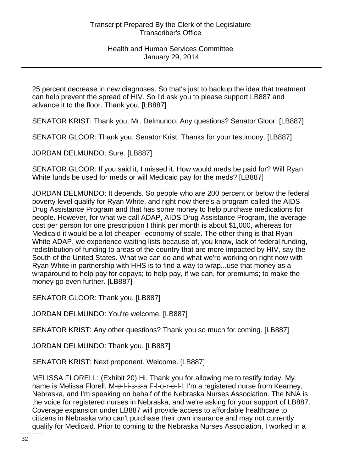25 percent decrease in new diagnoses. So that's just to backup the idea that treatment can help prevent the spread of HIV. So I'd ask you to please support LB887 and advance it to the floor. Thank you. [LB887]

SENATOR KRIST: Thank you, Mr. Delmundo. Any questions? Senator Gloor. [LB887]

SENATOR GLOOR: Thank you, Senator Krist. Thanks for your testimony. [LB887]

JORDAN DELMUNDO: Sure. [LB887]

SENATOR GLOOR: If you said it, I missed it. How would meds be paid for? Will Ryan White funds be used for meds or will Medicaid pay for the meds? [LB887]

JORDAN DELMUNDO: It depends. So people who are 200 percent or below the federal poverty level qualify for Ryan White, and right now there's a program called the AIDS Drug Assistance Program and that has some money to help purchase medications for people. However, for what we call ADAP, AIDS Drug Assistance Program, the average cost per person for one prescription I think per month is about \$1,000, whereas for Medicaid it would be a lot cheaper--economy of scale. The other thing is that Ryan White ADAP, we experience waiting lists because of, you know, lack of federal funding, redistribution of funding to areas of the country that are more impacted by HIV, say the South of the United States. What we can do and what we're working on right now with Ryan White in partnership with HHS is to find a way to wrap...use that money as a wraparound to help pay for copays; to help pay, if we can, for premiums; to make the money go even further. [LB887]

SENATOR GLOOR: Thank you. [LB887]

JORDAN DELMUNDO: You're welcome. [LB887]

SENATOR KRIST: Any other questions? Thank you so much for coming. [LB887]

JORDAN DELMUNDO: Thank you. [LB887]

SENATOR KRIST: Next proponent. Welcome. [LB887]

MELISSA FLORELL: (Exhibit 20) Hi. Thank you for allowing me to testify today. My name is Melissa Florell, M-e-l-i-s-s-a F-l-o-r-e-l-l. I'm a registered nurse from Kearney, Nebraska, and I'm speaking on behalf of the Nebraska Nurses Association. The NNA is the voice for registered nurses in Nebraska, and we're asking for your support of LB887. Coverage expansion under LB887 will provide access to affordable healthcare to citizens in Nebraska who can't purchase their own insurance and may not currently qualify for Medicaid. Prior to coming to the Nebraska Nurses Association, I worked in a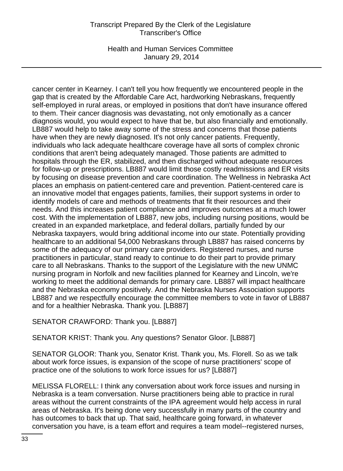Health and Human Services Committee January 29, 2014

cancer center in Kearney. I can't tell you how frequently we encountered people in the gap that is created by the Affordable Care Act, hardworking Nebraskans, frequently self-employed in rural areas, or employed in positions that don't have insurance offered to them. Their cancer diagnosis was devastating, not only emotionally as a cancer diagnosis would, you would expect to have that be, but also financially and emotionally. LB887 would help to take away some of the stress and concerns that those patients have when they are newly diagnosed. It's not only cancer patients. Frequently, individuals who lack adequate healthcare coverage have all sorts of complex chronic conditions that aren't being adequately managed. Those patients are admitted to hospitals through the ER, stabilized, and then discharged without adequate resources for follow-up or prescriptions. LB887 would limit those costly readmissions and ER visits by focusing on disease prevention and care coordination. The Wellness in Nebraska Act places an emphasis on patient-centered care and prevention. Patient-centered care is an innovative model that engages patients, families, their support systems in order to identify models of care and methods of treatments that fit their resources and their needs. And this increases patient compliance and improves outcomes at a much lower cost. With the implementation of LB887, new jobs, including nursing positions, would be created in an expanded marketplace, and federal dollars, partially funded by our Nebraska taxpayers, would bring additional income into our state. Potentially providing healthcare to an additional 54,000 Nebraskans through LB887 has raised concerns by some of the adequacy of our primary care providers. Registered nurses, and nurse practitioners in particular, stand ready to continue to do their part to provide primary care to all Nebraskans. Thanks to the support of the Legislature with the new UNMC nursing program in Norfolk and new facilities planned for Kearney and Lincoln, we're working to meet the additional demands for primary care. LB887 will impact healthcare and the Nebraska economy positively. And the Nebraska Nurses Association supports LB887 and we respectfully encourage the committee members to vote in favor of LB887 and for a healthier Nebraska. Thank you. [LB887]

# SENATOR CRAWFORD: Thank you. [LB887]

SENATOR KRIST: Thank you. Any questions? Senator Gloor. [LB887]

SENATOR GLOOR: Thank you, Senator Krist. Thank you, Ms. Florell. So as we talk about work force issues, is expansion of the scope of nurse practitioners' scope of practice one of the solutions to work force issues for us? [LB887]

MELISSA FLORELL: I think any conversation about work force issues and nursing in Nebraska is a team conversation. Nurse practitioners being able to practice in rural areas without the current constraints of the IPA agreement would help access in rural areas of Nebraska. It's being done very successfully in many parts of the country and has outcomes to back that up. That said, healthcare going forward, in whatever conversation you have, is a team effort and requires a team model--registered nurses,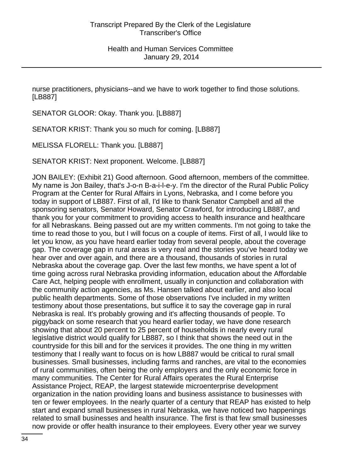nurse practitioners, physicians--and we have to work together to find those solutions. [LB887]

SENATOR GLOOR: Okay. Thank you. [LB887]

SENATOR KRIST: Thank you so much for coming. [LB887]

MELISSA FLORELL: Thank you. [LB887]

SENATOR KRIST: Next proponent. Welcome. [LB887]

JON BAILEY: (Exhibit 21) Good afternoon. Good afternoon, members of the committee. My name is Jon Bailey, that's J-o-n B-a-i-l-e-y. I'm the director of the Rural Public Policy Program at the Center for Rural Affairs in Lyons, Nebraska, and I come before you today in support of LB887. First of all, I'd like to thank Senator Campbell and all the sponsoring senators, Senator Howard, Senator Crawford, for introducing LB887, and thank you for your commitment to providing access to health insurance and healthcare for all Nebraskans. Being passed out are my written comments. I'm not going to take the time to read those to you, but I will focus on a couple of items. First of all, I would like to let you know, as you have heard earlier today from several people, about the coverage gap. The coverage gap in rural areas is very real and the stories you've heard today we hear over and over again, and there are a thousand, thousands of stories in rural Nebraska about the coverage gap. Over the last few months, we have spent a lot of time going across rural Nebraska providing information, education about the Affordable Care Act, helping people with enrollment, usually in conjunction and collaboration with the community action agencies, as Ms. Hansen talked about earlier, and also local public health departments. Some of those observations I've included in my written testimony about those presentations, but suffice it to say the coverage gap in rural Nebraska is real. It's probably growing and it's affecting thousands of people. To piggyback on some research that you heard earlier today, we have done research showing that about 20 percent to 25 percent of households in nearly every rural legislative district would qualify for LB887, so I think that shows the need out in the countryside for this bill and for the services it provides. The one thing in my written testimony that I really want to focus on is how LB887 would be critical to rural small businesses. Small businesses, including farms and ranches, are vital to the economies of rural communities, often being the only employers and the only economic force in many communities. The Center for Rural Affairs operates the Rural Enterprise Assistance Project, REAP, the largest statewide microenterprise development organization in the nation providing loans and business assistance to businesses with ten or fewer employees. In the nearly quarter of a century that REAP has existed to help start and expand small businesses in rural Nebraska, we have noticed two happenings related to small businesses and health insurance. The first is that few small businesses now provide or offer health insurance to their employees. Every other year we survey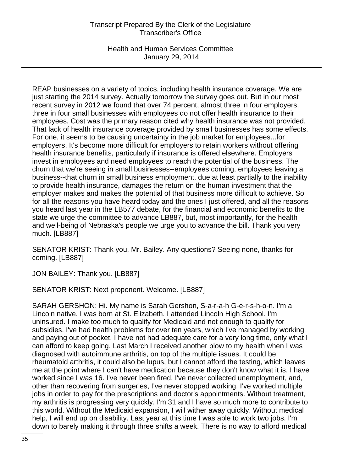Health and Human Services Committee January 29, 2014

REAP businesses on a variety of topics, including health insurance coverage. We are just starting the 2014 survey. Actually tomorrow the survey goes out. But in our most recent survey in 2012 we found that over 74 percent, almost three in four employers, three in four small businesses with employees do not offer health insurance to their employees. Cost was the primary reason cited why health insurance was not provided. That lack of health insurance coverage provided by small businesses has some effects. For one, it seems to be causing uncertainty in the job market for employees...for employers. It's become more difficult for employers to retain workers without offering health insurance benefits, particularly if insurance is offered elsewhere. Employers invest in employees and need employees to reach the potential of the business. The churn that we're seeing in small businesses--employees coming, employees leaving a business--that churn in small business employment, due at least partially to the inability to provide health insurance, damages the return on the human investment that the employer makes and makes the potential of that business more difficult to achieve. So for all the reasons you have heard today and the ones I just offered, and all the reasons you heard last year in the LB577 debate, for the financial and economic benefits to the state we urge the committee to advance LB887, but, most importantly, for the health and well-being of Nebraska's people we urge you to advance the bill. Thank you very much. [LB887]

SENATOR KRIST: Thank you, Mr. Bailey. Any questions? Seeing none, thanks for coming. [LB887]

JON BAILEY: Thank you. [LB887]

SENATOR KRIST: Next proponent. Welcome. [LB887]

SARAH GERSHON: Hi. My name is Sarah Gershon, S-a-r-a-h G-e-r-s-h-o-n. I'm a Lincoln native. I was born at St. Elizabeth. I attended Lincoln High School. I'm uninsured. I make too much to qualify for Medicaid and not enough to qualify for subsidies. I've had health problems for over ten years, which I've managed by working and paying out of pocket. I have not had adequate care for a very long time, only what I can afford to keep going. Last March I received another blow to my health when I was diagnosed with autoimmune arthritis, on top of the multiple issues. It could be rheumatoid arthritis, it could also be lupus, but I cannot afford the testing, which leaves me at the point where I can't have medication because they don't know what it is. I have worked since I was 16. I've never been fired, I've never collected unemployment, and, other than recovering from surgeries, I've never stopped working. I've worked multiple jobs in order to pay for the prescriptions and doctor's appointments. Without treatment, my arthritis is progressing very quickly. I'm 31 and I have so much more to contribute to this world. Without the Medicaid expansion, I will wither away quickly. Without medical help, I will end up on disability. Last year at this time I was able to work two jobs. I'm down to barely making it through three shifts a week. There is no way to afford medical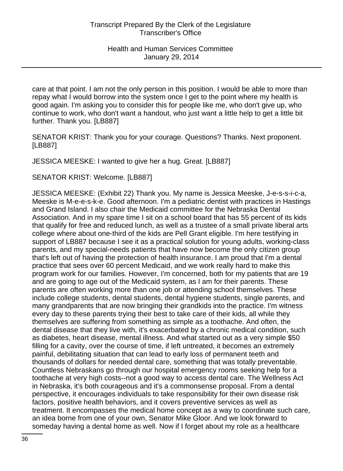care at that point. I am not the only person in this position. I would be able to more than repay what I would borrow into the system once I get to the point where my health is good again. I'm asking you to consider this for people like me, who don't give up, who continue to work, who don't want a handout, who just want a little help to get a little bit further. Thank you. [LB887]

SENATOR KRIST: Thank you for your courage. Questions? Thanks. Next proponent. [LB887]

JESSICA MEESKE: I wanted to give her a hug. Great. [LB887]

SENATOR KRIST: Welcome. [LB887]

JESSICA MEESKE: (Exhibit 22) Thank you. My name is Jessica Meeske, J-e-s-s-i-c-a, Meeske is M-e-e-s-k-e. Good afternoon. I'm a pediatric dentist with practices in Hastings and Grand Island. I also chair the Medicaid committee for the Nebraska Dental Association. And in my spare time I sit on a school board that has 55 percent of its kids that qualify for free and reduced lunch, as well as a trustee of a small private liberal arts college where about one-third of the kids are Pell Grant eligible. I'm here testifying in support of LB887 because I see it as a practical solution for young adults, working-class parents, and my special-needs patients that have now become the only citizen group that's left out of having the protection of health insurance. I am proud that I'm a dental practice that sees over 60 percent Medicaid, and we work really hard to make this program work for our families. However, I'm concerned, both for my patients that are 19 and are going to age out of the Medicaid system, as I am for their parents. These parents are often working more than one job or attending school themselves. These include college students, dental students, dental hygiene students, single parents, and many grandparents that are now bringing their grandkids into the practice. I'm witness every day to these parents trying their best to take care of their kids, all while they themselves are suffering from something as simple as a toothache. And often, the dental disease that they live with, it's exacerbated by a chronic medical condition, such as diabetes, heart disease, mental illness. And what started out as a very simple \$50 filling for a cavity, over the course of time, if left untreated, it becomes an extremely painful, debilitating situation that can lead to early loss of permanent teeth and thousands of dollars for needed dental care, something that was totally preventable. Countless Nebraskans go through our hospital emergency rooms seeking help for a toothache at very high costs--not a good way to access dental care. The Wellness Act in Nebraska, it's both courageous and it's a commonsense proposal. From a dental perspective, it encourages individuals to take responsibility for their own disease risk factors, positive health behaviors, and it covers preventive services as well as treatment. It encompasses the medical home concept as a way to coordinate such care, an idea borne from one of your own, Senator Mike Gloor. And we look forward to someday having a dental home as well. Now if I forget about my role as a healthcare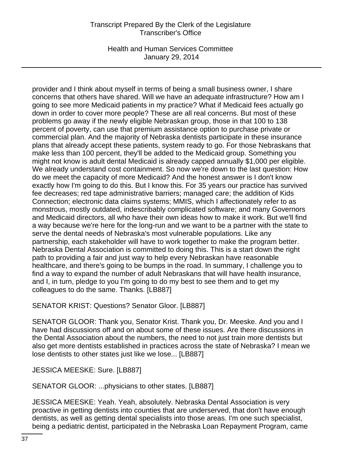Health and Human Services Committee January 29, 2014

provider and I think about myself in terms of being a small business owner, I share concerns that others have shared. Will we have an adequate infrastructure? How am I going to see more Medicaid patients in my practice? What if Medicaid fees actually go down in order to cover more people? These are all real concerns. But most of these problems go away if the newly eligible Nebraskan group, those in that 100 to 138 percent of poverty, can use that premium assistance option to purchase private or commercial plan. And the majority of Nebraska dentists participate in these insurance plans that already accept these patients, system ready to go. For those Nebraskans that make less than 100 percent, they'll be added to the Medicaid group. Something you might not know is adult dental Medicaid is already capped annually \$1,000 per eligible. We already understand cost containment. So now we're down to the last question: How do we meet the capacity of more Medicaid? And the honest answer is I don't know exactly how I'm going to do this. But I know this. For 35 years our practice has survived fee decreases; red tape administrative barriers; managed care; the addition of Kids Connection; electronic data claims systems; MMIS, which I affectionately refer to as monstrous, mostly outdated, indescribably complicated software; and many Governors and Medicaid directors, all who have their own ideas how to make it work. But we'll find a way because we're here for the long-run and we want to be a partner with the state to serve the dental needs of Nebraska's most vulnerable populations. Like any partnership, each stakeholder will have to work together to make the program better. Nebraska Dental Association is committed to doing this. This is a start down the right path to providing a fair and just way to help every Nebraskan have reasonable healthcare, and there's going to be bumps in the road. In summary, I challenge you to find a way to expand the number of adult Nebraskans that will have health insurance, and I, in turn, pledge to you I'm going to do my best to see them and to get my colleagues to do the same. Thanks. [LB887]

SENATOR KRIST: Questions? Senator Gloor. [LB887]

SENATOR GLOOR: Thank you, Senator Krist. Thank you, Dr. Meeske. And you and I have had discussions off and on about some of these issues. Are there discussions in the Dental Association about the numbers, the need to not just train more dentists but also get more dentists established in practices across the state of Nebraska? I mean we lose dentists to other states just like we lose... [LB887]

JESSICA MEESKE: Sure. [LB887]

SENATOR GLOOR: ...physicians to other states. [LB887]

JESSICA MEESKE: Yeah. Yeah, absolutely. Nebraska Dental Association is very proactive in getting dentists into counties that are underserved, that don't have enough dentists, as well as getting dental specialists into those areas. I'm one such specialist, being a pediatric dentist, participated in the Nebraska Loan Repayment Program, came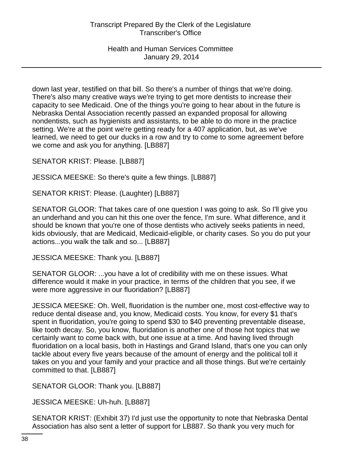Health and Human Services Committee January 29, 2014

down last year, testified on that bill. So there's a number of things that we're doing. There's also many creative ways we're trying to get more dentists to increase their capacity to see Medicaid. One of the things you're going to hear about in the future is Nebraska Dental Association recently passed an expanded proposal for allowing nondentists, such as hygienists and assistants, to be able to do more in the practice setting. We're at the point we're getting ready for a 407 application, but, as we've learned, we need to get our ducks in a row and try to come to some agreement before we come and ask you for anything. [LB887]

SENATOR KRIST: Please. [LB887]

JESSICA MEESKE: So there's quite a few things. [LB887]

SENATOR KRIST: Please. (Laughter) [LB887]

SENATOR GLOOR: That takes care of one question I was going to ask. So I'll give you an underhand and you can hit this one over the fence, I'm sure. What difference, and it should be known that you're one of those dentists who actively seeks patients in need, kids obviously, that are Medicaid, Medicaid-eligible, or charity cases. So you do put your actions...you walk the talk and so... [LB887]

JESSICA MEESKE: Thank you. [LB887]

SENATOR GLOOR: ...you have a lot of credibility with me on these issues. What difference would it make in your practice, in terms of the children that you see, if we were more aggressive in our fluoridation? [LB887]

JESSICA MEESKE: Oh. Well, fluoridation is the number one, most cost-effective way to reduce dental disease and, you know, Medicaid costs. You know, for every \$1 that's spent in fluoridation, you're going to spend \$30 to \$40 preventing preventable disease, like tooth decay. So, you know, fluoridation is another one of those hot topics that we certainly want to come back with, but one issue at a time. And having lived through fluoridation on a local basis, both in Hastings and Grand Island, that's one you can only tackle about every five years because of the amount of energy and the political toll it takes on you and your family and your practice and all those things. But we're certainly committed to that. [LB887]

SENATOR GLOOR: Thank you. [LB887]

JESSICA MEESKE: Uh-huh. [LB887]

SENATOR KRIST: (Exhibit 37) I'd just use the opportunity to note that Nebraska Dental Association has also sent a letter of support for LB887. So thank you very much for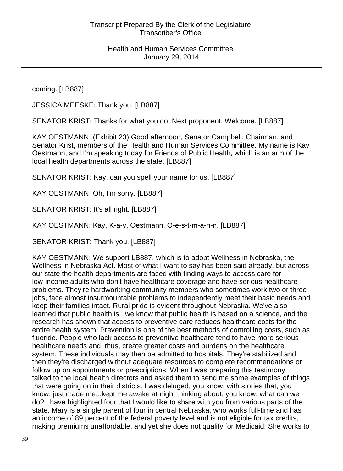coming. [LB887]

JESSICA MEESKE: Thank you. [LB887]

SENATOR KRIST: Thanks for what you do. Next proponent. Welcome. [LB887]

KAY OESTMANN: (Exhibit 23) Good afternoon, Senator Campbell, Chairman, and Senator Krist, members of the Health and Human Services Committee. My name is Kay Oestmann, and I'm speaking today for Friends of Public Health, which is an arm of the local health departments across the state. [LB887]

SENATOR KRIST: Kay, can you spell your name for us. [LB887]

KAY OESTMANN: Oh, I'm sorry. [LB887]

SENATOR KRIST: It's all right. [LB887]

KAY OESTMANN: Kay, K-a-y, Oestmann, O-e-s-t-m-a-n-n. [LB887]

SENATOR KRIST: Thank you. [LB887]

KAY OESTMANN: We support LB887, which is to adopt Wellness in Nebraska, the Wellness in Nebraska Act. Most of what I want to say has been said already, but across our state the health departments are faced with finding ways to access care for low-income adults who don't have healthcare coverage and have serious healthcare problems. They're hardworking community members who sometimes work two or three jobs, face almost insurmountable problems to independently meet their basic needs and keep their families intact. Rural pride is evident throughout Nebraska. We've also learned that public health is...we know that public health is based on a science, and the research has shown that access to preventive care reduces healthcare costs for the entire health system. Prevention is one of the best methods of controlling costs, such as fluoride. People who lack access to preventive healthcare tend to have more serious healthcare needs and, thus, create greater costs and burdens on the healthcare system. These individuals may then be admitted to hospitals. They're stabilized and then they're discharged without adequate resources to complete recommendations or follow up on appointments or prescriptions. When I was preparing this testimony, I talked to the local health directors and asked them to send me some examples of things that were going on in their districts. I was deluged, you know, with stories that, you know, just made me...kept me awake at night thinking about, you know, what can we do? I have highlighted four that I would like to share with you from various parts of the state. Mary is a single parent of four in central Nebraska, who works full-time and has an income of 89 percent of the federal poverty level and is not eligible for tax credits, making premiums unaffordable, and yet she does not qualify for Medicaid. She works to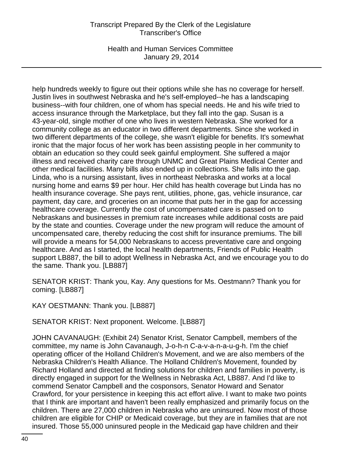Health and Human Services Committee January 29, 2014

help hundreds weekly to figure out their options while she has no coverage for herself. Justin lives in southwest Nebraska and he's self-employed--he has a landscaping business--with four children, one of whom has special needs. He and his wife tried to access insurance through the Marketplace, but they fall into the gap. Susan is a 43-year-old, single mother of one who lives in western Nebraska. She worked for a community college as an educator in two different departments. Since she worked in two different departments of the college, she wasn't eligible for benefits. It's somewhat ironic that the major focus of her work has been assisting people in her community to obtain an education so they could seek gainful employment. She suffered a major illness and received charity care through UNMC and Great Plains Medical Center and other medical facilities. Many bills also ended up in collections. She falls into the gap. Linda, who is a nursing assistant, lives in northeast Nebraska and works at a local nursing home and earns \$9 per hour. Her child has health coverage but Linda has no health insurance coverage. She pays rent, utilities, phone, gas, vehicle insurance, car payment, day care, and groceries on an income that puts her in the gap for accessing healthcare coverage. Currently the cost of uncompensated care is passed on to Nebraskans and businesses in premium rate increases while additional costs are paid by the state and counties. Coverage under the new program will reduce the amount of uncompensated care, thereby reducing the cost shift for insurance premiums. The bill will provide a means for 54,000 Nebraskans to access preventative care and ongoing healthcare. And as I started, the local health departments, Friends of Public Health support LB887, the bill to adopt Wellness in Nebraska Act, and we encourage you to do the same. Thank you. [LB887]

SENATOR KRIST: Thank you, Kay. Any questions for Ms. Oestmann? Thank you for coming. [LB887]

KAY OESTMANN: Thank you. [LB887]

SENATOR KRIST: Next proponent. Welcome. [LB887]

JOHN CAVANAUGH: (Exhibit 24) Senator Krist, Senator Campbell, members of the committee, my name is John Cavanaugh, J-o-h-n C-a-v-a-n-a-u-g-h. I'm the chief operating officer of the Holland Children's Movement, and we are also members of the Nebraska Children's Health Alliance. The Holland Children's Movement, founded by Richard Holland and directed at finding solutions for children and families in poverty, is directly engaged in support for the Wellness in Nebraska Act, LB887. And I'd like to commend Senator Campbell and the cosponsors, Senator Howard and Senator Crawford, for your persistence in keeping this act effort alive. I want to make two points that I think are important and haven't been really emphasized and primarily focus on the children. There are 27,000 children in Nebraska who are uninsured. Now most of those children are eligible for CHIP or Medicaid coverage, but they are in families that are not insured. Those 55,000 uninsured people in the Medicaid gap have children and their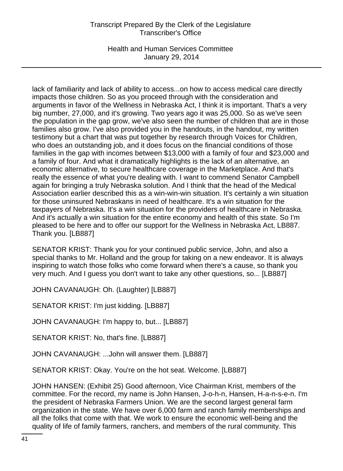Health and Human Services Committee January 29, 2014

lack of familiarity and lack of ability to access...on how to access medical care directly impacts those children. So as you proceed through with the consideration and arguments in favor of the Wellness in Nebraska Act, I think it is important. That's a very big number, 27,000, and it's growing. Two years ago it was 25,000. So as we've seen the population in the gap grow, we've also seen the number of children that are in those families also grow. I've also provided you in the handouts, in the handout, my written testimony but a chart that was put together by research through Voices for Children, who does an outstanding job, and it does focus on the financial conditions of those families in the gap with incomes between \$13,000 with a family of four and \$23,000 and a family of four. And what it dramatically highlights is the lack of an alternative, an economic alternative, to secure healthcare coverage in the Marketplace. And that's really the essence of what you're dealing with. I want to commend Senator Campbell again for bringing a truly Nebraska solution. And I think that the head of the Medical Association earlier described this as a win-win-win situation. It's certainly a win situation for those uninsured Nebraskans in need of healthcare. It's a win situation for the taxpayers of Nebraska. It's a win situation for the providers of healthcare in Nebraska. And it's actually a win situation for the entire economy and health of this state. So I'm pleased to be here and to offer our support for the Wellness in Nebraska Act, LB887. Thank you. [LB887]

SENATOR KRIST: Thank you for your continued public service, John, and also a special thanks to Mr. Holland and the group for taking on a new endeavor. It is always inspiring to watch those folks who come forward when there's a cause, so thank you very much. And I guess you don't want to take any other questions, so... [LB887]

JOHN CAVANAUGH: Oh. (Laughter) [LB887]

SENATOR KRIST: I'm just kidding. [LB887]

JOHN CAVANAUGH: I'm happy to, but... [LB887]

SENATOR KRIST: No, that's fine. [LB887]

JOHN CAVANAUGH: ...John will answer them. [LB887]

SENATOR KRIST: Okay. You're on the hot seat. Welcome. [LB887]

JOHN HANSEN: (Exhibit 25) Good afternoon, Vice Chairman Krist, members of the committee. For the record, my name is John Hansen, J-o-h-n, Hansen, H-a-n-s-e-n. I'm the president of Nebraska Farmers Union. We are the second largest general farm organization in the state. We have over 6,000 farm and ranch family memberships and all the folks that come with that. We work to ensure the economic well-being and the quality of life of family farmers, ranchers, and members of the rural community. This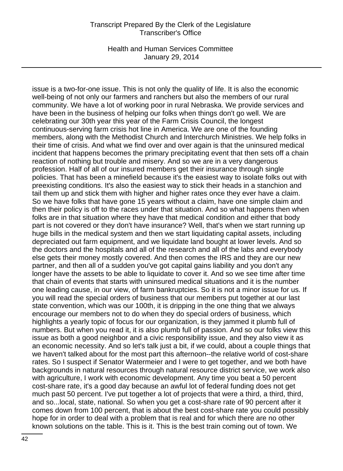Health and Human Services Committee January 29, 2014

issue is a two-for-one issue. This is not only the quality of life. It is also the economic well-being of not only our farmers and ranchers but also the members of our rural community. We have a lot of working poor in rural Nebraska. We provide services and have been in the business of helping our folks when things don't go well. We are celebrating our 30th year this year of the Farm Crisis Council, the longest continuous-serving farm crisis hot line in America. We are one of the founding members, along with the Methodist Church and Interchurch Ministries. We help folks in their time of crisis. And what we find over and over again is that the uninsured medical incident that happens becomes the primary precipitating event that then sets off a chain reaction of nothing but trouble and misery. And so we are in a very dangerous profession. Half of all of our insured members get their insurance through single policies. That has been a minefield because it's the easiest way to isolate folks out with preexisting conditions. It's also the easiest way to stick their heads in a stanchion and tail them up and stick them with higher and higher rates once they ever have a claim. So we have folks that have gone 15 years without a claim, have one simple claim and then their policy is off to the races under that situation. And so what happens then when folks are in that situation where they have that medical condition and either that body part is not covered or they don't have insurance? Well, that's when we start running up huge bills in the medical system and then we start liquidating capital assets, including depreciated out farm equipment, and we liquidate land bought at lower levels. And so the doctors and the hospitals and all of the research and all of the labs and everybody else gets their money mostly covered. And then comes the IRS and they are our new partner, and then all of a sudden you've got capital gains liability and you don't any longer have the assets to be able to liquidate to cover it. And so we see time after time that chain of events that starts with uninsured medical situations and it is the number one leading cause, in our view, of farm bankruptcies. So it is not a minor issue for us. If you will read the special orders of business that our members put together at our last state convention, which was our 100th, it is dripping in the one thing that we always encourage our members not to do when they do special orders of business, which highlights a yearly topic of focus for our organization, is they jammed it plumb full of numbers. But when you read it, it is also plumb full of passion. And so our folks view this issue as both a good neighbor and a civic responsibility issue, and they also view it as an economic necessity. And so let's talk just a bit, if we could, about a couple things that we haven't talked about for the most part this afternoon--the relative world of cost-share rates. So I suspect if Senator Watermeier and I were to get together, and we both have backgrounds in natural resources through natural resource district service, we work also with agriculture, I work with economic development. Any time you beat a 50 percent cost-share rate, it's a good day because an awful lot of federal funding does not get much past 50 percent. I've put together a lot of projects that were a third, a third, third, and so...local, state, national. So when you get a cost-share rate of 90 percent after it comes down from 100 percent, that is about the best cost-share rate you could possibly hope for in order to deal with a problem that is real and for which there are no other known solutions on the table. This is it. This is the best train coming out of town. We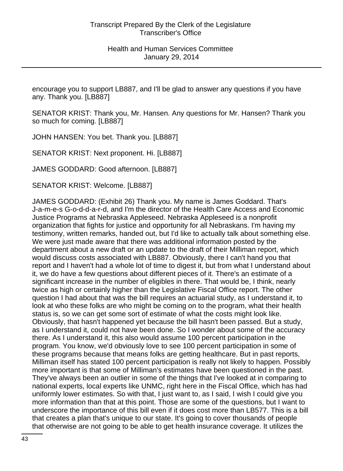encourage you to support LB887, and I'll be glad to answer any questions if you have any. Thank you. [LB887]

SENATOR KRIST: Thank you, Mr. Hansen. Any questions for Mr. Hansen? Thank you so much for coming. [LB887]

JOHN HANSEN: You bet. Thank you. [LB887]

SENATOR KRIST: Next proponent. Hi. [LB887]

JAMES GODDARD: Good afternoon. [LB887]

SENATOR KRIST: Welcome. [LB887]

JAMES GODDARD: (Exhibit 26) Thank you. My name is James Goddard. That's J-a-m-e-s G-o-d-d-a-r-d, and I'm the director of the Health Care Access and Economic Justice Programs at Nebraska Appleseed. Nebraska Appleseed is a nonprofit organization that fights for justice and opportunity for all Nebraskans. I'm having my testimony, written remarks, handed out, but I'd like to actually talk about something else. We were just made aware that there was additional information posted by the department about a new draft or an update to the draft of their Milliman report, which would discuss costs associated with LB887. Obviously, there I can't hand you that report and I haven't had a whole lot of time to digest it, but from what I understand about it, we do have a few questions about different pieces of it. There's an estimate of a significant increase in the number of eligibles in there. That would be, I think, nearly twice as high or certainly higher than the Legislative Fiscal Office report. The other question I had about that was the bill requires an actuarial study, as I understand it, to look at who these folks are who might be coming on to the program, what their health status is, so we can get some sort of estimate of what the costs might look like. Obviously, that hasn't happened yet because the bill hasn't been passed. But a study, as I understand it, could not have been done. So I wonder about some of the accuracy there. As I understand it, this also would assume 100 percent participation in the program. You know, we'd obviously love to see 100 percent participation in some of these programs because that means folks are getting healthcare. But in past reports, Milliman itself has stated 100 percent participation is really not likely to happen. Possibly more important is that some of Milliman's estimates have been questioned in the past. They've always been an outlier in some of the things that I've looked at in comparing to national experts, local experts like UNMC, right here in the Fiscal Office, which has had uniformly lower estimates. So with that, I just want to, as I said, I wish I could give you more information than that at this point. Those are some of the questions, but I want to underscore the importance of this bill even if it does cost more than LB577. This is a bill that creates a plan that's unique to our state. It's going to cover thousands of people that otherwise are not going to be able to get health insurance coverage. It utilizes the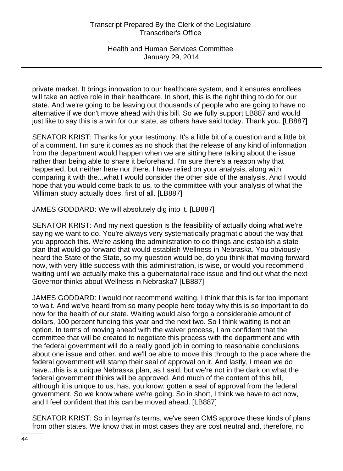private market. It brings innovation to our healthcare system, and it ensures enrollees will take an active role in their healthcare. In short, this is the right thing to do for our state. And we're going to be leaving out thousands of people who are going to have no alternative if we don't move ahead with this bill. So we fully support LB887 and would just like to say this is a win for our state, as others have said today. Thank you. [LB887]

SENATOR KRIST: Thanks for your testimony. It's a little bit of a question and a little bit of a comment. I'm sure it comes as no shock that the release of any kind of information from the department would happen when we are sitting here talking about the issue rather than being able to share it beforehand. I'm sure there's a reason why that happened, but neither here nor there. I have relied on your analysis, along with comparing it with the...what I would consider the other side of the analysis. And I would hope that you would come back to us, to the committee with your analysis of what the Milliman study actually does, first of all. [LB887]

JAMES GODDARD: We will absolutely dig into it. [LB887]

SENATOR KRIST: And my next question is the feasibility of actually doing what we're saying we want to do. You're always very systematically pragmatic about the way that you approach this. We're asking the administration to do things and establish a state plan that would go forward that would establish Wellness in Nebraska. You obviously heard the State of the State, so my question would be, do you think that moving forward now, with very little success with this administration, is wise, or would you recommend waiting until we actually make this a gubernatorial race issue and find out what the next Governor thinks about Wellness in Nebraska? [LB887]

JAMES GODDARD: I would not recommend waiting. I think that this is far too important to wait. And we've heard from so many people here today why this is so important to do now for the health of our state. Waiting would also forgo a considerable amount of dollars, 100 percent funding this year and the next two. So I think waiting is not an option. In terms of moving ahead with the waiver process, I am confident that the committee that will be created to negotiate this process with the department and with the federal government will do a really good job in coming to reasonable conclusions about one issue and other, and we'll be able to move this through to the place where the federal government will stamp their seal of approval on it. And lastly, I mean we do have...this is a unique Nebraska plan, as I said, but we're not in the dark on what the federal government thinks will be approved. And much of the content of this bill, although it is unique to us, has, you know, gotten a seal of approval from the federal government. So we know where we're going. So in short, I think we have to act now, and I feel confident that this can be moved ahead. [LB887]

SENATOR KRIST: So in layman's terms, we've seen CMS approve these kinds of plans from other states. We know that in most cases they are cost neutral and, therefore, no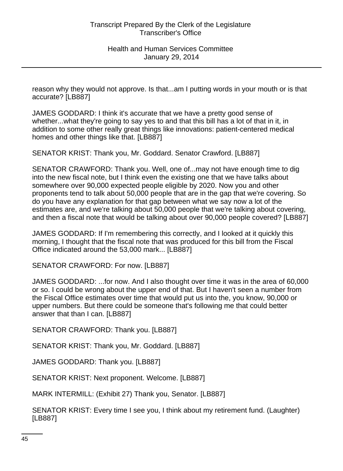reason why they would not approve. Is that...am I putting words in your mouth or is that accurate? [LB887]

JAMES GODDARD: I think it's accurate that we have a pretty good sense of whether...what they're going to say yes to and that this bill has a lot of that in it, in addition to some other really great things like innovations: patient-centered medical homes and other things like that. [LB887]

SENATOR KRIST: Thank you, Mr. Goddard. Senator Crawford. [LB887]

SENATOR CRAWFORD: Thank you. Well, one of...may not have enough time to dig into the new fiscal note, but I think even the existing one that we have talks about somewhere over 90,000 expected people eligible by 2020. Now you and other proponents tend to talk about 50,000 people that are in the gap that we're covering. So do you have any explanation for that gap between what we say now a lot of the estimates are, and we're talking about 50,000 people that we're talking about covering, and then a fiscal note that would be talking about over 90,000 people covered? [LB887]

JAMES GODDARD: If I'm remembering this correctly, and I looked at it quickly this morning, I thought that the fiscal note that was produced for this bill from the Fiscal Office indicated around the 53,000 mark... [LB887]

SENATOR CRAWFORD: For now. [LB887]

JAMES GODDARD: ...for now. And I also thought over time it was in the area of 60,000 or so. I could be wrong about the upper end of that. But I haven't seen a number from the Fiscal Office estimates over time that would put us into the, you know, 90,000 or upper numbers. But there could be someone that's following me that could better answer that than I can. [LB887]

SENATOR CRAWFORD: Thank you. [LB887]

SENATOR KRIST: Thank you, Mr. Goddard. [LB887]

JAMES GODDARD: Thank you. [LB887]

SENATOR KRIST: Next proponent. Welcome. [LB887]

MARK INTERMILL: (Exhibit 27) Thank you, Senator. [LB887]

SENATOR KRIST: Every time I see you, I think about my retirement fund. (Laughter) [LB887]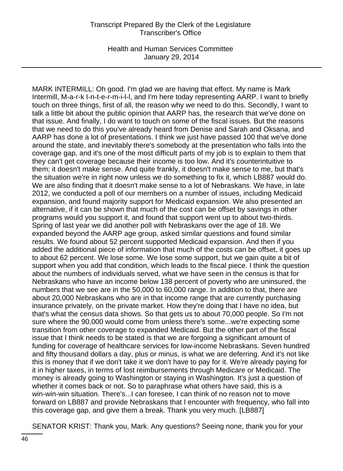Health and Human Services Committee January 29, 2014

MARK INTERMILL: Oh good. I'm glad we are having that effect. My name is Mark Intermill, M-a-r-k I-n-t-e-r-m-i-l-l, and I'm here today representing AARP. I want to briefly touch on three things, first of all, the reason why we need to do this. Secondly, I want to talk a little bit about the public opinion that AARP has, the research that we've done on that issue. And finally, I do want to touch on some of the fiscal issues. But the reasons that we need to do this you've already heard from Denise and Sarah and Oksana, and AARP has done a lot of presentations. I think we just have passed 100 that we've done around the state, and inevitably there's somebody at the presentation who falls into the coverage gap, and it's one of the most difficult parts of my job is to explain to them that they can't get coverage because their income is too low. And it's counterintuitive to them; it doesn't make sense. And quite frankly, it doesn't make sense to me, but that's the situation we're in right now unless we do something to fix it, which LB887 would do. We are also finding that it doesn't make sense to a lot of Nebraskans. We have, in late 2012, we conducted a poll of our members on a number of issues, including Medicaid expansion, and found majority support for Medicaid expansion. We also presented an alternative, if it can be shown that much of the cost can be offset by savings in other programs would you support it, and found that support went up to about two-thirds. Spring of last year we did another poll with Nebraskans over the age of 18. We expanded beyond the AARP age group, asked similar questions and found similar results. We found about 52 percent supported Medicaid expansion. And then if you added the additional piece of information that much of the costs can be offset, it goes up to about 62 percent. We lose some. We lose some support, but we gain quite a bit of support when you add that condition, which leads to the fiscal piece. I think the question about the numbers of individuals served, what we have seen in the census is that for Nebraskans who have an income below 138 percent of poverty who are uninsured, the numbers that we see are in the 50,000 to 60,000 range. In addition to that, there are about 20,000 Nebraskans who are in that income range that are currently purchasing insurance privately, on the private market. How they're doing that I have no idea, but that's what the census data shows. So that gets us to about 70,000 people. So I'm not sure where the 90,000 would come from unless there's some...we're expecting some transition from other coverage to expanded Medicaid. But the other part of the fiscal issue that I think needs to be stated is that we are forgoing a significant amount of funding for coverage of healthcare services for low-income Nebraskans. Seven hundred and fifty thousand dollars a day, plus or minus, is what we are deferring. And it's not like this is money that if we don't take it we don't have to pay for it. We're already paying for it in higher taxes, in terms of lost reimbursements through Medicare or Medicaid. The money is already going to Washington or staying in Washington. It's just a question of whether it comes back or not. So to paraphrase what others have said, this is a win-win-win situation. There's...I can foresee, I can think of no reason not to move forward on LB887 and provide Nebraskans that I encounter with frequency, who fall into this coverage gap, and give them a break. Thank you very much. [LB887]

SENATOR KRIST: Thank you, Mark. Any questions? Seeing none, thank you for your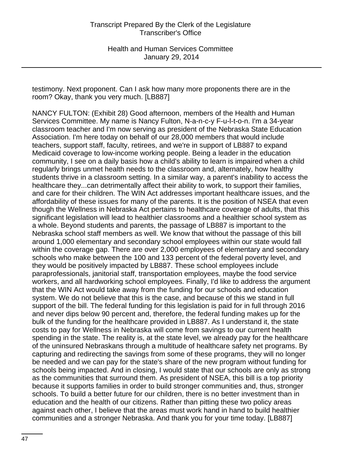testimony. Next proponent. Can I ask how many more proponents there are in the room? Okay, thank you very much. [LB887]

NANCY FULTON: (Exhibit 28) Good afternoon, members of the Health and Human Services Committee. My name is Nancy Fulton, N-a-n-c-y F-u-l-t-o-n. I'm a 34-year classroom teacher and I'm now serving as president of the Nebraska State Education Association. I'm here today on behalf of our 28,000 members that would include teachers, support staff, faculty, retirees, and we're in support of LB887 to expand Medicaid coverage to low-income working people. Being a leader in the education community, I see on a daily basis how a child's ability to learn is impaired when a child regularly brings unmet health needs to the classroom and, alternately, how healthy students thrive in a classroom setting. In a similar way, a parent's inability to access the healthcare they...can detrimentally affect their ability to work, to support their families, and care for their children. The WIN Act addresses important healthcare issues, and the affordability of these issues for many of the parents. It is the position of NSEA that even though the Wellness in Nebraska Act pertains to healthcare coverage of adults, that this significant legislation will lead to healthier classrooms and a healthier school system as a whole. Beyond students and parents, the passage of LB887 is important to the Nebraska school staff members as well. We know that without the passage of this bill around 1,000 elementary and secondary school employees within our state would fall within the coverage gap. There are over 2,000 employees of elementary and secondary schools who make between the 100 and 133 percent of the federal poverty level, and they would be positively impacted by LB887. These school employees include paraprofessionals, janitorial staff, transportation employees, maybe the food service workers, and all hardworking school employees. Finally, I'd like to address the argument that the WIN Act would take away from the funding for our schools and education system. We do not believe that this is the case, and because of this we stand in full support of the bill. The federal funding for this legislation is paid for in full through 2016 and never dips below 90 percent and, therefore, the federal funding makes up for the bulk of the funding for the healthcare provided in LB887. As I understand it, the state costs to pay for Wellness in Nebraska will come from savings to our current health spending in the state. The reality is, at the state level, we already pay for the healthcare of the uninsured Nebraskans through a multitude of healthcare safety net programs. By capturing and redirecting the savings from some of these programs, they will no longer be needed and we can pay for the state's share of the new program without funding for schools being impacted. And in closing, I would state that our schools are only as strong as the communities that surround them. As president of NSEA, this bill is a top priority because it supports families in order to build stronger communities and, thus, stronger schools. To build a better future for our children, there is no better investment than in education and the health of our citizens. Rather than pitting these two policy areas against each other, I believe that the areas must work hand in hand to build healthier communities and a stronger Nebraska. And thank you for your time today. [LB887]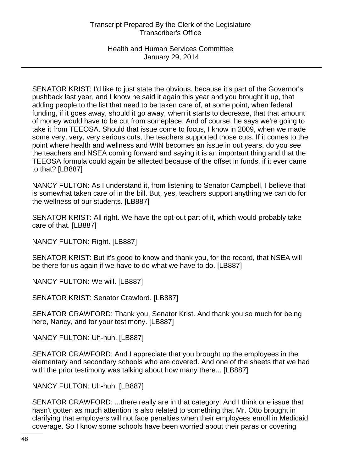Health and Human Services Committee January 29, 2014

SENATOR KRIST: I'd like to just state the obvious, because it's part of the Governor's pushback last year, and I know he said it again this year and you brought it up, that adding people to the list that need to be taken care of, at some point, when federal funding, if it goes away, should it go away, when it starts to decrease, that that amount of money would have to be cut from someplace. And of course, he says we're going to take it from TEEOSA. Should that issue come to focus, I know in 2009, when we made some very, very, very serious cuts, the teachers supported those cuts. If it comes to the point where health and wellness and WIN becomes an issue in out years, do you see the teachers and NSEA coming forward and saying it is an important thing and that the TEEOSA formula could again be affected because of the offset in funds, if it ever came to that? [LB887]

NANCY FULTON: As I understand it, from listening to Senator Campbell, I believe that is somewhat taken care of in the bill. But, yes, teachers support anything we can do for the wellness of our students. [LB887]

SENATOR KRIST: All right. We have the opt-out part of it, which would probably take care of that. [LB887]

NANCY FULTON: Right. [LB887]

SENATOR KRIST: But it's good to know and thank you, for the record, that NSEA will be there for us again if we have to do what we have to do. [LB887]

NANCY FULTON: We will. [LB887]

SENATOR KRIST: Senator Crawford. [LB887]

SENATOR CRAWFORD: Thank you, Senator Krist. And thank you so much for being here, Nancy, and for your testimony. [LB887]

NANCY FULTON: Uh-huh. [LB887]

SENATOR CRAWFORD: And I appreciate that you brought up the employees in the elementary and secondary schools who are covered. And one of the sheets that we had with the prior testimony was talking about how many there... [LB887]

NANCY FULTON: Uh-huh. [LB887]

SENATOR CRAWFORD: ...there really are in that category. And I think one issue that hasn't gotten as much attention is also related to something that Mr. Otto brought in clarifying that employers will not face penalties when their employees enroll in Medicaid coverage. So I know some schools have been worried about their paras or covering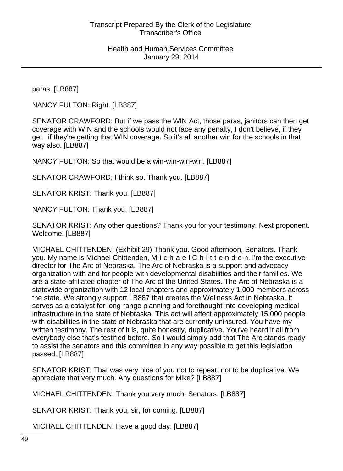paras. [LB887]

NANCY FULTON: Right. [LB887]

SENATOR CRAWFORD: But if we pass the WIN Act, those paras, janitors can then get coverage with WIN and the schools would not face any penalty, I don't believe, if they get...if they're getting that WIN coverage. So it's all another win for the schools in that way also. [LB887]

NANCY FULTON: So that would be a win-win-win-win. [LB887]

SENATOR CRAWFORD: I think so. Thank you. [LB887]

SENATOR KRIST: Thank you. [LB887]

NANCY FULTON: Thank you. [LB887]

SENATOR KRIST: Any other questions? Thank you for your testimony. Next proponent. Welcome. [LB887]

MICHAEL CHITTENDEN: (Exhibit 29) Thank you. Good afternoon, Senators. Thank you. My name is Michael Chittenden, M-i-c-h-a-e-l C-h-i-t-t-e-n-d-e-n. I'm the executive director for The Arc of Nebraska. The Arc of Nebraska is a support and advocacy organization with and for people with developmental disabilities and their families. We are a state-affiliated chapter of The Arc of the United States. The Arc of Nebraska is a statewide organization with 12 local chapters and approximately 1,000 members across the state. We strongly support LB887 that creates the Wellness Act in Nebraska. It serves as a catalyst for long-range planning and forethought into developing medical infrastructure in the state of Nebraska. This act will affect approximately 15,000 people with disabilities in the state of Nebraska that are currently uninsured. You have my written testimony. The rest of it is, quite honestly, duplicative. You've heard it all from everybody else that's testified before. So I would simply add that The Arc stands ready to assist the senators and this committee in any way possible to get this legislation passed. [LB887]

SENATOR KRIST: That was very nice of you not to repeat, not to be duplicative. We appreciate that very much. Any questions for Mike? [LB887]

MICHAEL CHITTENDEN: Thank you very much, Senators. [LB887]

SENATOR KRIST: Thank you, sir, for coming. [LB887]

MICHAEL CHITTENDEN: Have a good day. [LB887]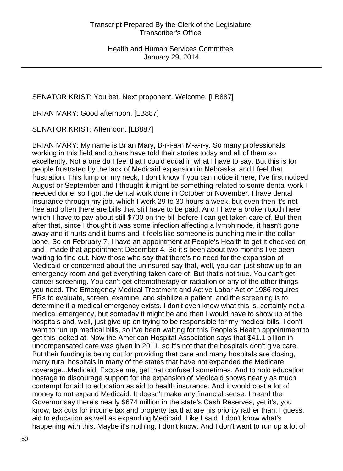SENATOR KRIST: You bet. Next proponent. Welcome. [LB887]

BRIAN MARY: Good afternoon. [LB887]

SENATOR KRIST: Afternoon. [LB887]

BRIAN MARY: My name is Brian Mary, B-r-i-a-n M-a-r-y. So many professionals working in this field and others have told their stories today and all of them so excellently. Not a one do I feel that I could equal in what I have to say. But this is for people frustrated by the lack of Medicaid expansion in Nebraska, and I feel that frustration. This lump on my neck, I don't know if you can notice it here, I've first noticed August or September and I thought it might be something related to some dental work I needed done, so I got the dental work done in October or November. I have dental insurance through my job, which I work 29 to 30 hours a week, but even then it's not free and often there are bills that still have to be paid. And I have a broken tooth here which I have to pay about still \$700 on the bill before I can get taken care of. But then after that, since I thought it was some infection affecting a lymph node, it hasn't gone away and it hurts and it burns and it feels like someone is punching me in the collar bone. So on February 7, I have an appointment at People's Health to get it checked on and I made that appointment December 4. So it's been about two months I've been waiting to find out. Now those who say that there's no need for the expansion of Medicaid or concerned about the uninsured say that, well, you can just show up to an emergency room and get everything taken care of. But that's not true. You can't get cancer screening. You can't get chemotherapy or radiation or any of the other things you need. The Emergency Medical Treatment and Active Labor Act of 1986 requires ERs to evaluate, screen, examine, and stabilize a patient, and the screening is to determine if a medical emergency exists. I don't even know what this is, certainly not a medical emergency, but someday it might be and then I would have to show up at the hospitals and, well, just give up on trying to be responsible for my medical bills. I don't want to run up medical bills, so I've been waiting for this People's Health appointment to get this looked at. Now the American Hospital Association says that \$41.1 billion in uncompensated care was given in 2011, so it's not that the hospitals don't give care. But their funding is being cut for providing that care and many hospitals are closing, many rural hospitals in many of the states that have not expanded the Medicare coverage...Medicaid. Excuse me, get that confused sometimes. And to hold education hostage to discourage support for the expansion of Medicaid shows nearly as much contempt for aid to education as aid to health insurance. And it would cost a lot of money to not expand Medicaid. It doesn't make any financial sense. I heard the Governor say there's nearly \$674 million in the state's Cash Reserves, yet it's, you know, tax cuts for income tax and property tax that are his priority rather than, I guess, aid to education as well as expanding Medicaid. Like I said, I don't know what's happening with this. Maybe it's nothing. I don't know. And I don't want to run up a lot of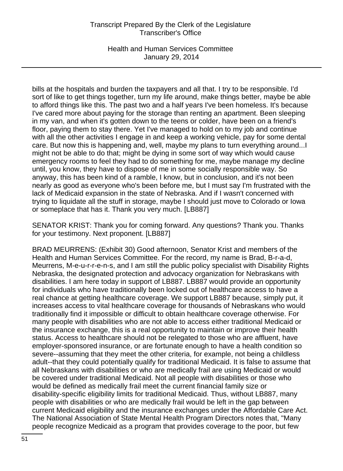Health and Human Services Committee January 29, 2014

bills at the hospitals and burden the taxpayers and all that. I try to be responsible. I'd sort of like to get things together, turn my life around, make things better, maybe be able to afford things like this. The past two and a half years I've been homeless. It's because I've cared more about paying for the storage than renting an apartment. Been sleeping in my van, and when it's gotten down to the teens or colder, have been on a friend's floor, paying them to stay there. Yet I've managed to hold on to my job and continue with all the other activities I engage in and keep a working vehicle, pay for some dental care. But now this is happening and, well, maybe my plans to turn everything around...I might not be able to do that; might be dying in some sort of way which would cause emergency rooms to feel they had to do something for me, maybe manage my decline until, you know, they have to dispose of me in some socially responsible way. So anyway, this has been kind of a ramble, I know, but in conclusion, and it's not been nearly as good as everyone who's been before me, but I must say I'm frustrated with the lack of Medicaid expansion in the state of Nebraska. And if I wasn't concerned with trying to liquidate all the stuff in storage, maybe I should just move to Colorado or Iowa or someplace that has it. Thank you very much. [LB887]

SENATOR KRIST: Thank you for coming forward. Any questions? Thank you. Thanks for your testimony. Next proponent. [LB887]

BRAD MEURRENS: (Exhibit 30) Good afternoon, Senator Krist and members of the Health and Human Services Committee. For the record, my name is Brad, B-r-a-d, Meurrens, M-e-u-r-r-e-n-s, and I am still the public policy specialist with Disability Rights Nebraska, the designated protection and advocacy organization for Nebraskans with disabilities. I am here today in support of LB887. LB887 would provide an opportunity for individuals who have traditionally been locked out of healthcare access to have a real chance at getting healthcare coverage. We support LB887 because, simply put, it increases access to vital healthcare coverage for thousands of Nebraskans who would traditionally find it impossible or difficult to obtain healthcare coverage otherwise. For many people with disabilities who are not able to access either traditional Medicaid or the insurance exchange, this is a real opportunity to maintain or improve their health status. Access to healthcare should not be relegated to those who are affluent, have employer-sponsored insurance, or are fortunate enough to have a health condition so severe--assuming that they meet the other criteria, for example, not being a childless adult--that they could potentially qualify for traditional Medicaid. It is false to assume that all Nebraskans with disabilities or who are medically frail are using Medicaid or would be covered under traditional Medicaid. Not all people with disabilities or those who would be defined as medically frail meet the current financial family size or disability-specific eligibility limits for traditional Medicaid. Thus, without LB887, many people with disabilities or who are medically frail would be left in the gap between current Medicaid eligibility and the insurance exchanges under the Affordable Care Act. The National Association of State Mental Health Program Directors notes that, "Many people recognize Medicaid as a program that provides coverage to the poor, but few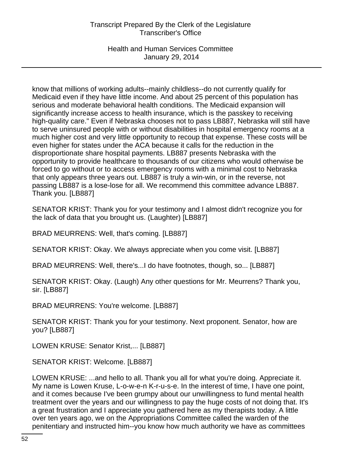Health and Human Services Committee January 29, 2014

know that millions of working adults--mainly childless--do not currently qualify for Medicaid even if they have little income. And about 25 percent of this population has serious and moderate behavioral health conditions. The Medicaid expansion will significantly increase access to health insurance, which is the passkey to receiving high-quality care." Even if Nebraska chooses not to pass LB887, Nebraska will still have to serve uninsured people with or without disabilities in hospital emergency rooms at a much higher cost and very little opportunity to recoup that expense. These costs will be even higher for states under the ACA because it calls for the reduction in the disproportionate share hospital payments. LB887 presents Nebraska with the opportunity to provide healthcare to thousands of our citizens who would otherwise be forced to go without or to access emergency rooms with a minimal cost to Nebraska that only appears three years out. LB887 is truly a win-win, or in the reverse, not passing LB887 is a lose-lose for all. We recommend this committee advance LB887. Thank you. [LB887]

SENATOR KRIST: Thank you for your testimony and I almost didn't recognize you for the lack of data that you brought us. (Laughter) [LB887]

BRAD MEURRENS: Well, that's coming. [LB887]

SENATOR KRIST: Okay. We always appreciate when you come visit. [LB887]

BRAD MEURRENS: Well, there's...I do have footnotes, though, so... [LB887]

SENATOR KRIST: Okay. (Laugh) Any other questions for Mr. Meurrens? Thank you, sir. [LB887]

BRAD MEURRENS: You're welcome. [LB887]

SENATOR KRIST: Thank you for your testimony. Next proponent. Senator, how are you? [LB887]

LOWEN KRUSE: Senator Krist,... [LB887]

SENATOR KRIST: Welcome. [LB887]

LOWEN KRUSE: ...and hello to all. Thank you all for what you're doing. Appreciate it. My name is Lowen Kruse, L-o-w-e-n K-r-u-s-e. In the interest of time, I have one point, and it comes because I've been grumpy about our unwillingness to fund mental health treatment over the years and our willingness to pay the huge costs of not doing that. It's a great frustration and I appreciate you gathered here as my therapists today. A little over ten years ago, we on the Appropriations Committee called the warden of the penitentiary and instructed him--you know how much authority we have as committees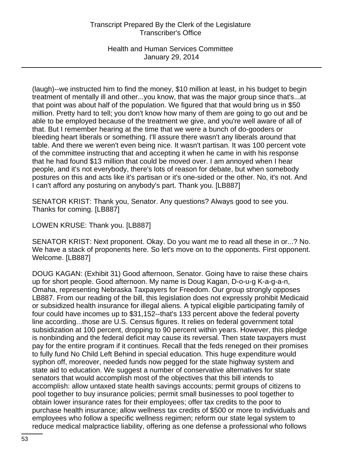Health and Human Services Committee January 29, 2014

(laugh)--we instructed him to find the money, \$10 million at least, in his budget to begin treatment of mentally ill and other...you know, that was the major group since that's...at that point was about half of the population. We figured that that would bring us in \$50 million. Pretty hard to tell; you don't know how many of them are going to go out and be able to be employed because of the treatment we give, and you're well aware of all of that. But I remember hearing at the time that we were a bunch of do-gooders or bleeding heart liberals or something. I'll assure there wasn't any liberals around that table. And there we weren't even being nice. It wasn't partisan. It was 100 percent vote of the committee instructing that and accepting it when he came in with his response that he had found \$13 million that could be moved over. I am annoyed when I hear people, and it's not everybody, there's lots of reason for debate, but when somebody postures on this and acts like it's partisan or it's one-sided or the other. No, it's not. And I can't afford any posturing on anybody's part. Thank you. [LB887]

SENATOR KRIST: Thank you, Senator. Any questions? Always good to see you. Thanks for coming. [LB887]

LOWEN KRUSE: Thank you. [LB887]

SENATOR KRIST: Next proponent. Okay. Do you want me to read all these in or...? No. We have a stack of proponents here. So let's move on to the opponents. First opponent. Welcome. [LB887]

DOUG KAGAN: (Exhibit 31) Good afternoon, Senator. Going have to raise these chairs up for short people. Good afternoon. My name is Doug Kagan, D-o-u-g K-a-g-a-n, Omaha, representing Nebraska Taxpayers for Freedom. Our group strongly opposes LB887. From our reading of the bill, this legislation does not expressly prohibit Medicaid or subsidized health insurance for illegal aliens. A typical eligible participating family of four could have incomes up to \$31,152--that's 133 percent above the federal poverty line according...those are U.S. Census figures. It relies on federal government total subsidization at 100 percent, dropping to 90 percent within years. However, this pledge is nonbinding and the federal deficit may cause its reversal. Then state taxpayers must pay for the entire program if it continues. Recall that the feds reneged on their promises to fully fund No Child Left Behind in special education. This huge expenditure would syphon off, moreover, needed funds now pegged for the state highway system and state aid to education. We suggest a number of conservative alternatives for state senators that would accomplish most of the objectives that this bill intends to accomplish: allow untaxed state health savings accounts; permit groups of citizens to pool together to buy insurance policies; permit small businesses to pool together to obtain lower insurance rates for their employees; offer tax credits to the poor to purchase health insurance; allow wellness tax credits of \$500 or more to individuals and employees who follow a specific wellness regimen; reform our state legal system to reduce medical malpractice liability, offering as one defense a professional who follows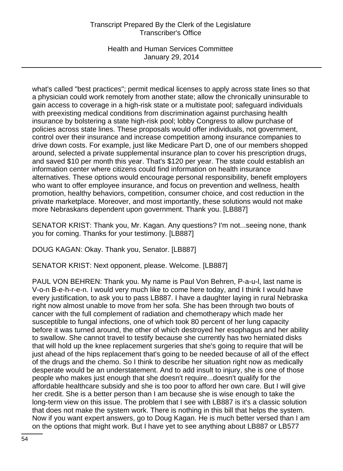Health and Human Services Committee January 29, 2014

what's called "best practices"; permit medical licenses to apply across state lines so that a physician could work remotely from another state; allow the chronically uninsurable to gain access to coverage in a high-risk state or a multistate pool; safeguard individuals with preexisting medical conditions from discrimination against purchasing health insurance by bolstering a state high-risk pool; lobby Congress to allow purchase of policies across state lines. These proposals would offer individuals, not government, control over their insurance and increase competition among insurance companies to drive down costs. For example, just like Medicare Part D, one of our members shopped around, selected a private supplemental insurance plan to cover his prescription drugs, and saved \$10 per month this year. That's \$120 per year. The state could establish an information center where citizens could find information on health insurance alternatives. These options would encourage personal responsibility, benefit employers who want to offer employee insurance, and focus on prevention and wellness, health promotion, healthy behaviors, competition, consumer choice, and cost reduction in the private marketplace. Moreover, and most importantly, these solutions would not make more Nebraskans dependent upon government. Thank you. [LB887]

SENATOR KRIST: Thank you, Mr. Kagan. Any questions? I'm not...seeing none, thank you for coming. Thanks for your testimony. [LB887]

DOUG KAGAN: Okay. Thank you, Senator. [LB887]

SENATOR KRIST: Next opponent, please. Welcome. [LB887]

PAUL VON BEHREN: Thank you. My name is Paul Von Behren, P-a-u-l, last name is V-o-n B-e-h-r-e-n. I would very much like to come here today, and I think I would have every justification, to ask you to pass LB887. I have a daughter laying in rural Nebraska right now almost unable to move from her sofa. She has been through two bouts of cancer with the full complement of radiation and chemotherapy which made her susceptible to fungal infections, one of which took 80 percent of her lung capacity before it was turned around, the other of which destroyed her esophagus and her ability to swallow. She cannot travel to testify because she currently has two herniated disks that will hold up the knee replacement surgeries that she's going to require that will be just ahead of the hips replacement that's going to be needed because of all of the effect of the drugs and the chemo. So I think to describe her situation right now as medically desperate would be an understatement. And to add insult to injury, she is one of those people who makes just enough that she doesn't require...doesn't qualify for the affordable healthcare subsidy and she is too poor to afford her own care. But I will give her credit. She is a better person than I am because she is wise enough to take the long-term view on this issue. The problem that I see with LB887 is it's a classic solution that does not make the system work. There is nothing in this bill that helps the system. Now if you want expert answers, go to Doug Kagan. He is much better versed than I am on the options that might work. But I have yet to see anything about LB887 or LB577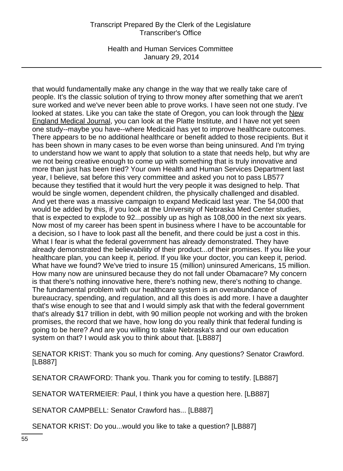Health and Human Services Committee January 29, 2014

that would fundamentally make any change in the way that we really take care of people. It's the classic solution of trying to throw money after something that we aren't sure worked and we've never been able to prove works. I have seen not one study. I've looked at states. Like you can take the state of Oregon, you can look through the New England Medical Journal, you can look at the Platte Institute, and I have not yet seen one study--maybe you have--where Medicaid has yet to improve healthcare outcomes. There appears to be no additional healthcare or benefit added to those recipients. But it has been shown in many cases to be even worse than being uninsured. And I'm trying to understand how we want to apply that solution to a state that needs help, but why are we not being creative enough to come up with something that is truly innovative and more than just has been tried? Your own Health and Human Services Department last year, I believe, sat before this very committee and asked you not to pass LB577 because they testified that it would hurt the very people it was designed to help. That would be single women, dependent children, the physically challenged and disabled. And yet there was a massive campaign to expand Medicaid last year. The 54,000 that would be added by this, if you look at the University of Nebraska Med Center studies, that is expected to explode to 92...possibly up as high as 108,000 in the next six years. Now most of my career has been spent in business where I have to be accountable for a decision, so I have to look past all the benefit, and there could be just a cost in this. What I fear is what the federal government has already demonstrated. They have already demonstrated the believability of their product...of their promises. If you like your healthcare plan, you can keep it, period. If you like your doctor, you can keep it, period. What have we found? We've tried to insure 15 (million) uninsured Americans, 15 million. How many now are uninsured because they do not fall under Obamacare? My concern is that there's nothing innovative here, there's nothing new, there's nothing to change. The fundamental problem with our healthcare system is an overabundance of bureaucracy, spending, and regulation, and all this does is add more. I have a daughter that's wise enough to see that and I would simply ask that with the federal government that's already \$17 trillion in debt, with 90 million people not working and with the broken promises, the record that we have, how long do you really think that federal funding is going to be here? And are you willing to stake Nebraska's and our own education system on that? I would ask you to think about that. [LB887]

SENATOR KRIST: Thank you so much for coming. Any questions? Senator Crawford. [LB887]

SENATOR CRAWFORD: Thank you. Thank you for coming to testify. [LB887]

SENATOR WATERMEIER: Paul, I think you have a question here. [LB887]

SENATOR CAMPBELL: Senator Crawford has... [LB887]

SENATOR KRIST: Do you...would you like to take a question? [LB887]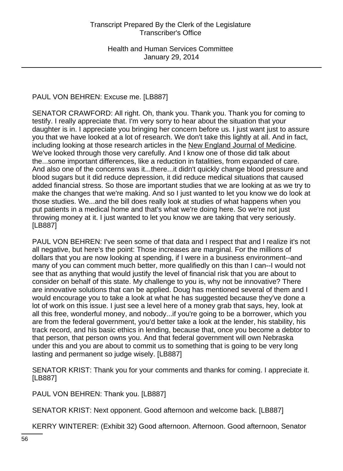# PAUL VON BEHREN: Excuse me. [LB887]

SENATOR CRAWFORD: All right. Oh, thank you. Thank you. Thank you for coming to testify. I really appreciate that. I'm very sorry to hear about the situation that your daughter is in. I appreciate you bringing her concern before us. I just want just to assure you that we have looked at a lot of research. We don't take this lightly at all. And in fact, including looking at those research articles in the New England Journal of Medicine. We've looked through those very carefully. And I know one of those did talk about the...some important differences, like a reduction in fatalities, from expanded of care. And also one of the concerns was it...there...it didn't quickly change blood pressure and blood sugars but it did reduce depression, it did reduce medical situations that caused added financial stress. So those are important studies that we are looking at as we try to make the changes that we're making. And so I just wanted to let you know we do look at those studies. We...and the bill does really look at studies of what happens when you put patients in a medical home and that's what we're doing here. So we're not just throwing money at it. I just wanted to let you know we are taking that very seriously. [LB887]

PAUL VON BEHREN: I've seen some of that data and I respect that and I realize it's not all negative, but here's the point: Those increases are marginal. For the millions of dollars that you are now looking at spending, if I were in a business environment--and many of you can comment much better, more qualifiedly on this than I can--I would not see that as anything that would justify the level of financial risk that you are about to consider on behalf of this state. My challenge to you is, why not be innovative? There are innovative solutions that can be applied. Doug has mentioned several of them and I would encourage you to take a look at what he has suggested because they've done a lot of work on this issue. I just see a level here of a money grab that says, hey, look at all this free, wonderful money, and nobody...if you're going to be a borrower, which you are from the federal government, you'd better take a look at the lender, his stability, his track record, and his basic ethics in lending, because that, once you become a debtor to that person, that person owns you. And that federal government will own Nebraska under this and you are about to commit us to something that is going to be very long lasting and permanent so judge wisely. [LB887]

SENATOR KRIST: Thank you for your comments and thanks for coming. I appreciate it. [LB887]

PAUL VON BEHREN: Thank you. [LB887]

SENATOR KRIST: Next opponent. Good afternoon and welcome back. [LB887]

KERRY WINTERER: (Exhibit 32) Good afternoon. Afternoon. Good afternoon, Senator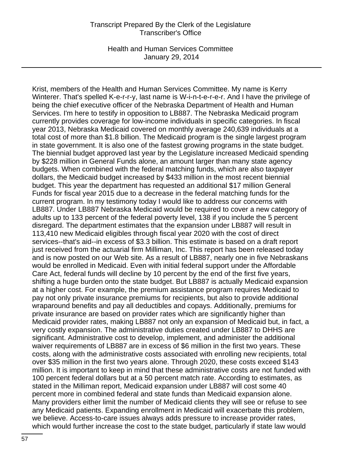Health and Human Services Committee January 29, 2014

Krist, members of the Health and Human Services Committee. My name is Kerry Winterer. That's spelled K-e-r-r-y, last name is W-i-n-t-e-r-e-r. And I have the privilege of being the chief executive officer of the Nebraska Department of Health and Human Services. I'm here to testify in opposition to LB887. The Nebraska Medicaid program currently provides coverage for low-income individuals in specific categories. In fiscal year 2013, Nebraska Medicaid covered on monthly average 240,639 individuals at a total cost of more than \$1.8 billion. The Medicaid program is the single largest program in state government. It is also one of the fastest growing programs in the state budget. The biennial budget approved last year by the Legislature increased Medicaid spending by \$228 million in General Funds alone, an amount larger than many state agency budgets. When combined with the federal matching funds, which are also taxpayer dollars, the Medicaid budget increased by \$433 million in the most recent biennial budget. This year the department has requested an additional \$17 million General Funds for fiscal year 2015 due to a decrease in the federal matching funds for the current program. In my testimony today I would like to address our concerns with LB887. Under LB887 Nebraska Medicaid would be required to cover a new category of adults up to 133 percent of the federal poverty level, 138 if you include the 5 percent disregard. The department estimates that the expansion under LB887 will result in 113,410 new Medicaid eligibles through fiscal year 2020 with the cost of direct services--that's aid--in excess of \$3.3 billion. This estimate is based on a draft report just received from the actuarial firm Milliman, Inc. This report has been released today and is now posted on our Web site. As a result of LB887, nearly one in five Nebraskans would be enrolled in Medicaid. Even with initial federal support under the Affordable Care Act, federal funds will decline by 10 percent by the end of the first five years, shifting a huge burden onto the state budget. But LB887 is actually Medicaid expansion at a higher cost. For example, the premium assistance program requires Medicaid to pay not only private insurance premiums for recipients, but also to provide additional wraparound benefits and pay all deductibles and copays. Additionally, premiums for private insurance are based on provider rates which are significantly higher than Medicaid provider rates, making LB887 not only an expansion of Medicaid but, in fact, a very costly expansion. The administrative duties created under LB887 to DHHS are significant. Administrative cost to develop, implement, and administer the additional waiver requirements of LB887 are in excess of \$6 million in the first two years. These costs, along with the administrative costs associated with enrolling new recipients, total over \$35 million in the first two years alone. Through 2020, these costs exceed \$143 million. It is important to keep in mind that these administrative costs are not funded with 100 percent federal dollars but at a 50 percent match rate. According to estimates, as stated in the Milliman report, Medicaid expansion under LB887 will cost some 40 percent more in combined federal and state funds than Medicaid expansion alone. Many providers either limit the number of Medicaid clients they will see or refuse to see any Medicaid patients. Expanding enrollment in Medicaid will exacerbate this problem, we believe. Access-to-care issues always adds pressure to increase provider rates, which would further increase the cost to the state budget, particularly if state law would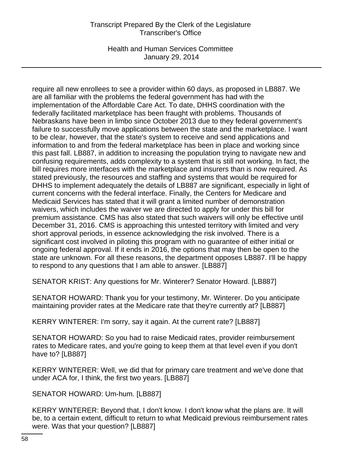Health and Human Services Committee January 29, 2014

require all new enrollees to see a provider within 60 days, as proposed in LB887. We are all familiar with the problems the federal government has had with the implementation of the Affordable Care Act. To date, DHHS coordination with the federally facilitated marketplace has been fraught with problems. Thousands of Nebraskans have been in limbo since October 2013 due to they federal government's failure to successfully move applications between the state and the marketplace. I want to be clear, however, that the state's system to receive and send applications and information to and from the federal marketplace has been in place and working since this past fall. LB887, in addition to increasing the population trying to navigate new and confusing requirements, adds complexity to a system that is still not working. In fact, the bill requires more interfaces with the marketplace and insurers than is now required. As stated previously, the resources and staffing and systems that would be required for DHHS to implement adequately the details of LB887 are significant, especially in light of current concerns with the federal interface. Finally, the Centers for Medicare and Medicaid Services has stated that it will grant a limited number of demonstration waivers, which includes the waiver we are directed to apply for under this bill for premium assistance. CMS has also stated that such waivers will only be effective until December 31, 2016. CMS is approaching this untested territory with limited and very short approval periods, in essence acknowledging the risk involved. There is a significant cost involved in piloting this program with no guarantee of either initial or ongoing federal approval. If it ends in 2016, the options that may then be open to the state are unknown. For all these reasons, the department opposes LB887. I'll be happy to respond to any questions that I am able to answer. [LB887]

SENATOR KRIST: Any questions for Mr. Winterer? Senator Howard. [LB887]

SENATOR HOWARD: Thank you for your testimony, Mr. Winterer. Do you anticipate maintaining provider rates at the Medicare rate that they're currently at? [LB887]

KERRY WINTERER: I'm sorry, say it again. At the current rate? [LB887]

SENATOR HOWARD: So you had to raise Medicaid rates, provider reimbursement rates to Medicare rates, and you're going to keep them at that level even if you don't have to? [LB887]

KERRY WINTERER: Well, we did that for primary care treatment and we've done that under ACA for, I think, the first two years. [LB887]

SENATOR HOWARD: Um-hum. [LB887]

KERRY WINTERER: Beyond that, I don't know. I don't know what the plans are. It will be, to a certain extent, difficult to return to what Medicaid previous reimbursement rates were. Was that your question? [LB887]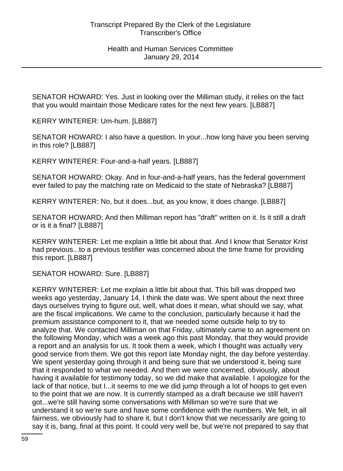SENATOR HOWARD: Yes. Just in looking over the Milliman study, it relies on the fact that you would maintain those Medicare rates for the next few years. [LB887]

KERRY WINTERER: Um-hum. [LB887]

SENATOR HOWARD: I also have a question. In your...how long have you been serving in this role? [LB887]

KERRY WINTERER: Four-and-a-half years. [LB887]

SENATOR HOWARD: Okay. And in four-and-a-half years, has the federal government ever failed to pay the matching rate on Medicaid to the state of Nebraska? [LB887]

KERRY WINTERER: No, but it does...but, as you know, it does change. [LB887]

SENATOR HOWARD: And then Milliman report has "draft" written on it. Is it still a draft or is it a final? [LB887]

KERRY WINTERER: Let me explain a little bit about that. And I know that Senator Krist had previous...to a previous testifier was concerned about the time frame for providing this report. [LB887]

SENATOR HOWARD: Sure. [LB887]

KERRY WINTERER: Let me explain a little bit about that. This bill was dropped two weeks ago yesterday, January 14, I think the date was. We spent about the next three days ourselves trying to figure out, well, what does it mean, what should we say, what are the fiscal implications. We came to the conclusion, particularly because it had the premium assistance component to it, that we needed some outside help to try to analyze that. We contacted Milliman on that Friday, ultimately came to an agreement on the following Monday, which was a week ago this past Monday, that they would provide a report and an analysis for us. It took them a week, which I thought was actually very good service from them. We got this report late Monday night, the day before yesterday. We spent yesterday going through it and being sure that we understood it, being sure that it responded to what we needed. And then we were concerned, obviously, about having it available for testimony today, so we did make that available. I apologize for the lack of that notice, but I...it seems to me we did jump through a lot of hoops to get even to the point that we are now. It is currently stamped as a draft because we still haven't got...we're still having some conversations with Milliman so we're sure that we understand it so we're sure and have some confidence with the numbers. We felt, in all fairness, we obviously had to share it, but I don't know that we necessarily are going to say it is, bang, final at this point. It could very well be, but we're not prepared to say that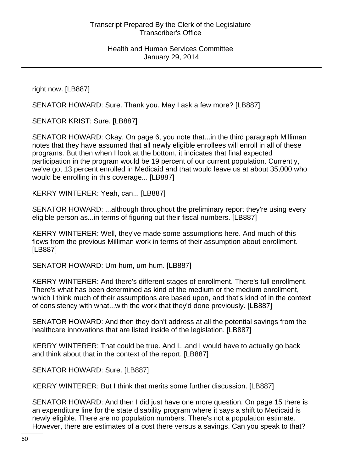right now. [LB887]

SENATOR HOWARD: Sure. Thank you. May I ask a few more? [LB887]

SENATOR KRIST: Sure. [LB887]

SENATOR HOWARD: Okay. On page 6, you note that...in the third paragraph Milliman notes that they have assumed that all newly eligible enrollees will enroll in all of these programs. But then when I look at the bottom, it indicates that final expected participation in the program would be 19 percent of our current population. Currently, we've got 13 percent enrolled in Medicaid and that would leave us at about 35,000 who would be enrolling in this coverage... [LB887]

KERRY WINTERER: Yeah, can... [LB887]

SENATOR HOWARD: ...although throughout the preliminary report they're using every eligible person as...in terms of figuring out their fiscal numbers. [LB887]

KERRY WINTERER: Well, they've made some assumptions here. And much of this flows from the previous Milliman work in terms of their assumption about enrollment. [LB887]

SENATOR HOWARD: Um-hum, um-hum. [LB887]

KERRY WINTERER: And there's different stages of enrollment. There's full enrollment. There's what has been determined as kind of the medium or the medium enrollment, which I think much of their assumptions are based upon, and that's kind of in the context of consistency with what...with the work that they'd done previously. [LB887]

SENATOR HOWARD: And then they don't address at all the potential savings from the healthcare innovations that are listed inside of the legislation. [LB887]

KERRY WINTERER: That could be true. And I...and I would have to actually go back and think about that in the context of the report. [LB887]

SENATOR HOWARD: Sure. [LB887]

KERRY WINTERER: But I think that merits some further discussion. [LB887]

SENATOR HOWARD: And then I did just have one more question. On page 15 there is an expenditure line for the state disability program where it says a shift to Medicaid is newly eligible. There are no population numbers. There's not a population estimate. However, there are estimates of a cost there versus a savings. Can you speak to that?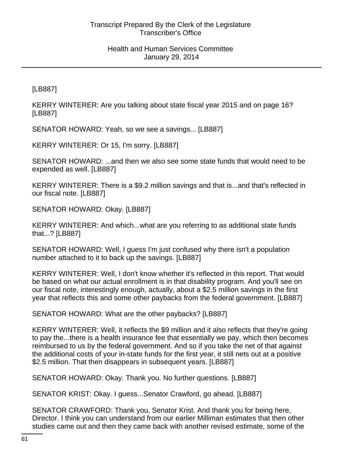[LB887]

KERRY WINTERER: Are you talking about state fiscal year 2015 and on page 16? [LB887]

SENATOR HOWARD: Yeah, so we see a savings... [LB887]

KERRY WINTERER: Or 15, I'm sorry. [LB887]

SENATOR HOWARD: ...and then we also see some state funds that would need to be expended as well. [LB887]

KERRY WINTERER: There is a \$9.2 million savings and that is...and that's reflected in our fiscal note. [LB887]

SENATOR HOWARD: Okay. [LB887]

KERRY WINTERER: And which...what are you referring to as additional state funds that...? [LB887]

SENATOR HOWARD: Well, I guess I'm just confused why there isn't a population number attached to it to back up the savings. [LB887]

KERRY WINTERER: Well, I don't know whether it's reflected in this report. That would be based on what our actual enrollment is in that disability program. And you'll see on our fiscal note, interestingly enough, actually, about a \$2.5 million savings in the first year that reflects this and some other paybacks from the federal government. [LB887]

SENATOR HOWARD: What are the other paybacks? [LB887]

KERRY WINTERER: Well, it reflects the \$9 million and it also reflects that they're going to pay the...there is a health insurance fee that essentially we pay, which then becomes reimbursed to us by the federal government. And so if you take the net of that against the additional costs of your in-state funds for the first year, it still nets out at a positive \$2.5 million. That then disappears in subsequent years. [LB887]

SENATOR HOWARD: Okay. Thank you. No further questions. [LB887]

SENATOR KRIST: Okay. I guess...Senator Crawford, go ahead. [LB887]

SENATOR CRAWFORD: Thank you, Senator Krist. And thank you for being here, Director. I think you can understand from our earlier Milliman estimates that then other studies came out and then they came back with another revised estimate, some of the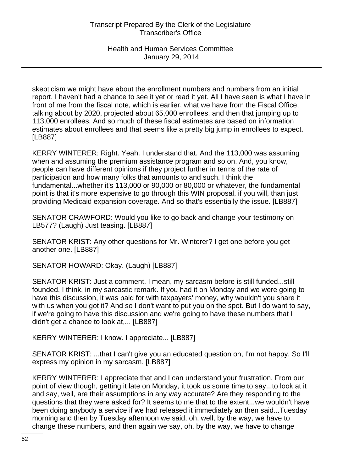skepticism we might have about the enrollment numbers and numbers from an initial report. I haven't had a chance to see it yet or read it yet. All I have seen is what I have in front of me from the fiscal note, which is earlier, what we have from the Fiscal Office, talking about by 2020, projected about 65,000 enrollees, and then that jumping up to 113,000 enrollees. And so much of these fiscal estimates are based on information estimates about enrollees and that seems like a pretty big jump in enrollees to expect. [LB887]

KERRY WINTERER: Right. Yeah. I understand that. And the 113,000 was assuming when and assuming the premium assistance program and so on. And, you know, people can have different opinions if they project further in terms of the rate of participation and how many folks that amounts to and such. I think the fundamental...whether it's 113,000 or 90,000 or 80,000 or whatever, the fundamental point is that it's more expensive to go through this WIN proposal, if you will, than just providing Medicaid expansion coverage. And so that's essentially the issue. [LB887]

SENATOR CRAWFORD: Would you like to go back and change your testimony on LB577? (Laugh) Just teasing. [LB887]

SENATOR KRIST: Any other questions for Mr. Winterer? I get one before you get another one. [LB887]

SENATOR HOWARD: Okay. (Laugh) [LB887]

SENATOR KRIST: Just a comment. I mean, my sarcasm before is still funded...still founded, I think, in my sarcastic remark. If you had it on Monday and we were going to have this discussion, it was paid for with taxpayers' money, why wouldn't you share it with us when you got it? And so I don't want to put you on the spot. But I do want to say, if we're going to have this discussion and we're going to have these numbers that I didn't get a chance to look at,... [LB887]

KERRY WINTERER: I know. I appreciate... [LB887]

SENATOR KRIST: ...that I can't give you an educated question on, I'm not happy. So I'll express my opinion in my sarcasm. [LB887]

KERRY WINTERER: I appreciate that and I can understand your frustration. From our point of view though, getting it late on Monday, it took us some time to say...to look at it and say, well, are their assumptions in any way accurate? Are they responding to the questions that they were asked for? It seems to me that to the extent...we wouldn't have been doing anybody a service if we had released it immediately an then said...Tuesday morning and then by Tuesday afternoon we said, oh, well, by the way, we have to change these numbers, and then again we say, oh, by the way, we have to change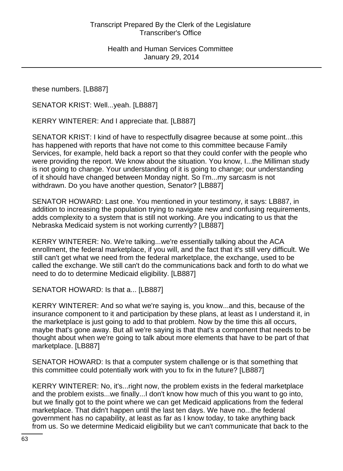these numbers. [LB887]

SENATOR KRIST: Well...yeah. [LB887]

KERRY WINTERER: And I appreciate that. [LB887]

SENATOR KRIST: I kind of have to respectfully disagree because at some point...this has happened with reports that have not come to this committee because Family Services, for example, held back a report so that they could confer with the people who were providing the report. We know about the situation. You know, I...the Milliman study is not going to change. Your understanding of it is going to change; our understanding of it should have changed between Monday night. So I'm...my sarcasm is not withdrawn. Do you have another question, Senator? [LB887]

SENATOR HOWARD: Last one. You mentioned in your testimony, it says: LB887, in addition to increasing the population trying to navigate new and confusing requirements, adds complexity to a system that is still not working. Are you indicating to us that the Nebraska Medicaid system is not working currently? [LB887]

KERRY WINTERER: No. We're talking...we're essentially talking about the ACA enrollment, the federal marketplace, if you will, and the fact that it's still very difficult. We still can't get what we need from the federal marketplace, the exchange, used to be called the exchange. We still can't do the communications back and forth to do what we need to do to determine Medicaid eligibility. [LB887]

SENATOR HOWARD: Is that a... [LB887]

KERRY WINTERER: And so what we're saying is, you know...and this, because of the insurance component to it and participation by these plans, at least as I understand it, in the marketplace is just going to add to that problem. Now by the time this all occurs, maybe that's gone away. But all we're saying is that that's a component that needs to be thought about when we're going to talk about more elements that have to be part of that marketplace. [LB887]

SENATOR HOWARD: Is that a computer system challenge or is that something that this committee could potentially work with you to fix in the future? [LB887]

KERRY WINTERER: No, it's...right now, the problem exists in the federal marketplace and the problem exists...we finally...I don't know how much of this you want to go into, but we finally got to the point where we can get Medicaid applications from the federal marketplace. That didn't happen until the last ten days. We have no...the federal government has no capability, at least as far as I know today, to take anything back from us. So we determine Medicaid eligibility but we can't communicate that back to the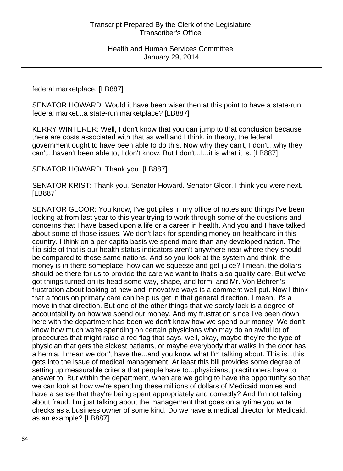federal marketplace. [LB887]

SENATOR HOWARD: Would it have been wiser then at this point to have a state-run federal market...a state-run marketplace? [LB887]

KERRY WINTERER: Well, I don't know that you can jump to that conclusion because there are costs associated with that as well and I think, in theory, the federal government ought to have been able to do this. Now why they can't, I don't...why they can't...haven't been able to, I don't know. But I don't...I...it is what it is. [LB887]

SENATOR HOWARD: Thank you. [LB887]

SENATOR KRIST: Thank you, Senator Howard. Senator Gloor, I think you were next. [LB887]

SENATOR GLOOR: You know, I've got piles in my office of notes and things I've been looking at from last year to this year trying to work through some of the questions and concerns that I have based upon a life or a career in health. And you and I have talked about some of those issues. We don't lack for spending money on healthcare in this country. I think on a per-capita basis we spend more than any developed nation. The flip side of that is our health status indicators aren't anywhere near where they should be compared to those same nations. And so you look at the system and think, the money is in there someplace, how can we squeeze and get juice? I mean, the dollars should be there for us to provide the care we want to that's also quality care. But we've got things turned on its head some way, shape, and form, and Mr. Von Behren's frustration about looking at new and innovative ways is a comment well put. Now I think that a focus on primary care can help us get in that general direction. I mean, it's a move in that direction. But one of the other things that we sorely lack is a degree of accountability on how we spend our money. And my frustration since I've been down here with the department has been we don't know how we spend our money. We don't know how much we're spending on certain physicians who may do an awful lot of procedures that might raise a red flag that says, well, okay, maybe they're the type of physician that gets the sickest patients, or maybe everybody that walks in the door has a hernia. I mean we don't have the...and you know what I'm talking about. This is...this gets into the issue of medical management. At least this bill provides some degree of setting up measurable criteria that people have to...physicians, practitioners have to answer to. But within the department, when are we going to have the opportunity so that we can look at how we're spending these millions of dollars of Medicaid monies and have a sense that they're being spent appropriately and correctly? And I'm not talking about fraud. I'm just talking about the management that goes on anytime you write checks as a business owner of some kind. Do we have a medical director for Medicaid, as an example? [LB887]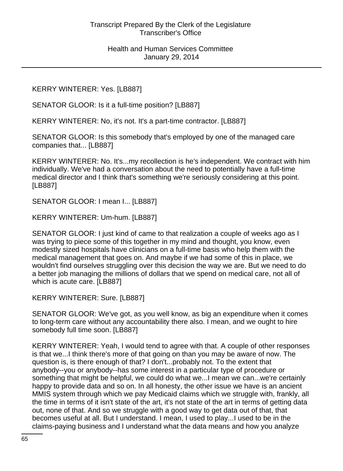KERRY WINTERER: Yes. [LB887]

SENATOR GLOOR: Is it a full-time position? [LB887]

KERRY WINTERER: No, it's not. It's a part-time contractor. [LB887]

SENATOR GLOOR: Is this somebody that's employed by one of the managed care companies that... [LB887]

KERRY WINTERER: No. It's...my recollection is he's independent. We contract with him individually. We've had a conversation about the need to potentially have a full-time medical director and I think that's something we're seriously considering at this point. [LB887]

SENATOR GLOOR: I mean I... [LB887]

KERRY WINTERER: Um-hum. [LB887]

SENATOR GLOOR: I just kind of came to that realization a couple of weeks ago as I was trying to piece some of this together in my mind and thought, you know, even modestly sized hospitals have clinicians on a full-time basis who help them with the medical management that goes on. And maybe if we had some of this in place, we wouldn't find ourselves struggling over this decision the way we are. But we need to do a better job managing the millions of dollars that we spend on medical care, not all of which is acute care. [LB887]

KERRY WINTERER: Sure. [LB887]

SENATOR GLOOR: We've got, as you well know, as big an expenditure when it comes to long-term care without any accountability there also. I mean, and we ought to hire somebody full time soon. [LB887]

KERRY WINTERER: Yeah, I would tend to agree with that. A couple of other responses is that we...I think there's more of that going on than you may be aware of now. The question is, is there enough of that? I don't...probably not. To the extent that anybody--you or anybody--has some interest in a particular type of procedure or something that might be helpful, we could do what we...I mean we can...we're certainly happy to provide data and so on. In all honesty, the other issue we have is an ancient MMIS system through which we pay Medicaid claims which we struggle with, frankly, all the time in terms of it isn't state of the art, it's not state of the art in terms of getting data out, none of that. And so we struggle with a good way to get data out of that, that becomes useful at all. But I understand. I mean, I used to play...I used to be in the claims-paying business and I understand what the data means and how you analyze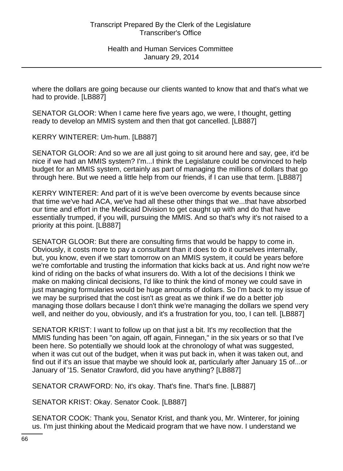where the dollars are going because our clients wanted to know that and that's what we had to provide. [LB887]

SENATOR GLOOR: When I came here five years ago, we were, I thought, getting ready to develop an MMIS system and then that got cancelled. [LB887]

KERRY WINTERER: Um-hum. [LB887]

SENATOR GLOOR: And so we are all just going to sit around here and say, gee, it'd be nice if we had an MMIS system? I'm...I think the Legislature could be convinced to help budget for an MMIS system, certainly as part of managing the millions of dollars that go through here. But we need a little help from our friends, if I can use that term. [LB887]

KERRY WINTERER: And part of it is we've been overcome by events because since that time we've had ACA, we've had all these other things that we...that have absorbed our time and effort in the Medicaid Division to get caught up with and do that have essentially trumped, if you will, pursuing the MMIS. And so that's why it's not raised to a priority at this point. [LB887]

SENATOR GLOOR: But there are consulting firms that would be happy to come in. Obviously, it costs more to pay a consultant than it does to do it ourselves internally, but, you know, even if we start tomorrow on an MMIS system, it could be years before we're comfortable and trusting the information that kicks back at us. And right now we're kind of riding on the backs of what insurers do. With a lot of the decisions I think we make on making clinical decisions, I'd like to think the kind of money we could save in just managing formularies would be huge amounts of dollars. So I'm back to my issue of we may be surprised that the cost isn't as great as we think if we do a better job managing those dollars because I don't think we're managing the dollars we spend very well, and neither do you, obviously, and it's a frustration for you, too, I can tell. [LB887]

SENATOR KRIST: I want to follow up on that just a bit. It's my recollection that the MMIS funding has been "on again, off again, Finnegan," in the six years or so that I've been here. So potentially we should look at the chronology of what was suggested, when it was cut out of the budget, when it was put back in, when it was taken out, and find out if it's an issue that maybe we should look at, particularly after January 15 of...or January of '15. Senator Crawford, did you have anything? [LB887]

SENATOR CRAWFORD: No, it's okay. That's fine. That's fine. [LB887]

SENATOR KRIST: Okay. Senator Cook. [LB887]

SENATOR COOK: Thank you, Senator Krist, and thank you, Mr. Winterer, for joining us. I'm just thinking about the Medicaid program that we have now. I understand we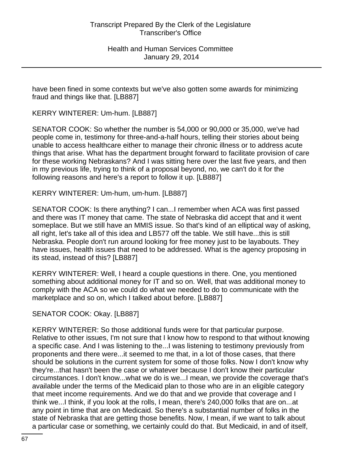have been fined in some contexts but we've also gotten some awards for minimizing fraud and things like that. [LB887]

KERRY WINTERER: Um-hum. [LB887]

SENATOR COOK: So whether the number is 54,000 or 90,000 or 35,000, we've had people come in, testimony for three-and-a-half hours, telling their stories about being unable to access healthcare either to manage their chronic illness or to address acute things that arise. What has the department brought forward to facilitate provision of care for these working Nebraskans? And I was sitting here over the last five years, and then in my previous life, trying to think of a proposal beyond, no, we can't do it for the following reasons and here's a report to follow it up. [LB887]

# KERRY WINTERER: Um-hum, um-hum. [LB887]

SENATOR COOK: Is there anything? I can...I remember when ACA was first passed and there was IT money that came. The state of Nebraska did accept that and it went someplace. But we still have an MMIS issue. So that's kind of an elliptical way of asking, all right, let's take all of this idea and LB577 off the table. We still have...this is still Nebraska. People don't run around looking for free money just to be layabouts. They have issues, health issues that need to be addressed. What is the agency proposing in its stead, instead of this? [LB887]

KERRY WINTERER: Well, I heard a couple questions in there. One, you mentioned something about additional money for IT and so on. Well, that was additional money to comply with the ACA so we could do what we needed to do to communicate with the marketplace and so on, which I talked about before. [LB887]

# SENATOR COOK: Okay. [LB887]

KERRY WINTERER: So those additional funds were for that particular purpose. Relative to other issues, I'm not sure that I know how to respond to that without knowing a specific case. And I was listening to the...I was listening to testimony previously from proponents and there were...it seemed to me that, in a lot of those cases, that there should be solutions in the current system for some of those folks. Now I don't know why they're...that hasn't been the case or whatever because I don't know their particular circumstances. I don't know...what we do is we...I mean, we provide the coverage that's available under the terms of the Medicaid plan to those who are in an eligible category that meet income requirements. And we do that and we provide that coverage and I think we...I think, if you look at the rolls, I mean, there's 240,000 folks that are on...at any point in time that are on Medicaid. So there's a substantial number of folks in the state of Nebraska that are getting those benefits. Now, I mean, if we want to talk about a particular case or something, we certainly could do that. But Medicaid, in and of itself,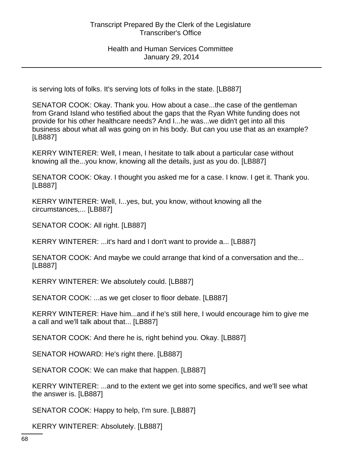is serving lots of folks. It's serving lots of folks in the state. [LB887]

SENATOR COOK: Okay. Thank you. How about a case...the case of the gentleman from Grand Island who testified about the gaps that the Ryan White funding does not provide for his other healthcare needs? And I...he was...we didn't get into all this business about what all was going on in his body. But can you use that as an example? [LB887]

KERRY WINTERER: Well, I mean, I hesitate to talk about a particular case without knowing all the...you know, knowing all the details, just as you do. [LB887]

SENATOR COOK: Okay. I thought you asked me for a case. I know. I get it. Thank you. [LB887]

KERRY WINTERER: Well, I...yes, but, you know, without knowing all the circumstances,... [LB887]

SENATOR COOK: All right. [LB887]

KERRY WINTERER: ...it's hard and I don't want to provide a... [LB887]

SENATOR COOK: And maybe we could arrange that kind of a conversation and the... [LB887]

KERRY WINTERER: We absolutely could. [LB887]

SENATOR COOK: ...as we get closer to floor debate. [LB887]

KERRY WINTERER: Have him...and if he's still here, I would encourage him to give me a call and we'll talk about that... [LB887]

SENATOR COOK: And there he is, right behind you. Okay. [LB887]

SENATOR HOWARD: He's right there. [LB887]

SENATOR COOK: We can make that happen. [LB887]

KERRY WINTERER: ...and to the extent we get into some specifics, and we'll see what the answer is. [LB887]

SENATOR COOK: Happy to help, I'm sure. [LB887]

KERRY WINTERER: Absolutely. [LB887]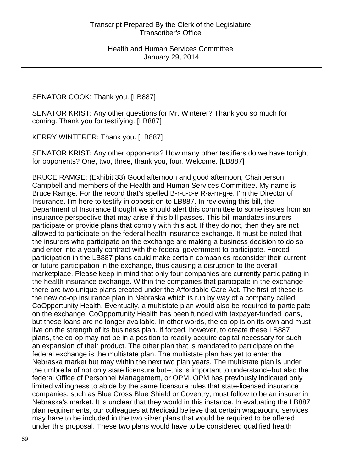SENATOR COOK: Thank you. [LB887]

SENATOR KRIST: Any other questions for Mr. Winterer? Thank you so much for coming. Thank you for testifying. [LB887]

KERRY WINTERER: Thank you. [LB887]

SENATOR KRIST: Any other opponents? How many other testifiers do we have tonight for opponents? One, two, three, thank you, four. Welcome. [LB887]

BRUCE RAMGE: (Exhibit 33) Good afternoon and good afternoon, Chairperson Campbell and members of the Health and Human Services Committee. My name is Bruce Ramge. For the record that's spelled B-r-u-c-e R-a-m-g-e. I'm the Director of Insurance. I'm here to testify in opposition to LB887. In reviewing this bill, the Department of Insurance thought we should alert this committee to some issues from an insurance perspective that may arise if this bill passes. This bill mandates insurers participate or provide plans that comply with this act. If they do not, then they are not allowed to participate on the federal health insurance exchange. It must be noted that the insurers who participate on the exchange are making a business decision to do so and enter into a yearly contract with the federal government to participate. Forced participation in the LB887 plans could make certain companies reconsider their current or future participation in the exchange, thus causing a disruption to the overall marketplace. Please keep in mind that only four companies are currently participating in the health insurance exchange. Within the companies that participate in the exchange there are two unique plans created under the Affordable Care Act. The first of these is the new co-op insurance plan in Nebraska which is run by way of a company called CoOpportunity Health. Eventually, a multistate plan would also be required to participate on the exchange. CoOpportunity Health has been funded with taxpayer-funded loans, but these loans are no longer available. In other words, the co-op is on its own and must live on the strength of its business plan. If forced, however, to create these LB887 plans, the co-op may not be in a position to readily acquire capital necessary for such an expansion of their product. The other plan that is mandated to participate on the federal exchange is the multistate plan. The multistate plan has yet to enter the Nebraska market but may within the next two plan years. The multistate plan is under the umbrella of not only state licensure but--this is important to understand--but also the federal Office of Personnel Management, or OPM. OPM has previously indicated only limited willingness to abide by the same licensure rules that state-licensed insurance companies, such as Blue Cross Blue Shield or Coventry, must follow to be an insurer in Nebraska's market. It is unclear that they would in this instance. In evaluating the LB887 plan requirements, our colleagues at Medicaid believe that certain wraparound services may have to be included in the two silver plans that would be required to be offered under this proposal. These two plans would have to be considered qualified health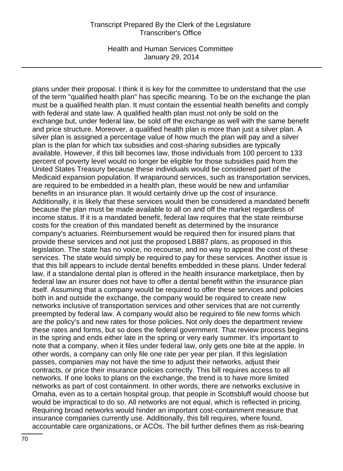Health and Human Services Committee January 29, 2014

plans under their proposal. I think it is key for the committee to understand that the use of the term "qualified health plan" has specific meaning. To be on the exchange the plan must be a qualified health plan. It must contain the essential health benefits and comply with federal and state law. A qualified health plan must not only be sold on the exchange but, under federal law, be sold off the exchange as well with the same benefit and price structure. Moreover, a qualified health plan is more than just a silver plan. A silver plan is assigned a percentage value of how much the plan will pay and a silver plan is the plan for which tax subsidies and cost-sharing subsidies are typically available. However, if this bill becomes law, those individuals from 100 percent to 133 percent of poverty level would no longer be eligible for those subsidies paid from the United States Treasury because these individuals would be considered part of the Medicaid expansion population. If wraparound services, such as transportation services, are required to be embedded in a health plan, these would be new and unfamiliar benefits in an insurance plan. It would certainly drive up the cost of insurance. Additionally, it is likely that these services would then be considered a mandated benefit because the plan must be made available to all on and off the market regardless of income status. If it is a mandated benefit, federal law requires that the state reimburse costs for the creation of this mandated benefit as determined by the insurance company's actuaries. Reimbursement would be required then for insured plans that provide these services and not just the proposed LB887 plans, as proposed in this legislation. The state has no voice, no recourse, and no way to appeal the cost of these services. The state would simply be required to pay for these services. Another issue is that this bill appears to include dental benefits embedded in these plans. Under federal law, if a standalone dental plan is offered in the health insurance marketplace, then by federal law an insurer does not have to offer a dental benefit within the insurance plan itself. Assuming that a company would be required to offer these services and policies both in and outside the exchange, the company would be required to create new networks inclusive of transportation services and other services that are not currently preempted by federal law. A company would also be required to file new forms which are the policy's and new rates for those policies. Not only does the department review these rates and forms, but so does the federal government. That review process begins in the spring and ends either late in the spring or very early summer. It's important to note that a company, when it files under federal law, only gets one bite at the apple. In other words, a company can only file one rate per year per plan. If this legislation passes, companies may not have the time to adjust their networks, adjust their contracts, or price their insurance policies correctly. This bill requires access to all networks. If one looks to plans on the exchange, the trend is to have more limited networks as part of cost containment. In other words, there are networks exclusive in Omaha, even as to a certain hospital group, that people in Scottsbluff would choose but would be impractical to do so. All networks are not equal, which is reflected in pricing. Requiring broad networks would hinder an important cost-containment measure that insurance companies currently use. Additionally, this bill requires, where found, accountable care organizations, or ACOs. The bill further defines them as risk-bearing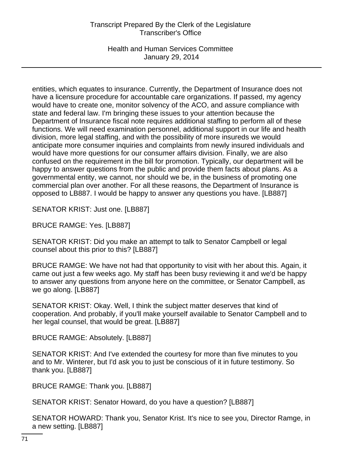Health and Human Services Committee January 29, 2014

entities, which equates to insurance. Currently, the Department of Insurance does not have a licensure procedure for accountable care organizations. If passed, my agency would have to create one, monitor solvency of the ACO, and assure compliance with state and federal law. I'm bringing these issues to your attention because the Department of Insurance fiscal note requires additional staffing to perform all of these functions. We will need examination personnel, additional support in our life and health division, more legal staffing, and with the possibility of more insureds we would anticipate more consumer inquiries and complaints from newly insured individuals and would have more questions for our consumer affairs division. Finally, we are also confused on the requirement in the bill for promotion. Typically, our department will be happy to answer questions from the public and provide them facts about plans. As a governmental entity, we cannot, nor should we be, in the business of promoting one commercial plan over another. For all these reasons, the Department of Insurance is opposed to LB887. I would be happy to answer any questions you have. [LB887]

SENATOR KRIST: Just one. [LB887]

BRUCE RAMGE: Yes. [LB887]

SENATOR KRIST: Did you make an attempt to talk to Senator Campbell or legal counsel about this prior to this? [LB887]

BRUCE RAMGE: We have not had that opportunity to visit with her about this. Again, it came out just a few weeks ago. My staff has been busy reviewing it and we'd be happy to answer any questions from anyone here on the committee, or Senator Campbell, as we go along. [LB887]

SENATOR KRIST: Okay. Well, I think the subject matter deserves that kind of cooperation. And probably, if you'll make yourself available to Senator Campbell and to her legal counsel, that would be great. [LB887]

BRUCE RAMGE: Absolutely. [LB887]

SENATOR KRIST: And I've extended the courtesy for more than five minutes to you and to Mr. Winterer, but I'd ask you to just be conscious of it in future testimony. So thank you. [LB887]

BRUCE RAMGE: Thank you. [LB887]

SENATOR KRIST: Senator Howard, do you have a question? [LB887]

SENATOR HOWARD: Thank you, Senator Krist. It's nice to see you, Director Ramge, in a new setting. [LB887]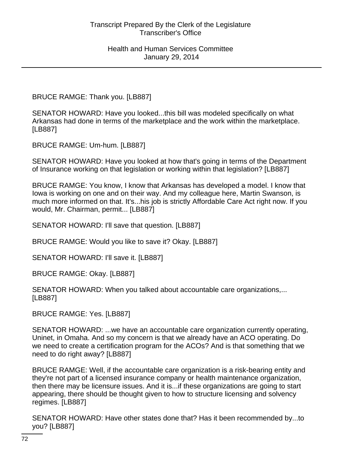BRUCE RAMGE: Thank you. [LB887]

SENATOR HOWARD: Have you looked...this bill was modeled specifically on what Arkansas had done in terms of the marketplace and the work within the marketplace. [LB887]

BRUCE RAMGE: Um-hum. [LB887]

SENATOR HOWARD: Have you looked at how that's going in terms of the Department of Insurance working on that legislation or working within that legislation? [LB887]

BRUCE RAMGE: You know, I know that Arkansas has developed a model. I know that Iowa is working on one and on their way. And my colleague here, Martin Swanson, is much more informed on that. It's...his job is strictly Affordable Care Act right now. If you would, Mr. Chairman, permit... [LB887]

SENATOR HOWARD: I'll save that question. [LB887]

BRUCE RAMGE: Would you like to save it? Okay. [LB887]

SENATOR HOWARD: I'll save it. [LB887]

BRUCE RAMGE: Okay. [LB887]

SENATOR HOWARD: When you talked about accountable care organizations,... [LB887]

BRUCE RAMGE: Yes. [LB887]

SENATOR HOWARD: ...we have an accountable care organization currently operating, Uninet, in Omaha. And so my concern is that we already have an ACO operating. Do we need to create a certification program for the ACOs? And is that something that we need to do right away? [LB887]

BRUCE RAMGE: Well, if the accountable care organization is a risk-bearing entity and they're not part of a licensed insurance company or health maintenance organization, then there may be licensure issues. And it is...if these organizations are going to start appearing, there should be thought given to how to structure licensing and solvency regimes. [LB887]

SENATOR HOWARD: Have other states done that? Has it been recommended by...to you? [LB887]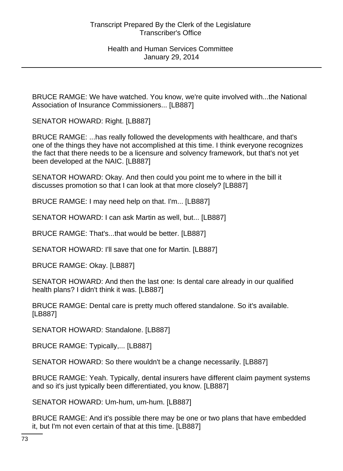BRUCE RAMGE: We have watched. You know, we're quite involved with...the National Association of Insurance Commissioners... [LB887]

SENATOR HOWARD: Right. [LB887]

BRUCE RAMGE: ...has really followed the developments with healthcare, and that's one of the things they have not accomplished at this time. I think everyone recognizes the fact that there needs to be a licensure and solvency framework, but that's not yet been developed at the NAIC. [LB887]

SENATOR HOWARD: Okay. And then could you point me to where in the bill it discusses promotion so that I can look at that more closely? [LB887]

BRUCE RAMGE: I may need help on that. I'm... [LB887]

SENATOR HOWARD: I can ask Martin as well, but... [LB887]

BRUCE RAMGE: That's...that would be better. [LB887]

SENATOR HOWARD: I'll save that one for Martin. [LB887]

BRUCE RAMGE: Okay. [LB887]

SENATOR HOWARD: And then the last one: Is dental care already in our qualified health plans? I didn't think it was. [LB887]

BRUCE RAMGE: Dental care is pretty much offered standalone. So it's available. [LB887]

SENATOR HOWARD: Standalone. [LB887]

BRUCE RAMGE: Typically,... [LB887]

SENATOR HOWARD: So there wouldn't be a change necessarily. [LB887]

BRUCE RAMGE: Yeah. Typically, dental insurers have different claim payment systems and so it's just typically been differentiated, you know. [LB887]

SENATOR HOWARD: Um-hum, um-hum. [LB887]

BRUCE RAMGE: And it's possible there may be one or two plans that have embedded it, but I'm not even certain of that at this time. [LB887]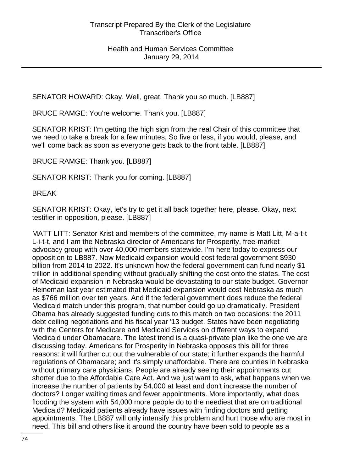SENATOR HOWARD: Okay. Well, great. Thank you so much. [LB887]

BRUCE RAMGE: You're welcome. Thank you. [LB887]

SENATOR KRIST: I'm getting the high sign from the real Chair of this committee that we need to take a break for a few minutes. So five or less, if you would, please, and we'll come back as soon as everyone gets back to the front table. [LB887]

BRUCE RAMGE: Thank you. [LB887]

SENATOR KRIST: Thank you for coming. [LB887]

BREAK

SENATOR KRIST: Okay, let's try to get it all back together here, please. Okay, next testifier in opposition, please. [LB887]

MATT LITT: Senator Krist and members of the committee, my name is Matt Litt, M-a-t-t L-i-t-t, and I am the Nebraska director of Americans for Prosperity, free-market advocacy group with over 40,000 members statewide. I'm here today to express our opposition to LB887. Now Medicaid expansion would cost federal government \$930 billion from 2014 to 2022. It's unknown how the federal government can fund nearly \$1 trillion in additional spending without gradually shifting the cost onto the states. The cost of Medicaid expansion in Nebraska would be devastating to our state budget. Governor Heineman last year estimated that Medicaid expansion would cost Nebraska as much as \$766 million over ten years. And if the federal government does reduce the federal Medicaid match under this program, that number could go up dramatically. President Obama has already suggested funding cuts to this match on two occasions: the 2011 debt ceiling negotiations and his fiscal year '13 budget. States have been negotiating with the Centers for Medicare and Medicaid Services on different ways to expand Medicaid under Obamacare. The latest trend is a quasi-private plan like the one we are discussing today. Americans for Prosperity in Nebraska opposes this bill for three reasons: it will further cut out the vulnerable of our state; it further expands the harmful regulations of Obamacare; and it's simply unaffordable. There are counties in Nebraska without primary care physicians. People are already seeing their appointments cut shorter due to the Affordable Care Act. And we just want to ask, what happens when we increase the number of patients by 54,000 at least and don't increase the number of doctors? Longer waiting times and fewer appointments. More importantly, what does flooding the system with 54,000 more people do to the neediest that are on traditional Medicaid? Medicaid patients already have issues with finding doctors and getting appointments. The LB887 will only intensify this problem and hurt those who are most in need. This bill and others like it around the country have been sold to people as a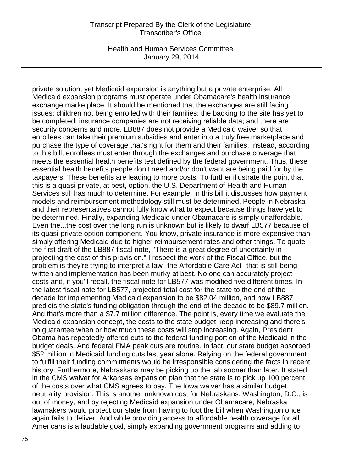Health and Human Services Committee January 29, 2014

private solution, yet Medicaid expansion is anything but a private enterprise. All Medicaid expansion programs must operate under Obamacare's health insurance exchange marketplace. It should be mentioned that the exchanges are still facing issues: children not being enrolled with their families; the backing to the site has yet to be completed; insurance companies are not receiving reliable data; and there are security concerns and more. LB887 does not provide a Medicaid waiver so that enrollees can take their premium subsidies and enter into a truly free marketplace and purchase the type of coverage that's right for them and their families. Instead, according to this bill, enrollees must enter through the exchanges and purchase coverage that meets the essential health benefits test defined by the federal government. Thus, these essential health benefits people don't need and/or don't want are being paid for by the taxpayers. These benefits are leading to more costs. To further illustrate the point that this is a quasi-private, at best, option, the U.S. Department of Health and Human Services still has much to determine. For example, in this bill it discusses how payment models and reimbursement methodology still must be determined. People in Nebraska and their representatives cannot fully know what to expect because things have yet to be determined. Finally, expanding Medicaid under Obamacare is simply unaffordable. Even the...the cost over the long run is unknown but is likely to dwarf LB577 because of its quasi-private option component. You know, private insurance is more expensive than simply offering Medicaid due to higher reimbursement rates and other things. To quote the first draft of the LB887 fiscal note, "There is a great degree of uncertainty in projecting the cost of this provision." I respect the work of the Fiscal Office, but the problem is they're trying to interpret a law--the Affordable Care Act--that is still being written and implementation has been murky at best. No one can accurately project costs and, if you'll recall, the fiscal note for LB577 was modified five different times. In the latest fiscal note for LB577, projected total cost for the state to the end of the decade for implementing Medicaid expansion to be \$82.04 million, and now LB887 predicts the state's funding obligation through the end of the decade to be \$89.7 million. And that's more than a \$7.7 million difference. The point is, every time we evaluate the Medicaid expansion concept, the costs to the state budget keep increasing and there's no guarantee when or how much these costs will stop increasing. Again, President Obama has repeatedly offered cuts to the federal funding portion of the Medicaid in the budget deals. And federal FMA peak cuts are routine. In fact, our state budget absorbed \$52 million in Medicaid funding cuts last year alone. Relying on the federal government to fulfill their funding commitments would be irresponsible considering the facts in recent history. Furthermore, Nebraskans may be picking up the tab sooner than later. It stated in the CMS waiver for Arkansas expansion plan that the state is to pick up 100 percent of the costs over what CMS agrees to pay. The Iowa waiver has a similar budget neutrality provision. This is another unknown cost for Nebraskans. Washington, D.C., is out of money, and by rejecting Medicaid expansion under Obamacare, Nebraska lawmakers would protect our state from having to foot the bill when Washington once again fails to deliver. And while providing access to affordable health coverage for all Americans is a laudable goal, simply expanding government programs and adding to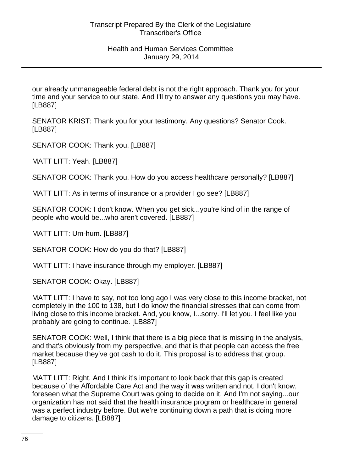our already unmanageable federal debt is not the right approach. Thank you for your time and your service to our state. And I'll try to answer any questions you may have. [LB887]

SENATOR KRIST: Thank you for your testimony. Any questions? Senator Cook. [LB887]

SENATOR COOK: Thank you. [LB887]

MATT LITT: Yeah. [LB887]

SENATOR COOK: Thank you. How do you access healthcare personally? [LB887]

MATT LITT: As in terms of insurance or a provider I go see? [LB887]

SENATOR COOK: I don't know. When you get sick...you're kind of in the range of people who would be...who aren't covered. [LB887]

MATT LITT: Um-hum. [LB887]

SENATOR COOK: How do you do that? [LB887]

MATT LITT: I have insurance through my employer. [LB887]

SENATOR COOK: Okay. [LB887]

MATT LITT: I have to say, not too long ago I was very close to this income bracket, not completely in the 100 to 138, but I do know the financial stresses that can come from living close to this income bracket. And, you know, I...sorry. I'll let you. I feel like you probably are going to continue. [LB887]

SENATOR COOK: Well, I think that there is a big piece that is missing in the analysis, and that's obviously from my perspective, and that is that people can access the free market because they've got cash to do it. This proposal is to address that group. [LB887]

MATT LITT: Right. And I think it's important to look back that this gap is created because of the Affordable Care Act and the way it was written and not, I don't know, foreseen what the Supreme Court was going to decide on it. And I'm not saying...our organization has not said that the health insurance program or healthcare in general was a perfect industry before. But we're continuing down a path that is doing more damage to citizens. [LB887]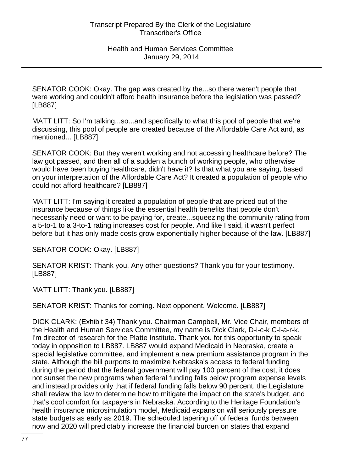SENATOR COOK: Okay. The gap was created by the...so there weren't people that were working and couldn't afford health insurance before the legislation was passed? [LB887]

MATT LITT: So I'm talking...so...and specifically to what this pool of people that we're discussing, this pool of people are created because of the Affordable Care Act and, as mentioned... [LB887]

SENATOR COOK: But they weren't working and not accessing healthcare before? The law got passed, and then all of a sudden a bunch of working people, who otherwise would have been buying healthcare, didn't have it? Is that what you are saying, based on your interpretation of the Affordable Care Act? It created a population of people who could not afford healthcare? [LB887]

MATT LITT: I'm saying it created a population of people that are priced out of the insurance because of things like the essential health benefits that people don't necessarily need or want to be paying for, create...squeezing the community rating from a 5-to-1 to a 3-to-1 rating increases cost for people. And like I said, it wasn't perfect before but it has only made costs grow exponentially higher because of the law. [LB887]

SENATOR COOK: Okay. [LB887]

SENATOR KRIST: Thank you. Any other questions? Thank you for your testimony. [LB887]

MATT LITT: Thank you. [LB887]

SENATOR KRIST: Thanks for coming. Next opponent. Welcome. [LB887]

DICK CLARK: (Exhibit 34) Thank you. Chairman Campbell, Mr. Vice Chair, members of the Health and Human Services Committee, my name is Dick Clark, D-i-c-k C-l-a-r-k. I'm director of research for the Platte Institute. Thank you for this opportunity to speak today in opposition to LB887. LB887 would expand Medicaid in Nebraska, create a special legislative committee, and implement a new premium assistance program in the state. Although the bill purports to maximize Nebraska's access to federal funding during the period that the federal government will pay 100 percent of the cost, it does not sunset the new programs when federal funding falls below program expense levels and instead provides only that if federal funding falls below 90 percent, the Legislature shall review the law to determine how to mitigate the impact on the state's budget, and that's cool comfort for taxpayers in Nebraska. According to the Heritage Foundation's health insurance microsimulation model, Medicaid expansion will seriously pressure state budgets as early as 2019. The scheduled tapering off of federal funds between now and 2020 will predictably increase the financial burden on states that expand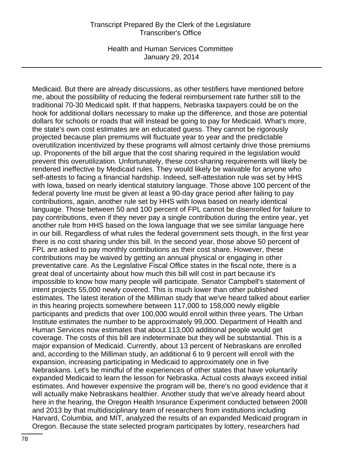Health and Human Services Committee January 29, 2014

Medicaid. But there are already discussions, as other testifiers have mentioned before me, about the possibility of reducing the federal reimbursement rate further still to the traditional 70-30 Medicaid split. If that happens, Nebraska taxpayers could be on the hook for additional dollars necessary to make up the difference, and those are potential dollars for schools or roads that will instead be going to pay for Medicaid. What's more, the state's own cost estimates are an educated guess. They cannot be rigorously projected because plan premiums will fluctuate year to year and the predictable overutilization incentivized by these programs will almost certainly drive those premiums up. Proponents of the bill argue that the cost sharing required in the legislation would prevent this overutilization. Unfortunately, these cost-sharing requirements will likely be rendered ineffective by Medicaid rules. They would likely be waivable for anyone who self-attests to facing a financial hardship. Indeed, self-attestation rule was set by HHS with Iowa, based on nearly identical statutory language. Those above 100 percent of the federal poverty line must be given at least a 90-day grace period after failing to pay contributions, again, another rule set by HHS with Iowa based on nearly identical language. Those between 50 and 100 percent of FPL cannot be disenrolled for failure to pay contributions, even if they never pay a single contribution during the entire year, yet another rule from HHS based on the Iowa language that we see similar language here in our bill. Regardless of what rules the federal government sets though, in the first year there is no cost sharing under this bill. In the second year, those above 50 percent of FPL are asked to pay monthly contributions as their cost share. However, these contributions may be waived by getting an annual physical or engaging in other preventative care. As the Legislative Fiscal Office states in the fiscal note, there is a great deal of uncertainty about how much this bill will cost in part because it's impossible to know how many people will participate. Senator Campbell's statement of intent projects 55,000 newly covered. This is much lower than other published estimates. The latest iteration of the Milliman study that we've heard talked about earlier in this hearing projects somewhere between 117,000 to 158,000 newly eligible participants and predicts that over 100,000 would enroll within three years. The Urban Institute estimates the number to be approximately 99,000. Department of Health and Human Services now estimates that about 113,000 additional people would get coverage. The costs of this bill are indeterminate but they will be substantial. This is a major expansion of Medicaid. Currently, about 13 percent of Nebraskans are enrolled and, according to the Milliman study, an additional 6 to 9 percent will enroll with the expansion, increasing participating in Medicaid to approximately one in five Nebraskans. Let's be mindful of the experiences of other states that have voluntarily expanded Medicaid to learn the lesson for Nebraska. Actual costs always exceed initial estimates. And however expensive the program will be, there's no good evidence that it will actually make Nebraskans healthier. Another study that we've already heard about here in the hearing, the Oregon Health Insurance Experiment conducted between 2008 and 2013 by that multidisciplinary team of researchers from institutions including Harvard, Columbia, and MIT, analyzed the results of an expanded Medicaid program in Oregon. Because the state selected program participates by lottery, researchers had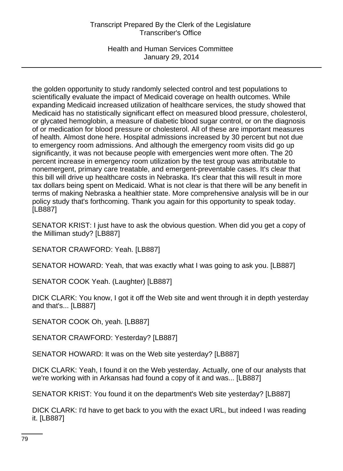Health and Human Services Committee January 29, 2014

the golden opportunity to study randomly selected control and test populations to scientifically evaluate the impact of Medicaid coverage on health outcomes. While expanding Medicaid increased utilization of healthcare services, the study showed that Medicaid has no statistically significant effect on measured blood pressure, cholesterol, or glycated hemoglobin, a measure of diabetic blood sugar control, or on the diagnosis of or medication for blood pressure or cholesterol. All of these are important measures of health. Almost done here. Hospital admissions increased by 30 percent but not due to emergency room admissions. And although the emergency room visits did go up significantly, it was not because people with emergencies went more often. The 20 percent increase in emergency room utilization by the test group was attributable to nonemergent, primary care treatable, and emergent-preventable cases. It's clear that this bill will drive up healthcare costs in Nebraska. It's clear that this will result in more tax dollars being spent on Medicaid. What is not clear is that there will be any benefit in terms of making Nebraska a healthier state. More comprehensive analysis will be in our policy study that's forthcoming. Thank you again for this opportunity to speak today. [LB887]

SENATOR KRIST: I just have to ask the obvious question. When did you get a copy of the Milliman study? [LB887]

SENATOR CRAWFORD: Yeah. [LB887]

SENATOR HOWARD: Yeah, that was exactly what I was going to ask you. [LB887]

SENATOR COOK Yeah. (Laughter) [LB887]

DICK CLARK: You know, I got it off the Web site and went through it in depth yesterday and that's... [LB887]

SENATOR COOK Oh, yeah. [LB887]

SENATOR CRAWFORD: Yesterday? [LB887]

SENATOR HOWARD: It was on the Web site yesterday? [LB887]

DICK CLARK: Yeah, I found it on the Web yesterday. Actually, one of our analysts that we're working with in Arkansas had found a copy of it and was... [LB887]

SENATOR KRIST: You found it on the department's Web site yesterday? [LB887]

DICK CLARK: I'd have to get back to you with the exact URL, but indeed I was reading it. [LB887]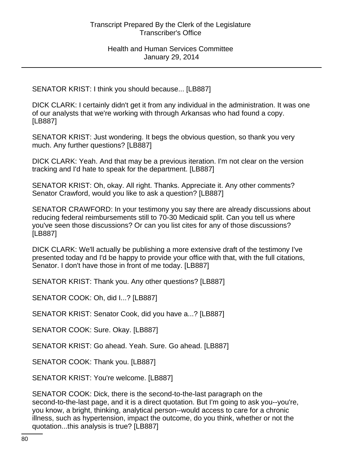SENATOR KRIST: I think you should because... [LB887]

DICK CLARK: I certainly didn't get it from any individual in the administration. It was one of our analysts that we're working with through Arkansas who had found a copy. [LB887]

SENATOR KRIST: Just wondering. It begs the obvious question, so thank you very much. Any further questions? [LB887]

DICK CLARK: Yeah. And that may be a previous iteration. I'm not clear on the version tracking and I'd hate to speak for the department. [LB887]

SENATOR KRIST: Oh, okay. All right. Thanks. Appreciate it. Any other comments? Senator Crawford, would you like to ask a question? [LB887]

SENATOR CRAWFORD: In your testimony you say there are already discussions about reducing federal reimbursements still to 70-30 Medicaid split. Can you tell us where you've seen those discussions? Or can you list cites for any of those discussions? [LB887]

DICK CLARK: We'll actually be publishing a more extensive draft of the testimony I've presented today and I'd be happy to provide your office with that, with the full citations, Senator. I don't have those in front of me today. [LB887]

SENATOR KRIST: Thank you. Any other questions? [LB887]

SENATOR COOK: Oh, did I...? [LB887]

SENATOR KRIST: Senator Cook, did you have a...? [LB887]

SENATOR COOK: Sure. Okay. [LB887]

SENATOR KRIST: Go ahead. Yeah. Sure. Go ahead. [LB887]

SENATOR COOK: Thank you. [LB887]

SENATOR KRIST: You're welcome. [LB887]

SENATOR COOK: Dick, there is the second-to-the-last paragraph on the second-to-the-last page, and it is a direct quotation. But I'm going to ask you--you're, you know, a bright, thinking, analytical person--would access to care for a chronic illness, such as hypertension, impact the outcome, do you think, whether or not the quotation...this analysis is true? [LB887]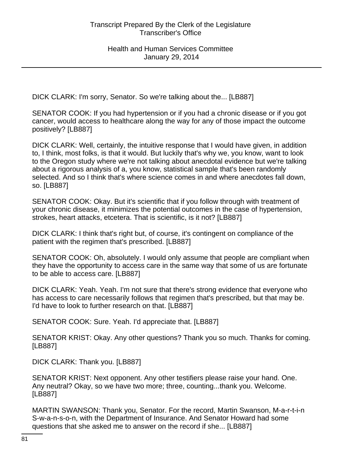DICK CLARK: I'm sorry, Senator. So we're talking about the... [LB887]

SENATOR COOK: If you had hypertension or if you had a chronic disease or if you got cancer, would access to healthcare along the way for any of those impact the outcome positively? [LB887]

DICK CLARK: Well, certainly, the intuitive response that I would have given, in addition to, I think, most folks, is that it would. But luckily that's why we, you know, want to look to the Oregon study where we're not talking about anecdotal evidence but we're talking about a rigorous analysis of a, you know, statistical sample that's been randomly selected. And so I think that's where science comes in and where anecdotes fall down, so. [LB887]

SENATOR COOK: Okay. But it's scientific that if you follow through with treatment of your chronic disease, it minimizes the potential outcomes in the case of hypertension, strokes, heart attacks, etcetera. That is scientific, is it not? [LB887]

DICK CLARK: I think that's right but, of course, it's contingent on compliance of the patient with the regimen that's prescribed. [LB887]

SENATOR COOK: Oh, absolutely. I would only assume that people are compliant when they have the opportunity to access care in the same way that some of us are fortunate to be able to access care. [LB887]

DICK CLARK: Yeah. Yeah. I'm not sure that there's strong evidence that everyone who has access to care necessarily follows that regimen that's prescribed, but that may be. I'd have to look to further research on that. [LB887]

SENATOR COOK: Sure. Yeah. I'd appreciate that. [LB887]

SENATOR KRIST: Okay. Any other questions? Thank you so much. Thanks for coming. [LB887]

DICK CLARK: Thank you. [LB887]

SENATOR KRIST: Next opponent. Any other testifiers please raise your hand. One. Any neutral? Okay, so we have two more; three, counting...thank you. Welcome. [LB887]

MARTIN SWANSON: Thank you, Senator. For the record, Martin Swanson, M-a-r-t-i-n S-w-a-n-s-o-n, with the Department of Insurance. And Senator Howard had some questions that she asked me to answer on the record if she... [LB887]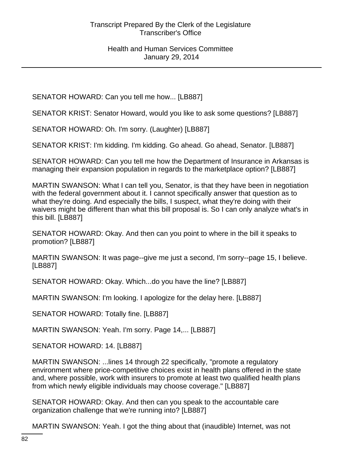SENATOR HOWARD: Can you tell me how... [LB887]

SENATOR KRIST: Senator Howard, would you like to ask some questions? [LB887]

SENATOR HOWARD: Oh. I'm sorry. (Laughter) [LB887]

SENATOR KRIST: I'm kidding. I'm kidding. Go ahead. Go ahead, Senator. [LB887]

SENATOR HOWARD: Can you tell me how the Department of Insurance in Arkansas is managing their expansion population in regards to the marketplace option? [LB887]

MARTIN SWANSON: What I can tell you, Senator, is that they have been in negotiation with the federal government about it. I cannot specifically answer that question as to what they're doing. And especially the bills, I suspect, what they're doing with their waivers might be different than what this bill proposal is. So I can only analyze what's in this bill. [LB887]

SENATOR HOWARD: Okay. And then can you point to where in the bill it speaks to promotion? [LB887]

MARTIN SWANSON: It was page--give me just a second, I'm sorry--page 15, I believe. [LB887]

SENATOR HOWARD: Okay. Which...do you have the line? [LB887]

MARTIN SWANSON: I'm looking. I apologize for the delay here. [LB887]

SENATOR HOWARD: Totally fine. [LB887]

MARTIN SWANSON: Yeah. I'm sorry. Page 14,... [LB887]

SENATOR HOWARD: 14. [LB887]

MARTIN SWANSON: ...lines 14 through 22 specifically, "promote a regulatory environment where price-competitive choices exist in health plans offered in the state and, where possible, work with insurers to promote at least two qualified health plans from which newly eligible individuals may choose coverage." [LB887]

SENATOR HOWARD: Okay. And then can you speak to the accountable care organization challenge that we're running into? [LB887]

MARTIN SWANSON: Yeah. I got the thing about that (inaudible) Internet, was not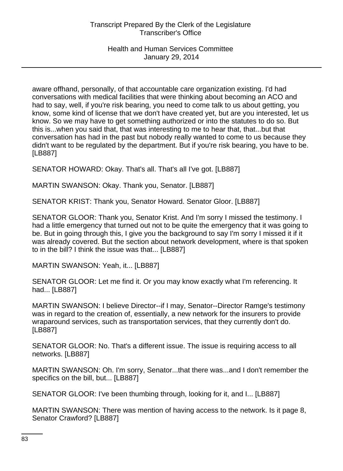aware offhand, personally, of that accountable care organization existing. I'd had conversations with medical facilities that were thinking about becoming an ACO and had to say, well, if you're risk bearing, you need to come talk to us about getting, you know, some kind of license that we don't have created yet, but are you interested, let us know. So we may have to get something authorized or into the statutes to do so. But this is...when you said that, that was interesting to me to hear that, that...but that conversation has had in the past but nobody really wanted to come to us because they didn't want to be regulated by the department. But if you're risk bearing, you have to be. [LB887]

SENATOR HOWARD: Okay. That's all. That's all I've got. [LB887]

MARTIN SWANSON: Okay. Thank you, Senator. [LB887]

SENATOR KRIST: Thank you, Senator Howard. Senator Gloor. [LB887]

SENATOR GLOOR: Thank you, Senator Krist. And I'm sorry I missed the testimony. I had a little emergency that turned out not to be quite the emergency that it was going to be. But in going through this, I give you the background to say I'm sorry I missed it if it was already covered. But the section about network development, where is that spoken to in the bill? I think the issue was that... [LB887]

MARTIN SWANSON: Yeah, it... [LB887]

SENATOR GLOOR: Let me find it. Or you may know exactly what I'm referencing. It had... [LB887]

MARTIN SWANSON: I believe Director--if I may, Senator--Director Ramge's testimony was in regard to the creation of, essentially, a new network for the insurers to provide wraparound services, such as transportation services, that they currently don't do. [LB887]

SENATOR GLOOR: No. That's a different issue. The issue is requiring access to all networks. [LB887]

MARTIN SWANSON: Oh. I'm sorry, Senator...that there was...and I don't remember the specifics on the bill, but... [LB887]

SENATOR GLOOR: I've been thumbing through, looking for it, and I... [LB887]

MARTIN SWANSON: There was mention of having access to the network. Is it page 8, Senator Crawford? [LB887]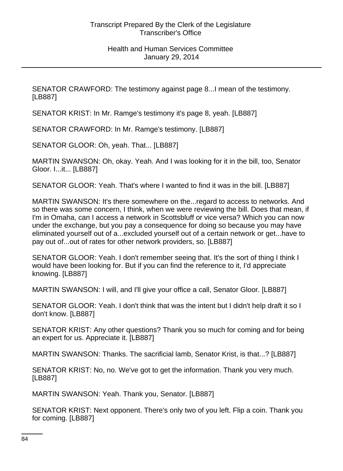SENATOR CRAWFORD: The testimony against page 8...I mean of the testimony. [LB887]

SENATOR KRIST: In Mr. Ramge's testimony it's page 8, yeah. [LB887]

SENATOR CRAWFORD: In Mr. Ramge's testimony. [LB887]

SENATOR GLOOR: Oh, yeah. That... [LB887]

MARTIN SWANSON: Oh, okay. Yeah. And I was looking for it in the bill, too, Senator Gloor. I...it... [LB887]

SENATOR GLOOR: Yeah. That's where I wanted to find it was in the bill. [LB887]

MARTIN SWANSON: It's there somewhere on the...regard to access to networks. And so there was some concern, I think, when we were reviewing the bill. Does that mean, if I'm in Omaha, can I access a network in Scottsbluff or vice versa? Which you can now under the exchange, but you pay a consequence for doing so because you may have eliminated yourself out of a...excluded yourself out of a certain network or get...have to pay out of...out of rates for other network providers, so. [LB887]

SENATOR GLOOR: Yeah. I don't remember seeing that. It's the sort of thing I think I would have been looking for. But if you can find the reference to it, I'd appreciate knowing. [LB887]

MARTIN SWANSON: I will, and I'll give your office a call, Senator Gloor. [LB887]

SENATOR GLOOR: Yeah. I don't think that was the intent but I didn't help draft it so I don't know. [LB887]

SENATOR KRIST: Any other questions? Thank you so much for coming and for being an expert for us. Appreciate it. [LB887]

MARTIN SWANSON: Thanks. The sacrificial lamb, Senator Krist, is that...? [LB887]

SENATOR KRIST: No, no. We've got to get the information. Thank you very much. [LB887]

MARTIN SWANSON: Yeah. Thank you, Senator. [LB887]

SENATOR KRIST: Next opponent. There's only two of you left. Flip a coin. Thank you for coming. [LB887]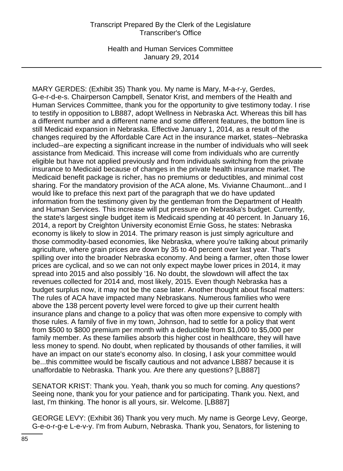Health and Human Services Committee January 29, 2014

MARY GERDES: (Exhibit 35) Thank you. My name is Mary, M-a-r-y, Gerdes, G-e-r-d-e-s. Chairperson Campbell, Senator Krist, and members of the Health and Human Services Committee, thank you for the opportunity to give testimony today. I rise to testify in opposition to LB887, adopt Wellness in Nebraska Act. Whereas this bill has a different number and a different name and some different features, the bottom line is still Medicaid expansion in Nebraska. Effective January 1, 2014, as a result of the changes required by the Affordable Care Act in the insurance market, states--Nebraska included--are expecting a significant increase in the number of individuals who will seek assistance from Medicaid. This increase will come from individuals who are currently eligible but have not applied previously and from individuals switching from the private insurance to Medicaid because of changes in the private health insurance market. The Medicaid benefit package is richer, has no premiums or deductibles, and minimal cost sharing. For the mandatory provision of the ACA alone, Ms. Vivianne Chaumont...and I would like to preface this next part of the paragraph that we do have updated information from the testimony given by the gentleman from the Department of Health and Human Services. This increase will put pressure on Nebraska's budget. Currently, the state's largest single budget item is Medicaid spending at 40 percent. In January 16, 2014, a report by Creighton University economist Ernie Goss, he states: Nebraska economy is likely to slow in 2014. The primary reason is just simply agriculture and those commodity-based economies, like Nebraska, where you're talking about primarily agriculture, where grain prices are down by 35 to 40 percent over last year. That's spilling over into the broader Nebraska economy. And being a farmer, often those lower prices are cyclical, and so we can not only expect maybe lower prices in 2014, it may spread into 2015 and also possibly '16. No doubt, the slowdown will affect the tax revenues collected for 2014 and, most likely, 2015. Even though Nebraska has a budget surplus now, it may not be the case later. Another thought about fiscal matters: The rules of ACA have impacted many Nebraskans. Numerous families who were above the 138 percent poverty level were forced to give up their current health insurance plans and change to a policy that was often more expensive to comply with those rules. A family of five in my town, Johnson, had to settle for a policy that went from \$500 to \$800 premium per month with a deductible from \$1,000 to \$5,000 per family member. As these families absorb this higher cost in healthcare, they will have less money to spend. No doubt, when replicated by thousands of other families, it will have an impact on our state's economy also. In closing, I ask your committee would be...this committee would be fiscally cautious and not advance LB887 because it is unaffordable to Nebraska. Thank you. Are there any questions? [LB887]

SENATOR KRIST: Thank you. Yeah, thank you so much for coming. Any questions? Seeing none, thank you for your patience and for participating. Thank you. Next, and last, I'm thinking. The honor is all yours, sir. Welcome. [LB887]

GEORGE LEVY: (Exhibit 36) Thank you very much. My name is George Levy, George, G-e-o-r-g-e L-e-v-y. I'm from Auburn, Nebraska. Thank you, Senators, for listening to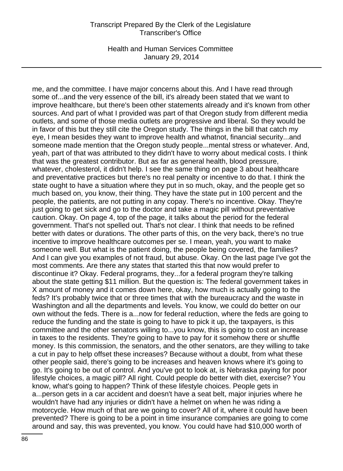Health and Human Services Committee January 29, 2014

me, and the committee. I have major concerns about this. And I have read through some of...and the very essence of the bill, it's already been stated that we want to improve healthcare, but there's been other statements already and it's known from other sources. And part of what I provided was part of that Oregon study from different media outlets, and some of those media outlets are progressive and liberal. So they would be in favor of this but they still cite the Oregon study. The things in the bill that catch my eye, I mean besides they want to improve health and whatnot, financial security...and someone made mention that the Oregon study people...mental stress or whatever. And, yeah, part of that was attributed to they didn't have to worry about medical costs. I think that was the greatest contributor. But as far as general health, blood pressure, whatever, cholesterol, it didn't help. I see the same thing on page 3 about healthcare and preventative practices but there's no real penalty or incentive to do that. I think the state ought to have a situation where they put in so much, okay, and the people get so much based on, you know, their thing. They have the state put in 100 percent and the people, the patients, are not putting in any copay. There's no incentive. Okay. They're just going to get sick and go to the doctor and take a magic pill without preventative caution. Okay. On page 4, top of the page, it talks about the period for the federal government. That's not spelled out. That's not clear. I think that needs to be refined better with dates or durations. The other parts of this, on the very back, there's no true incentive to improve healthcare outcomes per se. I mean, yeah, you want to make someone well. But what is the patient doing, the people being covered, the families? And I can give you examples of not fraud, but abuse. Okay. On the last page I've got the most comments. Are there any states that started this that now would prefer to discontinue it? Okay. Federal programs, they...for a federal program they're talking about the state getting \$11 million. But the question is: The federal government takes in X amount of money and it comes down here, okay, how much is actually going to the feds? It's probably twice that or three times that with the bureaucracy and the waste in Washington and all the departments and levels. You know, we could do better on our own without the feds. There is a...now for federal reduction, where the feds are going to reduce the funding and the state is going to have to pick it up, the taxpayers, is this committee and the other senators willing to...you know, this is going to cost an increase in taxes to the residents. They're going to have to pay for it somehow there or shuffle money. Is this commission, the senators, and the other senators, are they willing to take a cut in pay to help offset these increases? Because without a doubt, from what these other people said, there's going to be increases and heaven knows where it's going to go. It's going to be out of control. And you've got to look at, is Nebraska paying for poor lifestyle choices, a magic pill? All right. Could people do better with diet, exercise? You know, what's going to happen? Think of these lifestyle choices. People gets in a...person gets in a car accident and doesn't have a seat belt, major injuries where he wouldn't have had any injuries or didn't have a helmet on when he was riding a motorcycle. How much of that are we going to cover? All of it, where it could have been prevented? There is going to be a point in time insurance companies are going to come around and say, this was prevented, you know. You could have had \$10,000 worth of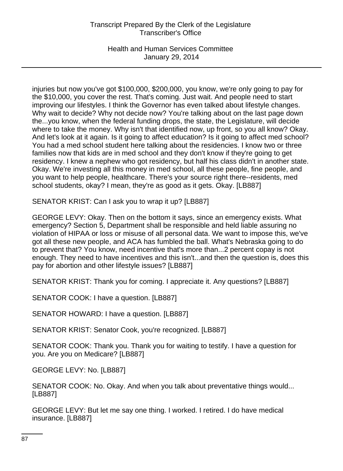Health and Human Services Committee January 29, 2014

injuries but now you've got \$100,000, \$200,000, you know, we're only going to pay for the \$10,000, you cover the rest. That's coming. Just wait. And people need to start improving our lifestyles. I think the Governor has even talked about lifestyle changes. Why wait to decide? Why not decide now? You're talking about on the last page down the...you know, when the federal funding drops, the state, the Legislature, will decide where to take the money. Why isn't that identified now, up front, so you all know? Okay. And let's look at it again. Is it going to affect education? Is it going to affect med school? You had a med school student here talking about the residencies. I know two or three families now that kids are in med school and they don't know if they're going to get residency. I knew a nephew who got residency, but half his class didn't in another state. Okay. We're investing all this money in med school, all these people, fine people, and you want to help people, healthcare. There's your source right there--residents, med school students, okay? I mean, they're as good as it gets. Okay. [LB887]

SENATOR KRIST: Can I ask you to wrap it up? [LB887]

GEORGE LEVY: Okay. Then on the bottom it says, since an emergency exists. What emergency? Section 5, Department shall be responsible and held liable assuring no violation of HIPAA or loss or misuse of all personal data. We want to impose this, we've got all these new people, and ACA has fumbled the ball. What's Nebraska going to do to prevent that? You know, need incentive that's more than...2 percent copay is not enough. They need to have incentives and this isn't...and then the question is, does this pay for abortion and other lifestyle issues? [LB887]

SENATOR KRIST: Thank you for coming. I appreciate it. Any questions? [LB887]

SENATOR COOK: I have a question. [LB887]

SENATOR HOWARD: I have a question. [LB887]

SENATOR KRIST: Senator Cook, you're recognized. [LB887]

SENATOR COOK: Thank you. Thank you for waiting to testify. I have a question for you. Are you on Medicare? [LB887]

GEORGE LEVY: No. [LB887]

SENATOR COOK: No. Okay. And when you talk about preventative things would... [LB887]

GEORGE LEVY: But let me say one thing. I worked. I retired. I do have medical insurance. [LB887]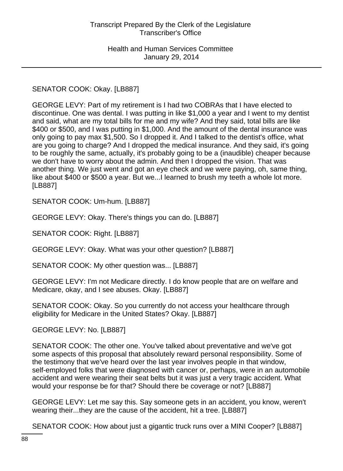SENATOR COOK: Okay. [LB887]

GEORGE LEVY: Part of my retirement is I had two COBRAs that I have elected to discontinue. One was dental. I was putting in like \$1,000 a year and I went to my dentist and said, what are my total bills for me and my wife? And they said, total bills are like \$400 or \$500, and I was putting in \$1,000. And the amount of the dental insurance was only going to pay max \$1,500. So I dropped it. And I talked to the dentist's office, what are you going to charge? And I dropped the medical insurance. And they said, it's going to be roughly the same, actually, it's probably going to be a (inaudible) cheaper because we don't have to worry about the admin. And then I dropped the vision. That was another thing. We just went and got an eye check and we were paying, oh, same thing, like about \$400 or \$500 a year. But we...I learned to brush my teeth a whole lot more. [LB887]

SENATOR COOK: Um-hum. [LB887]

GEORGE LEVY: Okay. There's things you can do. [LB887]

SENATOR COOK: Right. [LB887]

GEORGE LEVY: Okay. What was your other question? [LB887]

SENATOR COOK: My other question was... [LB887]

GEORGE LEVY: I'm not Medicare directly. I do know people that are on welfare and Medicare, okay, and I see abuses. Okay. [LB887]

SENATOR COOK: Okay. So you currently do not access your healthcare through eligibility for Medicare in the United States? Okay. [LB887]

GEORGE LEVY: No. [LB887]

SENATOR COOK: The other one. You've talked about preventative and we've got some aspects of this proposal that absolutely reward personal responsibility. Some of the testimony that we've heard over the last year involves people in that window, self-employed folks that were diagnosed with cancer or, perhaps, were in an automobile accident and were wearing their seat belts but it was just a very tragic accident. What would your response be for that? Should there be coverage or not? [LB887]

GEORGE LEVY: Let me say this. Say someone gets in an accident, you know, weren't wearing their...they are the cause of the accident, hit a tree. [LB887]

SENATOR COOK: How about just a gigantic truck runs over a MINI Cooper? [LB887]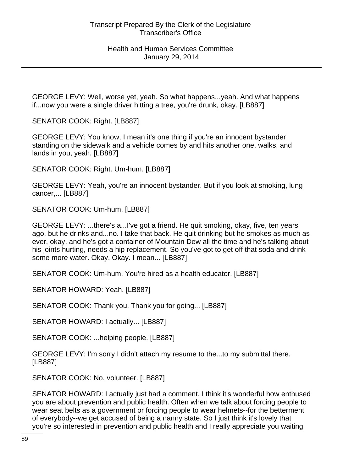GEORGE LEVY: Well, worse yet, yeah. So what happens...yeah. And what happens if...now you were a single driver hitting a tree, you're drunk, okay. [LB887]

SENATOR COOK: Right. [LB887]

GEORGE LEVY: You know, I mean it's one thing if you're an innocent bystander standing on the sidewalk and a vehicle comes by and hits another one, walks, and lands in you, yeah. [LB887]

SENATOR COOK: Right. Um-hum. [LB887]

GEORGE LEVY: Yeah, you're an innocent bystander. But if you look at smoking, lung cancer,... [LB887]

SENATOR COOK: Um-hum. [LB887]

GEORGE LEVY: ...there's a...I've got a friend. He quit smoking, okay, five, ten years ago, but he drinks and...no. I take that back. He quit drinking but he smokes as much as ever, okay, and he's got a container of Mountain Dew all the time and he's talking about his joints hurting, needs a hip replacement. So you've got to get off that soda and drink some more water. Okay. Okay. I mean... [LB887]

SENATOR COOK: Um-hum. You're hired as a health educator. [LB887]

SENATOR HOWARD: Yeah. [LB887]

SENATOR COOK: Thank you. Thank you for going... [LB887]

SENATOR HOWARD: I actually... [LB887]

SENATOR COOK: ...helping people. [LB887]

GEORGE LEVY: I'm sorry I didn't attach my resume to the...to my submittal there. [LB887]

SENATOR COOK: No, volunteer. [LB887]

SENATOR HOWARD: I actually just had a comment. I think it's wonderful how enthused you are about prevention and public health. Often when we talk about forcing people to wear seat belts as a government or forcing people to wear helmets--for the betterment of everybody--we get accused of being a nanny state. So I just think it's lovely that you're so interested in prevention and public health and I really appreciate you waiting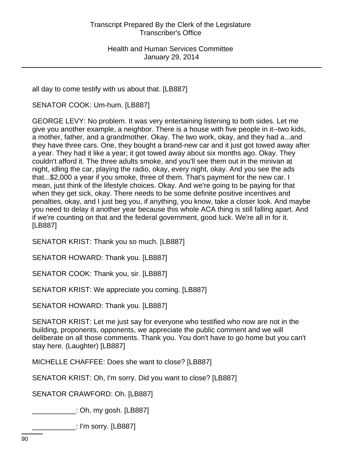all day to come testify with us about that. [LB887]

SENATOR COOK: Um-hum. [LB887]

GEORGE LEVY: No problem. It was very entertaining listening to both sides. Let me give you another example, a neighbor. There is a house with five people in it--two kids, a mother, father, and a grandmother. Okay. The two work, okay, and they had a...and they have three cars. One, they bought a brand-new car and it just got towed away after a year. They had it like a year; it got towed away about six months ago. Okay. They couldn't afford it. The three adults smoke, and you'll see them out in the minivan at night, idling the car, playing the radio, okay, every night, okay. And you see the ads that...\$2,000 a year if you smoke, three of them. That's payment for the new car. I mean, just think of the lifestyle choices. Okay. And we're going to be paying for that when they get sick, okay. There needs to be some definite positive incentives and penalties, okay, and I just beg you, if anything, you know, take a closer look. And maybe you need to delay it another year because this whole ACA thing is still falling apart. And if we're counting on that and the federal government, good luck. We're all in for it. [LB887]

SENATOR KRIST: Thank you so much. [LB887]

SENATOR HOWARD: Thank you. [LB887]

SENATOR COOK: Thank you, sir. [LB887]

SENATOR KRIST: We appreciate you coming. [LB887]

SENATOR HOWARD: Thank you. [LB887]

SENATOR KRIST: Let me just say for everyone who testified who now are not in the building, proponents, opponents, we appreciate the public comment and we will deliberate on all those comments. Thank you. You don't have to go home but you can't stay here. (Laughter) [LB887]

MICHELLE CHAFFEE: Does she want to close? [LB887]

SENATOR KRIST: Oh, I'm sorry. Did you want to close? [LB887]

SENATOR CRAWFORD: Oh. [LB887]

\_\_\_\_\_\_\_\_\_\_\_: Oh, my gosh. [LB887]

\_\_\_\_\_\_\_\_\_\_\_: I'm sorry. [LB887]